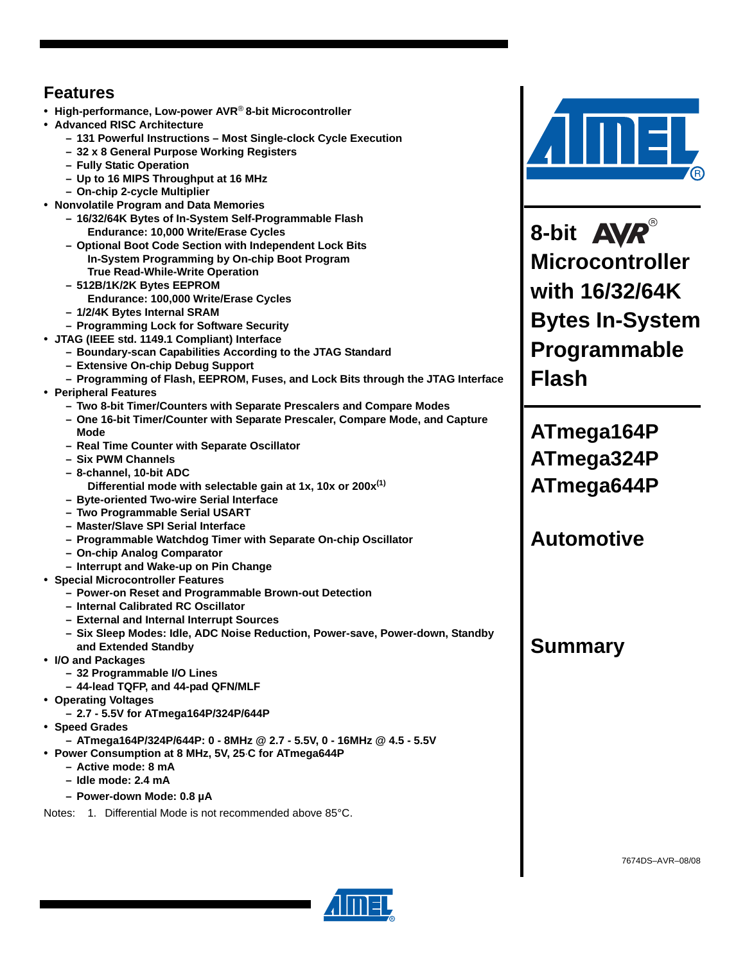# **Features**

- **High-performance, Low-power AVR**® **8-bit Microcontroller**
- **Advanced RISC Architecture**
	- **131 Powerful Instructions Most Single-clock Cycle Execution**
	- **32 x 8 General Purpose Working Registers**
	- **Fully Static Operation**
	- **Up to 16 MIPS Throughput at 16 MHz**
	- **On-chip 2-cycle Multiplier**
- **Nonvolatile Program and Data Memories**
	- **16/32/64K Bytes of In-System Self-Programmable Flash Endurance: 10,000 Write/Erase Cycles**
	- **Optional Boot Code Section with Independent Lock Bits In-System Programming by On-chip Boot Program True Read-While-Write Operation**
	- **512B/1K/2K Bytes EEPROM**
	- **Endurance: 100,000 Write/Erase Cycles**
	- **1/2/4K Bytes Internal SRAM**
	- **Programming Lock for Software Security**
- **JTAG (IEEE std. 1149.1 Compliant) Interface**
	- **Boundary-scan Capabilities According to the JTAG Standard**
		- **Extensive On-chip Debug Support**
	- **Programming of Flash, EEPROM, Fuses, and Lock Bits through the JTAG Interface**
- **Peripheral Features**
	- **Two 8-bit Timer/Counters with Separate Prescalers and Compare Modes**
	- **One 16-bit Timer/Counter with Separate Prescaler, Compare Mode, and Capture Mode**
	- **Real Time Counter with Separate Oscillator**
	- **Six PWM Channels**
	- **8-channel, 10-bit ADC**
		- **Differential mode with selectable gain at 1x, 10x or 200x(1)**
	- **Byte-oriented Two-wire Serial Interface**
	- **Two Programmable Serial USART**
	- **Master/Slave SPI Serial Interface**
	- **Programmable Watchdog Timer with Separate On-chip Oscillator**
	- **On-chip Analog Comparator**
	- **Interrupt and Wake-up on Pin Change**
- **Special Microcontroller Features**
	- **Power-on Reset and Programmable Brown-out Detection**
	- **Internal Calibrated RC Oscillator**
	- **External and Internal Interrupt Sources**
	- **Six Sleep Modes: Idle, ADC Noise Reduction, Power-save, Power-down, Standby and Extended Standby**
- **I/O and Packages**
	- **32 Programmable I/O Lines**
	- **44-lead TQFP, and 44-pad QFN/MLF**
- **Operating Voltages**
	- **2.7 5.5V for ATmega164P/324P/644P**
- **Speed Grades**
	- **ATmega164P/324P/644P: 0 8MHz @ 2.7 5.5V, 0 16MHz @ 4.5 5.5V**
- **Power Consumption at 8 MHz, 5V, 25**⋅**C for ATmega644P**
	- **Active mode: 8 mA**
	- **Idle mode: 2.4 mA**
	- **Power-down Mode: 0.8 µA**

Notes: 1. Differential Mode is not recommended above 85°C.



**8-bit Microcontroller with 16/32/64K Bytes In-System Programmable Flash**

**ATmega164P ATmega324P ATmega644P**

# **Automotive**

# **Summary**

7674DS–AVR–08/08

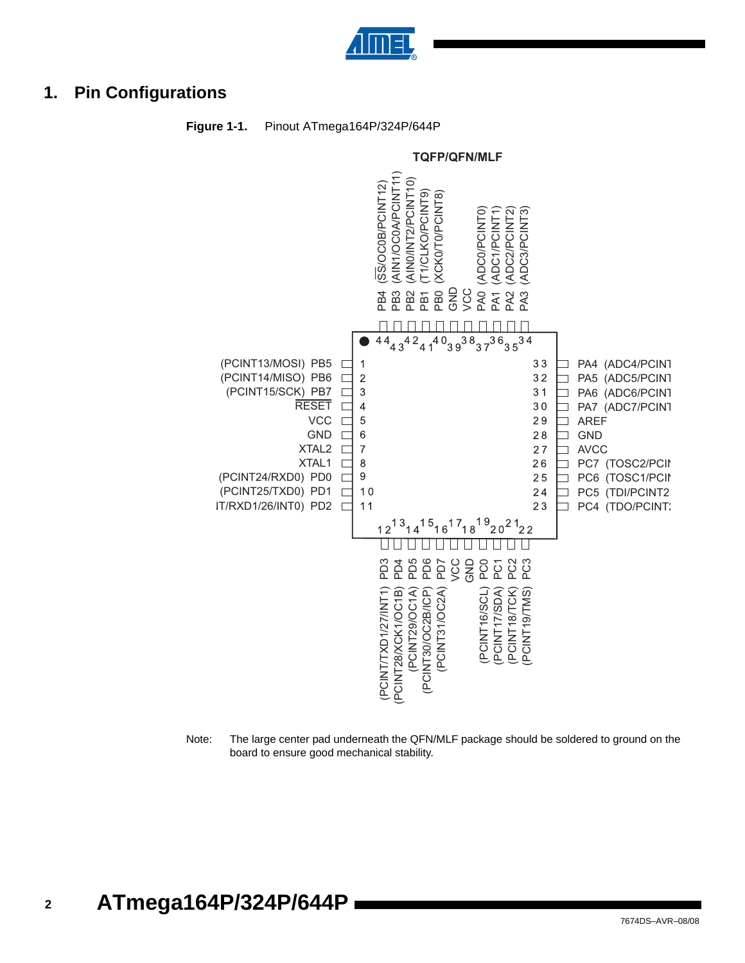

# **1. Pin Configurations**



#### **Figure 1-1.** Pinout ATmega164P/324P/644P

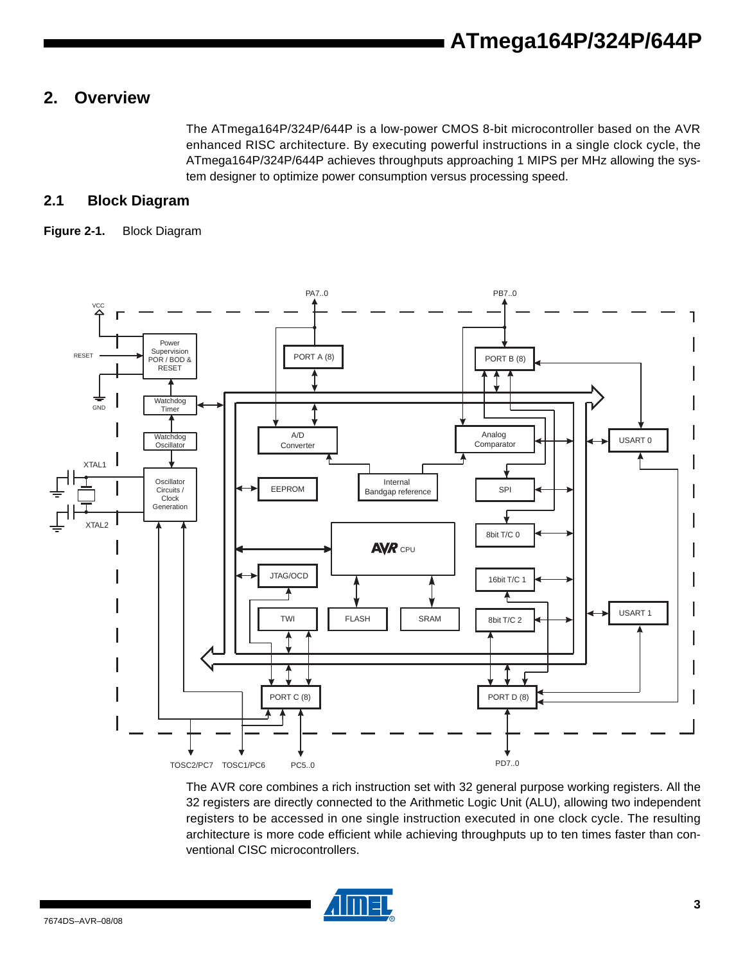# **2. Overview**

The ATmega164P/324P/644P is a low-power CMOS 8-bit microcontroller based on the AVR enhanced RISC architecture. By executing powerful instructions in a single clock cycle, the ATmega164P/324P/644P achieves throughputs approaching 1 MIPS per MHz allowing the system designer to optimize power consumption versus processing speed.

### **2.1 Block Diagram**

#### **Figure 2-1.** Block Diagram



The AVR core combines a rich instruction set with 32 general purpose working registers. All the 32 registers are directly connected to the Arithmetic Logic Unit (ALU), allowing two independent registers to be accessed in one single instruction executed in one clock cycle. The resulting architecture is more code efficient while achieving throughputs up to ten times faster than conventional CISC microcontrollers.

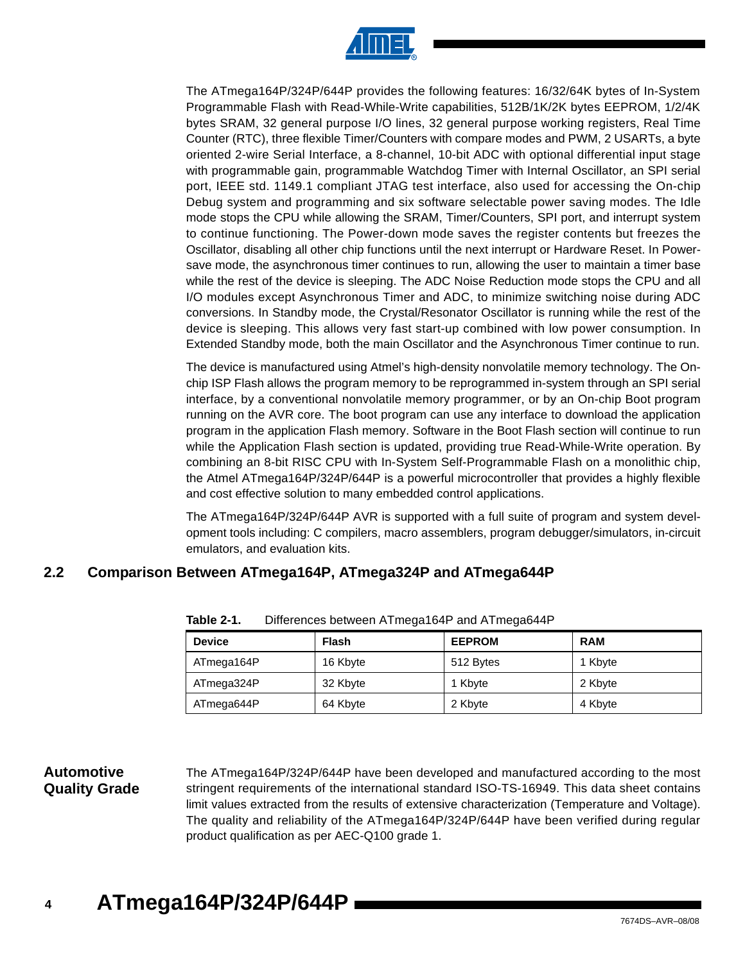

The ATmega164P/324P/644P provides the following features: 16/32/64K bytes of In-System Programmable Flash with Read-While-Write capabilities, 512B/1K/2K bytes EEPROM, 1/2/4K bytes SRAM, 32 general purpose I/O lines, 32 general purpose working registers, Real Time Counter (RTC), three flexible Timer/Counters with compare modes and PWM, 2 USARTs, a byte oriented 2-wire Serial Interface, a 8-channel, 10-bit ADC with optional differential input stage with programmable gain, programmable Watchdog Timer with Internal Oscillator, an SPI serial port, IEEE std. 1149.1 compliant JTAG test interface, also used for accessing the On-chip Debug system and programming and six software selectable power saving modes. The Idle mode stops the CPU while allowing the SRAM, Timer/Counters, SPI port, and interrupt system to continue functioning. The Power-down mode saves the register contents but freezes the Oscillator, disabling all other chip functions until the next interrupt or Hardware Reset. In Powersave mode, the asynchronous timer continues to run, allowing the user to maintain a timer base while the rest of the device is sleeping. The ADC Noise Reduction mode stops the CPU and all I/O modules except Asynchronous Timer and ADC, to minimize switching noise during ADC conversions. In Standby mode, the Crystal/Resonator Oscillator is running while the rest of the device is sleeping. This allows very fast start-up combined with low power consumption. In Extended Standby mode, both the main Oscillator and the Asynchronous Timer continue to run.

The device is manufactured using Atmel's high-density nonvolatile memory technology. The Onchip ISP Flash allows the program memory to be reprogrammed in-system through an SPI serial interface, by a conventional nonvolatile memory programmer, or by an On-chip Boot program running on the AVR core. The boot program can use any interface to download the application program in the application Flash memory. Software in the Boot Flash section will continue to run while the Application Flash section is updated, providing true Read-While-Write operation. By combining an 8-bit RISC CPU with In-System Self-Programmable Flash on a monolithic chip, the Atmel ATmega164P/324P/644P is a powerful microcontroller that provides a highly flexible and cost effective solution to many embedded control applications.

The ATmega164P/324P/644P AVR is supported with a full suite of program and system development tools including: C compilers, macro assemblers, program debugger/simulators, in-circuit emulators, and evaluation kits.

### **2.2 Comparison Between ATmega164P, ATmega324P and ATmega644P**

| <b>Device</b> | Flash    | <b>EEPROM</b> | <b>RAM</b> |
|---------------|----------|---------------|------------|
| ATmega164P    | 16 Kbyte | 512 Bytes     | 1 Kbyte    |
| ATmega324P    | 32 Kbyte | 1 Kbyte       | 2 Kbyte    |
| ATmega644P    | 64 Kbyte | 2 Kbyte       | 4 Kbyte    |

**Table 2-1.** Differences between ATmega164P and ATmega644P

### **Automotive Quality Grade**

The ATmega164P/324P/644P have been developed and manufactured according to the most stringent requirements of the international standard ISO-TS-16949. This data sheet contains limit values extracted from the results of extensive characterization (Temperature and Voltage). The quality and reliability of the ATmega164P/324P/644P have been verified during regular product qualification as per AEC-Q100 grade 1.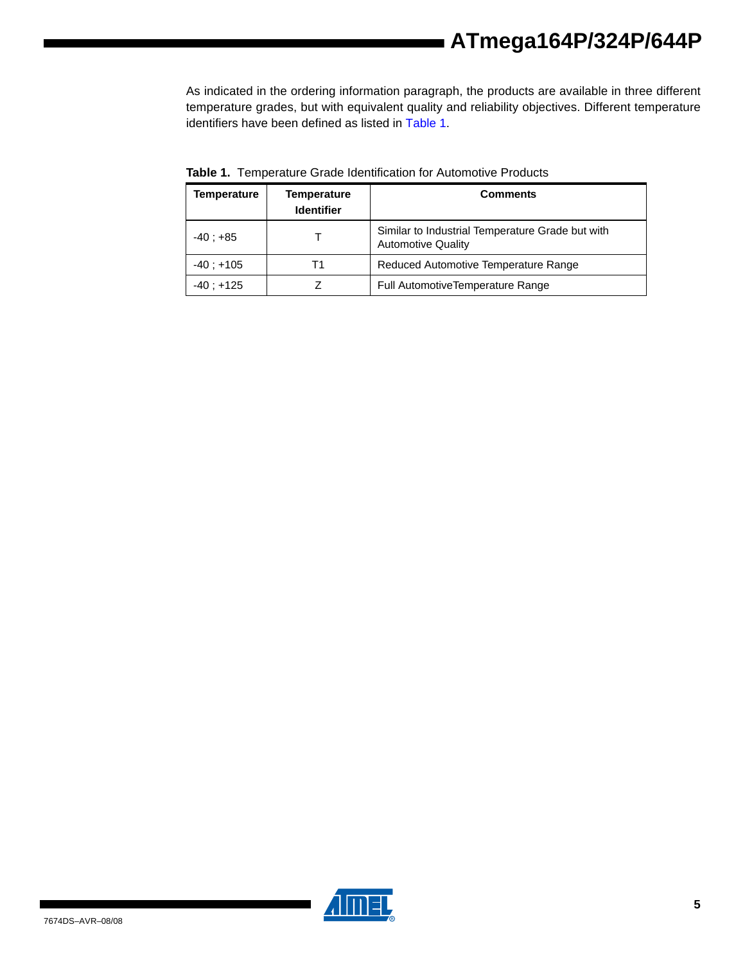As indicated in the ordering information paragraph, the products are available in three different temperature grades, but with equivalent quality and reliability objectives. Different temperature identifiers have been defined as listed in Table 1.

| Temperature<br>Temperature<br><b>Identifier</b> |    | <b>Comments</b>                                                               |  |
|-------------------------------------------------|----|-------------------------------------------------------------------------------|--|
| $-40: +85$                                      |    | Similar to Industrial Temperature Grade but with<br><b>Automotive Quality</b> |  |
| $-40: +105$                                     | Т1 | Reduced Automotive Temperature Range                                          |  |
| $-40: +125$                                     |    | <b>Full AutomotiveTemperature Range</b>                                       |  |

**Table 1.** Temperature Grade Identification for Automotive Products

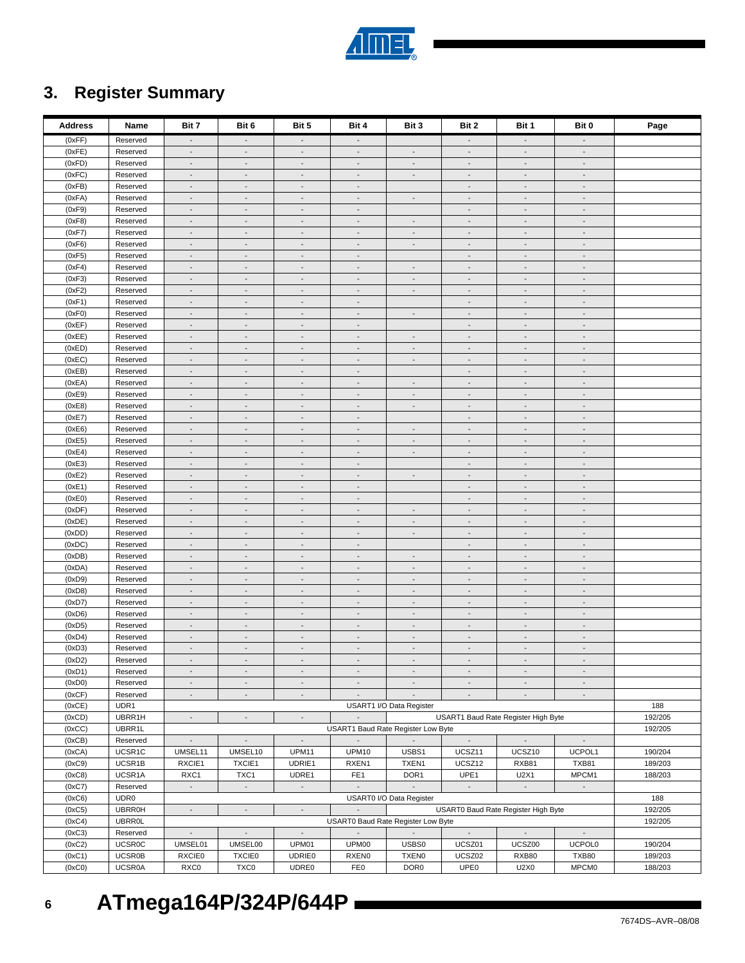| <b>Address</b>   | Name                 | Bit 7                                      | Bit 6                                                | Bit 5                                                | Bit 4                                      | Bit 3                                                | Bit 2                                                | Bit 1                                      | Bit 0                                      | Page    |
|------------------|----------------------|--------------------------------------------|------------------------------------------------------|------------------------------------------------------|--------------------------------------------|------------------------------------------------------|------------------------------------------------------|--------------------------------------------|--------------------------------------------|---------|
| (0xFF)           | Reserved             | $\overline{\phantom{a}}$                   | $\overline{\phantom{a}}$                             | $\overline{\phantom{a}}$                             |                                            |                                                      | $\overline{\phantom{a}}$                             | $\overline{\phantom{a}}$                   | $\overline{\phantom{a}}$                   |         |
| (0xFE)           | Reserved             | $\overline{\phantom{a}}$                   | $\overline{\phantom{a}}$                             | $\blacksquare$                                       | $\overline{\phantom{a}}$                   | $\sim$                                               | $\overline{\phantom{a}}$                             | $\blacksquare$                             | $\overline{\phantom{a}}$                   |         |
| (0xFD)           | Reserved             | $\blacksquare$                             | $\overline{\phantom{a}}$                             | $\overline{\phantom{a}}$                             | $\blacksquare$                             | $\overline{a}$                                       | $\blacksquare$                                       | $\blacksquare$                             | $\blacksquare$                             |         |
| (0xFC)           | Reserved             | $\overline{\phantom{a}}$                   | $\overline{\phantom{a}}$                             | $\overline{\phantom{a}}$                             | $\overline{\phantom{a}}$                   | $\overline{\phantom{a}}$                             | $\overline{\phantom{a}}$                             | $\overline{\phantom{a}}$                   | $\overline{\phantom{a}}$                   |         |
| (0xFB)           | Reserved             | $\overline{\phantom{a}}$                   | $\overline{\phantom{a}}$                             | $\overline{\phantom{a}}$                             | $\overline{\phantom{a}}$                   |                                                      | $\overline{\phantom{a}}$                             | $\overline{\phantom{a}}$                   | $\overline{\phantom{a}}$                   |         |
| (0xFA)           | Reserved             | $\overline{\phantom{a}}$                   | $\overline{\phantom{a}}$                             | $\overline{\phantom{a}}$                             | $\sim$                                     | $\blacksquare$                                       | $\overline{\phantom{a}}$                             | $\overline{\phantom{a}}$                   | $\overline{\phantom{a}}$                   |         |
| (0xF9)           | Reserved             | $\blacksquare$                             | $\overline{\phantom{a}}$                             | $\blacksquare$                                       | $\overline{a}$                             |                                                      | $\overline{\phantom{a}}$                             | $\blacksquare$                             | $\overline{\phantom{a}}$                   |         |
| (0xF8)           | Reserved             | $\overline{\phantom{a}}$                   | $\overline{\phantom{a}}$                             | $\overline{\phantom{a}}$                             | $\overline{\phantom{a}}$                   | $\overline{\phantom{a}}$                             | $\overline{\phantom{a}}$                             | $\overline{\phantom{a}}$                   | $\overline{\phantom{a}}$                   |         |
| (0xF7)           | Reserved             | $\overline{\phantom{a}}$                   | $\overline{\phantom{a}}$                             | $\overline{\phantom{a}}$                             | $\overline{\phantom{a}}$                   | $\overline{\phantom{a}}$                             | $\overline{\phantom{a}}$                             | $\blacksquare$                             | $\overline{\phantom{a}}$                   |         |
| (0xF6)           | Reserved             | $\overline{\phantom{a}}$                   | $\overline{\phantom{a}}$                             | $\overline{\phantom{a}}$                             | $\overline{\phantom{a}}$                   | $\overline{\phantom{a}}$                             | $\overline{\phantom{a}}$                             | $\blacksquare$                             | $\overline{\phantom{a}}$                   |         |
| (0xF5)           | Reserved             | $\overline{\phantom{a}}$                   | $\overline{\phantom{a}}$                             | $\overline{\phantom{a}}$                             | $\overline{\phantom{a}}$                   |                                                      | $\overline{\phantom{a}}$                             | $\overline{\phantom{a}}$                   | $\overline{\phantom{a}}$                   |         |
| (0xF4)           | Reserved             | $\overline{\phantom{a}}$                   | $\overline{\phantom{a}}$                             | $\overline{\phantom{a}}$                             | $\sim$                                     | $\sim$                                               | $\overline{\phantom{a}}$                             | $\sim$                                     | $\overline{\phantom{a}}$                   |         |
| (0xF3)           | Reserved             | $\mathbb{Z}^{\mathbb{Z}}$                  | $\overline{\phantom{a}}$                             | $\Box$                                               | $\overline{\phantom{a}}$                   | $\overline{\phantom{a}}$                             | $\blacksquare$                                       | $\overline{\phantom{a}}$                   | $\mathbb{L}$                               |         |
| (0xF2)           | Reserved             | $\overline{\phantom{a}}$                   | $\overline{\phantom{a}}$                             | $\overline{\phantom{a}}$                             | $\overline{\phantom{a}}$                   | $\sim$                                               | $\overline{\phantom{a}}$                             | $\overline{\phantom{a}}$                   | $\overline{\phantom{a}}$                   |         |
| (0xF1)           | Reserved             | $\overline{\phantom{a}}$                   | $\blacksquare$                                       | $\overline{\phantom{a}}$                             | $\overline{\phantom{a}}$                   |                                                      | $\blacksquare$                                       | $\blacksquare$                             | $\blacksquare$                             |         |
| (0xF0)           | Reserved             | $\overline{\phantom{a}}$                   | $\overline{\phantom{a}}$                             | $\overline{\phantom{a}}$                             | $\overline{\phantom{a}}$                   | $\overline{\phantom{a}}$                             | $\overline{\phantom{a}}$                             | $\overline{\phantom{a}}$                   | $\overline{\phantom{a}}$                   |         |
| (0xEF)           | Reserved             | $\overline{\phantom{a}}$                   | $\overline{\phantom{a}}$                             | $\overline{\phantom{a}}$                             | $\overline{\phantom{a}}$                   |                                                      | $\overline{\phantom{a}}$                             | $\overline{\phantom{a}}$                   | $\overline{\phantom{a}}$                   |         |
| (0xEE)           | Reserved             | $\overline{\phantom{a}}$<br>$\blacksquare$ | $\overline{\phantom{a}}$<br>$\overline{\phantom{a}}$ | $\overline{\phantom{a}}$<br>$\overline{\phantom{a}}$ | $\blacksquare$<br>$\overline{\phantom{a}}$ | $\overline{\phantom{a}}$<br>$\sim$                   | $\overline{\phantom{a}}$<br>$\blacksquare$           | $\overline{\phantom{a}}$<br>$\blacksquare$ | $\overline{\phantom{a}}$<br>$\blacksquare$ |         |
| (0xED)<br>(0xEC) | Reserved<br>Reserved | $\overline{\phantom{a}}$                   | $\overline{\phantom{a}}$                             | $\overline{\phantom{a}}$                             | $\overline{\phantom{a}}$                   | $\overline{\phantom{a}}$                             | $\overline{\phantom{a}}$                             | $\blacksquare$                             | $\overline{\phantom{a}}$                   |         |
| (0xEB)           | Reserved             | $\overline{\phantom{a}}$                   | $\overline{\phantom{a}}$                             | $\overline{\phantom{a}}$                             | $\overline{\phantom{a}}$                   |                                                      | $\overline{\phantom{a}}$                             | $\blacksquare$                             | $\overline{\phantom{a}}$                   |         |
| (0xEA)           | Reserved             | $\overline{\phantom{a}}$                   | $\overline{\phantom{a}}$                             | $\overline{a}$                                       | $\overline{\phantom{a}}$                   | $\blacksquare$                                       | $\overline{\phantom{a}}$                             | $\blacksquare$                             | $\blacksquare$                             |         |
| (0xE9)           | Reserved             | $\overline{\phantom{a}}$                   | $\overline{\phantom{a}}$                             | $\overline{\phantom{a}}$                             | $\overline{\phantom{a}}$                   | $\overline{\phantom{a}}$                             | $\overline{\phantom{a}}$                             | $\overline{\phantom{a}}$                   | $\overline{\phantom{a}}$                   |         |
| (0xE8)           | Reserved             | $\blacksquare$                             | $\overline{\phantom{a}}$                             | $\blacksquare$                                       | $\sim$                                     | $\overline{\phantom{a}}$                             | $\overline{\phantom{a}}$                             | $\sim$                                     | $\sim$                                     |         |
| (0xE7)           | Reserved             | $\mathbb{Z}^{\mathbb{Z}}$                  | $\overline{\phantom{a}}$                             | $\Box$                                               | $\mathcal{L}_{\mathcal{A}}$                |                                                      | $\overline{\phantom{a}}$                             | $\overline{\phantom{a}}$                   | $\overline{\phantom{a}}$                   |         |
| (0xE6)           | Reserved             | $\overline{\phantom{a}}$                   | $\overline{\phantom{a}}$                             | $\overline{\phantom{a}}$                             | $\overline{\phantom{a}}$                   | $\overline{\phantom{a}}$                             | $\overline{\phantom{a}}$                             | $\blacksquare$                             | $\overline{\phantom{a}}$                   |         |
| (0xE5)           | Reserved             | $\overline{\phantom{a}}$                   | $\overline{\phantom{a}}$                             | $\overline{\phantom{a}}$                             | $\overline{\phantom{a}}$                   | $\overline{a}$                                       | $\blacksquare$                                       | $\overline{\phantom{a}}$                   | $\blacksquare$                             |         |
| (0xE4)           | Reserved             | $\overline{\phantom{a}}$                   | $\overline{\phantom{a}}$                             | $\overline{\phantom{a}}$                             | $\overline{\phantom{a}}$                   | $\overline{\phantom{a}}$                             | $\overline{\phantom{a}}$                             | $\overline{\phantom{a}}$                   | $\overline{\phantom{a}}$                   |         |
| (0xE3)           | Reserved             | $\overline{\phantom{a}}$                   | $\overline{\phantom{a}}$                             | $\overline{\phantom{a}}$                             | $\overline{\phantom{a}}$                   |                                                      | $\overline{\phantom{a}}$                             | $\overline{\phantom{a}}$                   | $\overline{\phantom{a}}$                   |         |
| (0xE2)           | Reserved             | $\overline{\phantom{a}}$                   | $\overline{\phantom{a}}$                             | $\overline{\phantom{a}}$                             | $\sim$                                     | $\mathcal{L}_{\mathcal{A}}$                          | $\overline{\phantom{a}}$                             | $\overline{\phantom{a}}$                   | $\overline{\phantom{a}}$                   |         |
| (0xE1)           | Reserved             | $\blacksquare$                             | $\overline{\phantom{a}}$                             | $\overline{\phantom{a}}$                             | $\overline{\phantom{a}}$                   |                                                      | $\blacksquare$                                       | $\blacksquare$                             | $\blacksquare$                             |         |
| (0xE0)           | Reserved             | $\overline{\phantom{a}}$                   | $\overline{\phantom{a}}$                             | $\overline{\phantom{a}}$                             | $\overline{\phantom{a}}$                   |                                                      | $\overline{\phantom{a}}$                             | $\blacksquare$                             | $\overline{\phantom{a}}$                   |         |
| (0xDF)           | Reserved             | $\overline{\phantom{a}}$                   | $\overline{\phantom{a}}$                             | $\overline{\phantom{a}}$                             | $\overline{\phantom{a}}$                   | $\overline{\phantom{a}}$                             | $\overline{\phantom{a}}$                             | $\blacksquare$                             | $\overline{\phantom{a}}$                   |         |
| (0xDE)           | Reserved             | $\overline{\phantom{a}}$                   | $\overline{\phantom{a}}$                             | $\overline{\phantom{a}}$                             | $\overline{\phantom{a}}$                   | $\overline{\phantom{a}}$                             | $\overline{\phantom{a}}$                             | $\overline{\phantom{a}}$                   | $\overline{\phantom{a}}$                   |         |
| (0xDD)           | Reserved             | $\overline{\phantom{a}}$                   | $\overline{\phantom{a}}$                             | $\overline{\phantom{a}}$                             | $\overline{\phantom{a}}$                   | $\overline{\phantom{a}}$                             | $\overline{\phantom{a}}$                             | $\overline{\phantom{a}}$                   | $\overline{\phantom{a}}$                   |         |
| (0xDC)           | Reserved             | $\overline{\phantom{a}}$                   | $\overline{\phantom{a}}$                             | $\overline{\phantom{a}}$                             | $\sim$                                     |                                                      | $\overline{\phantom{a}}$                             | $\sim$                                     | $\overline{\phantom{a}}$                   |         |
| (0xDB)           | Reserved             | $\mathbb{Z}^{\mathbb{Z}}$                  | $\overline{\phantom{a}}$                             | $\Box$                                               | $\blacksquare$                             | $\overline{\phantom{a}}$                             | $\overline{\phantom{a}}$                             | $\overline{\phantom{a}}$                   | $\mathbb{L}$                               |         |
| (0xDA)           | Reserved             | $\overline{\phantom{a}}$                   | $\overline{\phantom{a}}$                             | $\overline{\phantom{a}}$                             | $\overline{\phantom{a}}$                   | $\overline{\phantom{a}}$                             | $\overline{\phantom{a}}$                             | $\overline{\phantom{a}}$                   | $\overline{\phantom{a}}$                   |         |
| (0xD9)           | Reserved             | $\overline{\phantom{a}}$                   | $\blacksquare$                                       | $\overline{\phantom{a}}$                             | $\overline{\phantom{a}}$                   | $\sim$                                               | $\blacksquare$                                       | $\blacksquare$                             | $\blacksquare$                             |         |
| (0xD8)           | Reserved             | $\overline{\phantom{a}}$                   | $\overline{\phantom{a}}$                             | $\overline{\phantom{a}}$                             | $\overline{\phantom{a}}$                   | $\overline{\phantom{a}}$                             | $\overline{\phantom{a}}$                             | $\overline{\phantom{a}}$                   | $\overline{\phantom{a}}$                   |         |
| (0xD7)           | Reserved             | $\overline{\phantom{a}}$                   | $\overline{\phantom{a}}$                             | $\overline{\phantom{a}}$                             | $\overline{\phantom{a}}$                   | $\overline{\phantom{a}}$                             | $\overline{\phantom{a}}$                             | $\overline{\phantom{a}}$                   | $\overline{\phantom{a}}$                   |         |
| (0xD6)           | Reserved             | $\overline{\phantom{a}}$<br>$\blacksquare$ | $\overline{\phantom{a}}$<br>$\overline{\phantom{a}}$ | $\overline{\phantom{a}}$                             | $\sim$<br>$\overline{\phantom{a}}$         | $\overline{\phantom{a}}$<br>$\overline{\phantom{a}}$ | $\overline{\phantom{a}}$<br>$\overline{\phantom{a}}$ | $\overline{\phantom{a}}$<br>$\blacksquare$ | $\overline{\phantom{a}}$<br>$\blacksquare$ |         |
| (0xD5)<br>(0xD4) | Reserved<br>Reserved | $\overline{\phantom{a}}$                   | $\overline{\phantom{a}}$                             | $\overline{\phantom{a}}$<br>$\overline{\phantom{a}}$ | $\overline{\phantom{a}}$                   | $\overline{\phantom{a}}$                             | $\overline{\phantom{a}}$                             | $\blacksquare$                             | $\overline{\phantom{a}}$                   |         |
| (0xD3)           | Reserved             | $\overline{\phantom{a}}$                   | $\overline{\phantom{a}}$                             | $\blacksquare$                                       | $\overline{\phantom{a}}$                   | $\overline{\phantom{a}}$                             | $\overline{\phantom{a}}$                             | $\blacksquare$                             | $\overline{\phantom{a}}$                   |         |
| (0xD2)           | Reserved             |                                            |                                                      |                                                      |                                            |                                                      |                                                      |                                            |                                            |         |
| (0xD1)           | Reserved             | $\blacksquare$                             | $\overline{\phantom{a}}$                             | $\overline{\phantom{a}}$                             | $\overline{\phantom{a}}$                   | $\overline{\phantom{a}}$                             | $\overline{\phantom{a}}$                             | $\blacksquare$                             | $\overline{\phantom{a}}$                   |         |
| (0xD0)           | Reserved             | $\blacksquare$                             | $\overline{\phantom{a}}$                             | $\overline{\phantom{a}}$                             | $\overline{\phantom{a}}$                   | $\overline{\phantom{a}}$                             | $\overline{\phantom{a}}$                             | $\blacksquare$                             | $\overline{\phantom{a}}$                   |         |
| (0xCF)           | Reserved             | $\mathbb{Z}^{\mathbb{Z}}$                  | $\mathbb{Z}^{\mathbb{Z}}$                            | ÷.                                                   | $\Box$                                     | $\mathbb{Z}^+$                                       | $\mathbb{Z}^+$                                       | $\mathbb{Z}^{\mathbb{Z}}$                  | $\mathbb{Z}^+$                             |         |
| (0xCE)           | UDR1                 |                                            |                                                      |                                                      |                                            | USART1 I/O Data Register                             |                                                      |                                            |                                            | 188     |
| (0xCD)           | UBRR1H               | $\mathcal{L}_{\mathcal{A}}$                | $\sim$                                               | $\Box$                                               |                                            |                                                      | USART1 Baud Rate Register High Byte                  |                                            |                                            | 192/205 |
| (0xCC)           | UBRR1L               |                                            |                                                      |                                                      |                                            | USART1 Baud Rate Register Low Byte                   |                                                      |                                            |                                            | 192/205 |
| (0xCB)           | Reserved             | $\blacksquare$                             | $\overline{\phantom{a}}$                             | $\overline{\phantom{a}}$                             | $\sim$                                     | $\sim$                                               | $\sim$                                               | $\blacksquare$                             | $\overline{\phantom{a}}$                   |         |
| (0xCA)           | UCSR1C               | UMSEL11                                    | UMSEL10                                              | UPM11                                                | <b>UPM10</b>                               | USBS1                                                | UCSZ11                                               | UCSZ10                                     | UCPOL1                                     | 190/204 |
| (0xC9)           | UCSR1B               | RXCIE1                                     | TXCIE1                                               | UDRIE1                                               | RXEN1                                      | TXEN1                                                | UCSZ12                                               | RXB81                                      | <b>TXB81</b>                               | 189/203 |
| (0xC8)           | UCSR1A               | RXC1                                       | TXC1                                                 | UDRE1                                                | FE <sub>1</sub>                            | DOR <sub>1</sub>                                     | UPE1                                                 | U2X1                                       | MPCM1                                      | 188/203 |
| (0xC7)           | Reserved             | $\mathcal{L}_{\mathcal{A}}$                | $\overline{\phantom{a}}$                             | $\Box$                                               | $\overline{\phantom{a}}$                   |                                                      | $\overline{\phantom{a}}$                             | $\sim$                                     | $\sim$                                     |         |
| (0xC6)           | UDR0                 |                                            |                                                      |                                                      |                                            | USART0 I/O Data Register                             |                                                      |                                            |                                            | 188     |
| (0xC5)           | <b>UBRR0H</b>        | $\overline{\phantom{a}}$                   | $\overline{\phantom{a}}$                             | $\overline{\phantom{a}}$                             | $\overline{\phantom{a}}$                   |                                                      | USART0 Baud Rate Register High Byte                  |                                            |                                            | 192/205 |
| (0xC4)           | <b>UBRR0L</b>        |                                            |                                                      |                                                      |                                            | USART0 Baud Rate Register Low Byte                   |                                                      |                                            |                                            | 192/205 |
| (0xC3)           | Reserved             | $\mathbb{Z}^{\mathbb{Z}}$                  | $\Box$                                               | $\Box$                                               | $\mathcal{L}^{\pm}$                        | $\sim$                                               | $\sim$                                               | $\blacksquare$                             | $\mathbb{L}$                               |         |
| (0xC2)           | <b>UCSR0C</b>        | UMSEL01                                    | UMSEL00                                              | UPM01                                                | UPM00                                      | USBS0                                                | UCSZ01                                               | UCSZ00                                     | <b>UCPOL0</b>                              | 190/204 |
| (0xC1)           | <b>UCSR0B</b>        | <b>RXCIE0</b>                              | <b>TXCIE0</b>                                        | <b>UDRIE0</b>                                        | RXEN <sub>0</sub>                          | TXEN <sub>0</sub>                                    | UCSZ02                                               | RXB80                                      | <b>TXB80</b>                               | 189/203 |
| (0xC0)           | <b>UCSR0A</b>        | RXC0                                       | TXC0                                                 | UDRE0                                                | FEO                                        | DOR <sub>0</sub>                                     | UPE0                                                 | <b>U2X0</b>                                | MPCM0                                      | 188/203 |

# **3. Register Summary**

**6**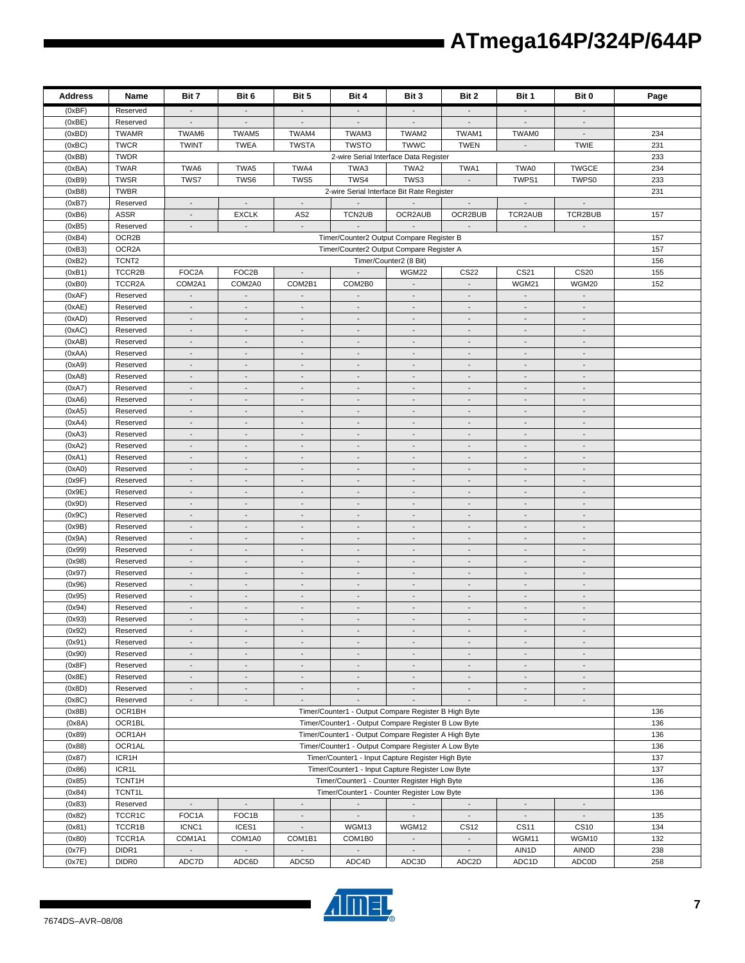| <b>Address</b>   | Name                    | Bit 7                                                                                     | Bit 6                                                | Bit 5                                                | Bit 4                                                | Bit 3                                                | Bit 2                                                | Bit 1                                                | Bit 0                                                | Page |
|------------------|-------------------------|-------------------------------------------------------------------------------------------|------------------------------------------------------|------------------------------------------------------|------------------------------------------------------|------------------------------------------------------|------------------------------------------------------|------------------------------------------------------|------------------------------------------------------|------|
| (0xBF)           | Reserved                | $\sim$                                                                                    | $\sim$                                               | $\overline{\phantom{a}}$                             | $\sim$                                               | $\sim$                                               |                                                      | $\sim$                                               | $\overline{\phantom{a}}$                             |      |
| (0xBE)           | Reserved                | $\overline{\phantom{a}}$                                                                  | $\overline{\phantom{a}}$                             | $\overline{\phantom{a}}$                             | $\overline{\phantom{a}}$                             | $\overline{\phantom{a}}$                             | $\overline{\phantom{a}}$                             | $\overline{\phantom{a}}$                             | $\overline{\phantom{a}}$                             |      |
| (0xBD)           | <b>TWAMR</b>            | TWAM6                                                                                     | TWAM5                                                | TWAM4                                                | TWAM3                                                | TWAM2                                                | TWAM1                                                | TWAM0                                                | $\mathbb{L}$                                         | 234  |
| (0xBC)           | <b>TWCR</b>             | <b>TWINT</b>                                                                              | <b>TWEA</b>                                          | <b>TWSTA</b>                                         | <b>TWSTO</b>                                         | TWWC                                                 | <b>TWEN</b>                                          | $\blacksquare$                                       | <b>TWIE</b>                                          | 231  |
| (0xBB)           | <b>TWDR</b>             |                                                                                           |                                                      |                                                      |                                                      | 2-wire Serial Interface Data Register                |                                                      |                                                      |                                                      | 233  |
| (0xBA)           | <b>TWAR</b>             | TWA6                                                                                      | TWA5                                                 | TWA4                                                 | TWA3                                                 | TWA2                                                 | TWA1                                                 | TWA0                                                 | <b>TWGCE</b>                                         | 234  |
| (0xB9)           | <b>TWSR</b>             | TWS7                                                                                      | TWS6                                                 | TWS5                                                 | TWS4                                                 | TWS3                                                 |                                                      | TWPS1                                                | TWPS0                                                | 233  |
| (0xB8)           | <b>TWBR</b>             |                                                                                           |                                                      |                                                      | 2-wire Serial Interface Bit Rate Register            |                                                      |                                                      |                                                      |                                                      | 231  |
| (0xB7)<br>(0xB6) | Reserved<br><b>ASSR</b> | $\overline{\phantom{a}}$<br>$\mathcal{L}_{\mathcal{A}}$                                   | $\overline{\phantom{a}}$<br><b>EXCLK</b>             | $\overline{\phantom{a}}$<br>AS <sub>2</sub>          | $\sim$<br>TCN2UB                                     | $\sim$<br>OCR2AUB                                    | $\overline{\phantom{a}}$<br>OCR2BUB                  | $\overline{\phantom{a}}$<br>TCR2AUB                  | $\overline{\phantom{a}}$<br>TCR2BUB                  | 157  |
| (0xB5)           | Reserved                | $\overline{\phantom{a}}$                                                                  | $\overline{\phantom{a}}$                             | $\overline{\phantom{a}}$                             |                                                      |                                                      |                                                      | $\blacksquare$                                       | $\overline{\phantom{a}}$                             |      |
| (0xB4)           | OCR2B                   |                                                                                           | Timer/Counter2 Output Compare Register B             |                                                      |                                                      |                                                      |                                                      |                                                      |                                                      | 157  |
| (0xB3)           | OCR2A                   |                                                                                           |                                                      |                                                      | Timer/Counter2 Output Compare Register A             |                                                      |                                                      |                                                      |                                                      | 157  |
| (0xB2)           | TCNT <sub>2</sub>       |                                                                                           |                                                      |                                                      |                                                      | Timer/Counter2 (8 Bit)                               |                                                      |                                                      |                                                      | 156  |
| (0xB1)           | TCCR2B                  | FOC2A                                                                                     | FOC2B                                                | $\overline{\phantom{a}}$                             | $\mathbb{L}^2$                                       | WGM22                                                | <b>CS22</b>                                          | CS21                                                 | <b>CS20</b>                                          | 155  |
| (0xB0)           | TCCR2A                  | COM2A1                                                                                    | COM2A0                                               | COM2B1                                               | COM2B0                                               |                                                      | $\blacksquare$                                       | <b>WGM21</b>                                         | WGM20                                                | 152  |
| (0xAF)           | Reserved                | $\overline{\phantom{a}}$                                                                  | $\mathcal{L}$                                        | $\Box$                                               | $\Box$                                               | $\blacksquare$                                       | $\blacksquare$                                       | $\mathcal{L}_{\mathcal{A}}$                          | $\Box$                                               |      |
| (0xAE)           | Reserved                | $\overline{\phantom{a}}$                                                                  | $\overline{\phantom{a}}$                             | $\overline{\phantom{a}}$                             | $\overline{\phantom{a}}$                             | $\overline{\phantom{a}}$                             | $\overline{\phantom{a}}$                             | $\overline{\phantom{a}}$                             | $\overline{\phantom{a}}$                             |      |
| (0xAD)           | Reserved                | $\blacksquare$                                                                            | $\overline{\phantom{a}}$                             | $\overline{a}$                                       |                                                      | $\overline{\phantom{a}}$                             | $\overline{a}$                                       | $\overline{\phantom{a}}$                             | $\frac{1}{2}$                                        |      |
| (0xAC)           | Reserved                | $\blacksquare$                                                                            | $\sim$                                               | $\overline{\phantom{a}}$                             | $\overline{\phantom{a}}$                             | $\sim$                                               | $\overline{\phantom{a}}$                             | $\overline{\phantom{a}}$                             | $\overline{\phantom{a}}$                             |      |
| (0xAB)           | Reserved                | $\blacksquare$                                                                            | $\overline{\phantom{a}}$                             | $\blacksquare$                                       | $\overline{\phantom{a}}$                             | $\overline{\phantom{a}}$                             | $\blacksquare$                                       | $\overline{\phantom{a}}$                             | $\overline{\phantom{a}}$                             |      |
| (0xAA)           | Reserved                | $\Box$                                                                                    | $\overline{a}$                                       | $\overline{a}$                                       | $\overline{\phantom{a}}$                             | $\overline{a}$                                       | $\overline{a}$                                       | $\blacksquare$                                       | $\blacksquare$                                       |      |
| (0xA9)           | Reserved                | $\blacksquare$                                                                            | $\blacksquare$                                       | $\overline{a}$                                       | $\blacksquare$                                       | $\sim$                                               | $\overline{\phantom{a}}$                             | $\blacksquare$                                       | $\blacksquare$                                       |      |
| (0xA8)           | Reserved                | $\blacksquare$                                                                            |                                                      |                                                      | $\overline{\phantom{a}}$                             | $\overline{\phantom{a}}$                             |                                                      | $\overline{\phantom{a}}$                             | $\overline{\phantom{a}}$                             |      |
| (0xA7)           | Reserved<br>Reserved    | $\overline{\phantom{a}}$<br>$\blacksquare$                                                | $\overline{\phantom{a}}$<br>$\overline{\phantom{a}}$ | $\overline{\phantom{a}}$<br>$\overline{\phantom{a}}$ | $\overline{\phantom{a}}$<br>$\overline{\phantom{a}}$ | $\overline{\phantom{a}}$<br>$\overline{\phantom{a}}$ | $\overline{\phantom{a}}$<br>$\overline{\phantom{a}}$ | $\overline{\phantom{a}}$<br>$\overline{\phantom{a}}$ | $\overline{\phantom{a}}$<br>$\blacksquare$           |      |
| (0xA6)<br>(0xA5) | Reserved                | $\blacksquare$                                                                            | $\overline{\phantom{a}}$                             | $\overline{\phantom{a}}$                             | $\blacksquare$                                       | $\overline{\phantom{a}}$                             | $\blacksquare$                                       | $\blacksquare$                                       | $\overline{\phantom{a}}$                             |      |
| (0xA4)           | Reserved                | $\blacksquare$                                                                            | $\overline{\phantom{a}}$                             | $\overline{a}$                                       | $\overline{\phantom{a}}$                             | $\overline{a}$                                       | $\overline{a}$                                       | $\sim$                                               | $\overline{\phantom{a}}$                             |      |
| (0xA3)           | Reserved                | $\blacksquare$                                                                            | $\overline{\phantom{a}}$                             | $\overline{\phantom{a}}$                             | $\blacksquare$                                       | $\blacksquare$                                       | $\overline{\phantom{a}}$                             | $\blacksquare$                                       | $\blacksquare$                                       |      |
| (0xA2)           | Reserved                | $\overline{\phantom{a}}$                                                                  | $\overline{\phantom{a}}$                             | $\overline{\phantom{a}}$                             | $\overline{\phantom{a}}$                             | $\overline{\phantom{a}}$                             | $\overline{\phantom{a}}$                             | $\overline{\phantom{a}}$                             | $\overline{\phantom{a}}$                             |      |
| (0xA1)           | Reserved                | $\overline{\phantom{a}}$                                                                  |                                                      | $\overline{a}$                                       |                                                      | $\frac{1}{2}$                                        | $\overline{a}$                                       |                                                      | $\overline{a}$                                       |      |
| (0xA0)           | Reserved                | $\blacksquare$                                                                            | $\overline{\phantom{a}}$                             | $\overline{\phantom{a}}$                             | $\overline{\phantom{a}}$                             | $\sim$                                               | $\overline{\phantom{a}}$                             | $\overline{\phantom{a}}$                             | $\overline{\phantom{a}}$                             |      |
| (0x9F)           | Reserved                | $\blacksquare$                                                                            | $\overline{\phantom{a}}$                             | $\blacksquare$                                       | $\overline{\phantom{a}}$                             | $\sim$                                               | $\blacksquare$                                       | $\sim$                                               | $\blacksquare$                                       |      |
| (0x9E)           | Reserved                | $\Box$                                                                                    | $\overline{a}$                                       | $\overline{a}$                                       | $\overline{\phantom{a}}$                             | $\blacksquare$                                       | $\blacksquare$                                       | $\blacksquare$                                       | $\blacksquare$                                       |      |
| (0x9D)           | Reserved                | $\overline{\phantom{a}}$                                                                  | $\overline{\phantom{a}}$                             | $\overline{\phantom{a}}$                             | $\blacksquare$                                       | $\sim$                                               | $\overline{\phantom{a}}$                             | $\blacksquare$                                       | $\overline{\phantom{a}}$                             |      |
| (0x9C)           | Reserved                | $\overline{\phantom{a}}$                                                                  | $\overline{\phantom{a}}$                             | $\overline{a}$                                       | $\overline{\phantom{a}}$                             | $\overline{\phantom{a}}$                             |                                                      | $\overline{\phantom{a}}$                             | $\overline{\phantom{a}}$                             |      |
| (0x9B)           | Reserved                | $\overline{\phantom{a}}$                                                                  | $\overline{\phantom{a}}$                             | $\frac{1}{2}$                                        | $\overline{\phantom{a}}$                             | $\overline{\phantom{a}}$                             | $\overline{\phantom{a}}$                             | $\sim$                                               | $\blacksquare$                                       |      |
| (0x9A)           | Reserved                | $\blacksquare$                                                                            | $\overline{\phantom{a}}$                             | $\overline{\phantom{a}}$                             | $\overline{\phantom{a}}$                             | $\overline{\phantom{a}}$                             | $\overline{\phantom{a}}$                             | $\overline{\phantom{a}}$                             | $\overline{\phantom{a}}$                             |      |
| (0x99)           | Reserved                | $\sim$                                                                                    | $\overline{\phantom{a}}$                             | $\overline{\phantom{a}}$                             | $\blacksquare$                                       | $\sim$                                               | $\blacksquare$                                       | $\mathcal{L}_{\mathcal{A}}$                          | $\overline{\phantom{a}}$                             |      |
| (0x98)           | Reserved                | $\blacksquare$                                                                            | $\overline{a}$                                       | $\blacksquare$                                       | $\overline{\phantom{a}}$                             | $\overline{a}$                                       | $\blacksquare$                                       | $\sim$                                               | $\overline{\phantom{a}}$                             |      |
| (0x97)           | Reserved                | $\mathcal{L}_{\mathcal{A}}$                                                               | $\overline{\phantom{a}}$                             | $\overline{a}$                                       | $\overline{\phantom{a}}$                             | $\blacksquare$                                       | $\overline{\phantom{a}}$                             | $\blacksquare$                                       | $\blacksquare$                                       |      |
| (0x96)<br>(0x95) | Reserved<br>Reserved    | $\overline{\phantom{a}}$<br>$\overline{\phantom{a}}$                                      | $\overline{\phantom{a}}$<br>$\overline{\phantom{a}}$ | $\overline{\phantom{a}}$<br>$\overline{a}$           | $\overline{\phantom{a}}$<br>$\overline{\phantom{a}}$ | $\overline{\phantom{a}}$<br>$\overline{\phantom{a}}$ | $\overline{\phantom{a}}$<br>$\overline{a}$           | $\overline{\phantom{a}}$                             | $\overline{\phantom{a}}$<br>$\overline{\phantom{a}}$ |      |
| (0x94)           | Reserved                | $\blacksquare$                                                                            | $\overline{\phantom{a}}$                             | $\overline{\phantom{a}}$                             | $\overline{\phantom{a}}$                             | $\overline{\phantom{a}}$                             | $\overline{\phantom{a}}$                             | $\overline{\phantom{a}}$                             | $\overline{\phantom{a}}$                             |      |
| (0x93)           | Reserved                | $\blacksquare$                                                                            | $\overline{\phantom{a}}$                             | $\blacksquare$                                       | $\overline{\phantom{a}}$                             | $\sim$                                               | $\blacksquare$                                       | $\overline{\phantom{a}}$                             | $\overline{\phantom{a}}$                             |      |
| (0x92)           | Reserved                |                                                                                           |                                                      |                                                      |                                                      |                                                      |                                                      |                                                      |                                                      |      |
| (0x91)           | Reserved                | $\overline{\phantom{a}}$                                                                  | $\overline{\phantom{a}}$                             | $\overline{a}$                                       | $\overline{\phantom{a}}$                             | $\overline{\phantom{a}}$                             | $\overline{\phantom{a}}$                             | $\blacksquare$                                       | $\overline{\phantom{a}}$                             |      |
| (0x90)           | Reserved                | $\overline{\phantom{a}}$                                                                  | $\overline{\phantom{a}}$                             | $\overline{\phantom{a}}$                             | $\centerdot$                                         | $\overline{\phantom{a}}$                             |                                                      | $\overline{\phantom{a}}$                             | $\overline{\phantom{a}}$                             |      |
| (0x8F)           | Reserved                | $\sim$                                                                                    | $\overline{\phantom{a}}$                             | $\overline{\phantom{a}}$                             | $\overline{\phantom{a}}$                             | $\overline{\phantom{a}}$                             | $\overline{\phantom{a}}$                             | $\overline{\phantom{a}}$                             | $\overline{\phantom{a}}$                             |      |
| (0x8E)           | Reserved                | $\blacksquare$                                                                            | $\sim$                                               | $\blacksquare$                                       | $\blacksquare$                                       | $\sim$                                               | $\overline{\phantom{a}}$                             | $\sim$                                               | $\blacksquare$                                       |      |
| (0x8D)           | Reserved                | $\mathcal{L}_{\mathcal{A}}$                                                               | $\sim$                                               | $\overline{\phantom{a}}$                             | $\sim$                                               | $\mathcal{L}_{\mathcal{A}}$                          | $\blacksquare$                                       | $\sim$                                               | $\overline{\phantom{a}}$                             |      |
| (0x8C)           | Reserved                | $\blacksquare$                                                                            | $\overline{\phantom{a}}$                             | $\overline{\phantom{a}}$                             | $\overline{\phantom{a}}$                             | $\overline{\phantom{a}}$                             | $\blacksquare$                                       | $\overline{\phantom{a}}$                             | $\blacksquare$                                       |      |
| (0x8B)           | OCR1BH                  |                                                                                           |                                                      |                                                      | Timer/Counter1 - Output Compare Register B High Byte |                                                      |                                                      |                                                      |                                                      | 136  |
| (0x8A)           | OCR1BL                  |                                                                                           |                                                      |                                                      | Timer/Counter1 - Output Compare Register B Low Byte  |                                                      |                                                      |                                                      |                                                      | 136  |
| (0x89)           | OCR1AH                  | Timer/Counter1 - Output Compare Register A High Byte                                      |                                                      |                                                      |                                                      |                                                      |                                                      | 136                                                  |                                                      |      |
| (0x88)           | OCR1AL                  | Timer/Counter1 - Output Compare Register A Low Byte                                       |                                                      |                                                      |                                                      |                                                      |                                                      | 136                                                  |                                                      |      |
| (0x87)           | ICR1H                   | Timer/Counter1 - Input Capture Register High Byte                                         |                                                      |                                                      |                                                      |                                                      |                                                      | 137                                                  |                                                      |      |
| (0x86)           | ICR1L                   | Timer/Counter1 - Input Capture Register Low Byte                                          |                                                      |                                                      |                                                      |                                                      |                                                      | 137                                                  |                                                      |      |
| (0x85)           | TCNT1H                  | Timer/Counter1 - Counter Register High Byte<br>Timer/Counter1 - Counter Register Low Byte |                                                      |                                                      |                                                      |                                                      |                                                      | 136                                                  |                                                      |      |
| (0x84)<br>(0x83) | TCNT1L<br>Reserved      | $\blacksquare$                                                                            | $\overline{\phantom{a}}$                             | $\overline{\phantom{a}}$                             | $\sim$                                               | $\sim$                                               | $\overline{\phantom{a}}$                             | $\overline{\phantom{a}}$                             | $\overline{\phantom{a}}$                             | 136  |
| (0x82)           | TCCR1C                  | FOC1A                                                                                     | FOC1B                                                | $\overline{\phantom{a}}$                             | $\sim$                                               | $\sim$                                               | $\overline{\phantom{a}}$                             | $\sim$                                               | $\overline{\phantom{a}}$                             | 135  |
| (0x81)           | TCCR1B                  | ICNC1                                                                                     | ICES1                                                | ÷,                                                   | WGM13                                                | WGM12                                                | <b>CS12</b>                                          | <b>CS11</b>                                          | <b>CS10</b>                                          | 134  |
| (0x80)           | TCCR1A                  | COM1A1                                                                                    | COM1A0                                               | COM1B1                                               | COM1B0                                               | $\overline{\phantom{a}}$                             | $\overline{\phantom{a}}$                             | WGM11                                                | WGM10                                                | 132  |
| (0x7F)           | DIDR1                   | $\mathcal{A}$                                                                             | $\overline{\phantom{a}}$                             | $\Box$                                               | $\overline{\phantom{a}}$                             | $\mathbb{Z}^+$                                       | $\overline{\phantom{a}}$                             | AIN1D                                                | <b>AINOD</b>                                         | 238  |
| (0x7E)           | DIDR <sub>0</sub>       | ADC7D                                                                                     | ADC6D                                                | ADC5D                                                | ADC4D                                                | ADC3D                                                | ADC2D                                                | ADC1D                                                | ADC0D                                                | 258  |



 $\blacksquare$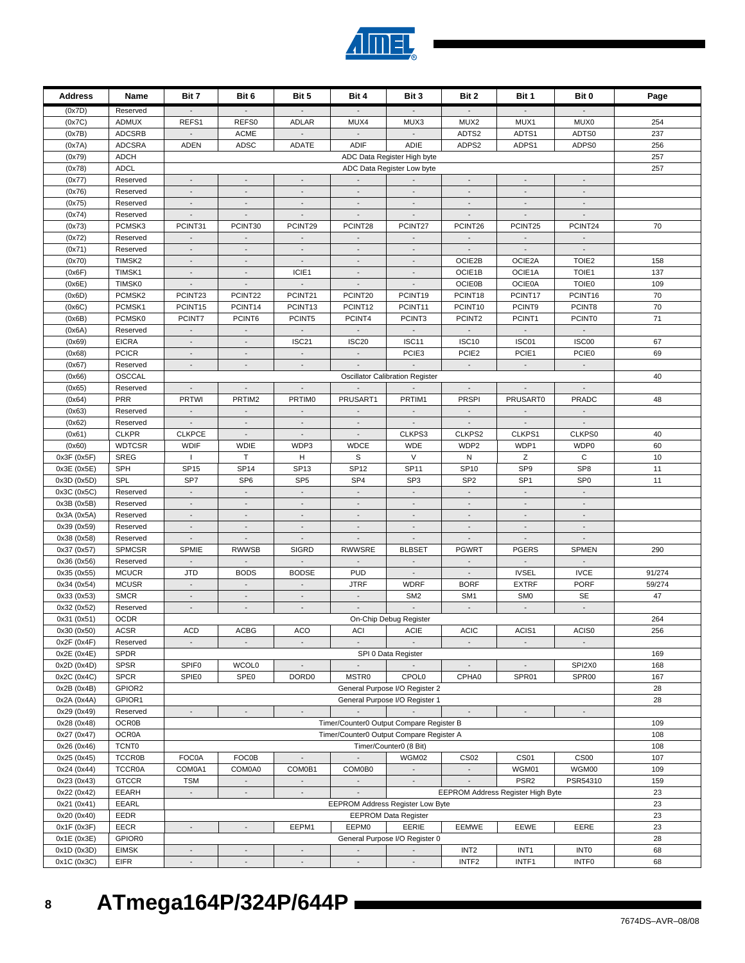| (0x7D)                     | Reserved                    |                             | $\sim$                                  |                                          | $\sim$                                 | $\mathcal{L}_{\mathcal{A}}$                             | $\blacksquare$                             |                                          |                                         |              |
|----------------------------|-----------------------------|-----------------------------|-----------------------------------------|------------------------------------------|----------------------------------------|---------------------------------------------------------|--------------------------------------------|------------------------------------------|-----------------------------------------|--------------|
| (0x7C)                     | <b>ADMUX</b>                | REFS1                       | REFS0                                   | <b>ADLAR</b>                             | MUX4                                   | MUX3                                                    | MUX2                                       | MUX1                                     | MUX0                                    | 254          |
| (0x7B)                     | <b>ADCSRB</b>               |                             | <b>ACME</b>                             |                                          |                                        |                                                         | ADTS2                                      | ADTS1                                    | ADTS0                                   | 237          |
| (0x7A)                     | <b>ADCSRA</b>               | ADEN                        | ADSC                                    | ADATE                                    | <b>ADIF</b>                            | ADIE                                                    | ADPS2                                      | ADPS1                                    | ADPS0                                   | 256          |
| (0x79)                     | ADCH                        |                             |                                         |                                          |                                        | ADC Data Register High byte                             |                                            |                                          |                                         | 257          |
| (0x78)                     | <b>ADCL</b>                 |                             |                                         |                                          |                                        | ADC Data Register Low byte                              |                                            |                                          |                                         | 257          |
| (0x77)                     | Reserved                    | $\overline{\phantom{a}}$    | $\sim$                                  | $\blacksquare$                           | $\sim$                                 |                                                         | $\sim$                                     | $\sim$                                   | $\blacksquare$                          |              |
| (0x76)                     | Reserved                    | $\overline{\phantom{a}}$    | $\overline{\phantom{a}}$                | $\overline{\phantom{a}}$                 | $\overline{\phantom{a}}$               | $\overline{\phantom{a}}$                                | $\overline{\phantom{a}}$                   | $\overline{\phantom{a}}$                 | $\overline{\phantom{a}}$                |              |
| (0x75)                     | Reserved                    | $\blacksquare$              | $\overline{\phantom{a}}$                |                                          |                                        |                                                         |                                            |                                          | $\blacksquare$                          |              |
| (0x74)                     | Reserved                    | $\blacksquare$              | $\overline{\phantom{a}}$                | $\overline{\phantom{a}}$                 | $\overline{\phantom{a}}$               | $\overline{\phantom{a}}$                                | $\overline{\phantom{a}}$                   | $\overline{\phantom{a}}$                 | $\overline{\phantom{a}}$                |              |
| (0x73)                     | PCMSK3                      | PCINT31                     | PCINT30                                 | PCINT29                                  | PCINT28                                | PCINT27                                                 | PCINT26                                    | PCINT25                                  | PCINT24                                 | 70           |
| (0x72)                     | Reserved                    | $\mathcal{L}_{\mathcal{A}}$ | $\blacksquare$                          | $\overline{\phantom{a}}$                 | $\overline{a}$                         | $\overline{a}$                                          | $\blacksquare$                             | $\mathcal{L}^{\pm}$                      | $\Box$                                  |              |
| (0x71)                     | Reserved                    | $\overline{\phantom{a}}$    | $\sim$                                  | $\blacksquare$                           | $\sim$                                 | $\blacksquare$                                          | $\overline{\phantom{a}}$                   | $\sim$                                   | $\sim$                                  |              |
| (0x70)                     | TIMSK2                      | $\overline{\phantom{a}}$    | $\blacksquare$                          | $\overline{\phantom{a}}$                 | $\overline{\phantom{a}}$               | $\overline{\phantom{a}}$                                | OCIE2B                                     | OCIE2A                                   | TOIE <sub>2</sub>                       | 158          |
| (0x6F)                     | TIMSK1                      | $\mathcal{L}_{\mathcal{A}}$ | $\overline{\phantom{a}}$                | ICIE1                                    | $\sim$                                 | $\overline{\phantom{a}}$                                | OCIE1B                                     | OCIE1A                                   | TOIE1                                   | 137          |
| (0x6E)                     | TIMSK0                      | $\overline{\phantom{a}}$    | $\overline{\phantom{a}}$                | $\overline{\phantom{a}}$                 | $\overline{\phantom{a}}$               | $\overline{\phantom{a}}$                                | <b>OCIE0B</b>                              | <b>OCIE0A</b>                            | <b>TOIE0</b>                            | 109          |
| (0x6D)                     | PCMSK2                      | PCINT23                     | PCINT22                                 | PCINT21                                  | PCINT20                                | PCINT19                                                 | PCINT18                                    | PCINT17                                  | PCINT16                                 | 70           |
| (0x6C)                     | PCMSK1                      | PCINT15                     | PCINT14                                 | PCINT13                                  | PCINT12                                | PCINT11                                                 | PCINT10                                    | PCINT9                                   | PCINT8                                  | 70           |
| (0x6B)                     | PCMSK0                      | PCINT7                      | PCINT6                                  | PCINT5                                   | PCINT4                                 | PCINT3                                                  | PCINT2                                     | PCINT1                                   | <b>PCINT0</b>                           | 71           |
| (0x6A)                     | Reserved                    | $\overline{\phantom{a}}$    | $\overline{\phantom{a}}$                | $\overline{\phantom{a}}$                 |                                        |                                                         | $\overline{\phantom{a}}$                   | $\overline{\phantom{a}}$                 | $\Box$                                  |              |
| (0x69)                     | <b>EICRA</b>                |                             | $\overline{\phantom{a}}$                | ISC <sub>21</sub>                        | <b>ISC20</b>                           | ISC11                                                   | <b>ISC10</b>                               | ISC01                                    | ISC00                                   | 67           |
| (0x68)                     | <b>PCICR</b>                | $\mathcal{L}_{\mathcal{A}}$ | $\sim$                                  | $\sim$                                   | $\sim$                                 | PCIE <sub>3</sub>                                       | PCIE <sub>2</sub>                          | PCIE1                                    | PCIE0                                   | 69           |
| (0x67)                     | Reserved                    | $\sim$                      | $\overline{\phantom{a}}$                | $\overline{\phantom{a}}$                 | $\sim$                                 | $\sim$                                                  | $\sim$                                     | $\sim$                                   | $\sim$                                  |              |
| (0x66)                     | OSCCAL                      |                             |                                         |                                          |                                        | <b>Oscillator Calibration Register</b>                  |                                            |                                          |                                         | 40           |
| (0x65)                     | Reserved                    | $\sim$                      | $\overline{\phantom{a}}$                | $\overline{\phantom{a}}$                 |                                        |                                                         | $\sim$                                     | $\sim$                                   | $\sim$                                  |              |
| (0x64)                     | <b>PRR</b>                  | <b>PRTWI</b>                | PRTIM2                                  | <b>PRTIMO</b>                            | PRUSART1                               | PRTIM1                                                  | <b>PRSPI</b>                               | PRUSART0                                 | PRADC                                   | 48           |
| (0x63)                     | Reserved                    | $\sim$                      | $\overline{\phantom{a}}$                | $\overline{\phantom{a}}$                 | $\mathcal{L}_{\mathcal{A}}$            | $\sim$                                                  | $\overline{\phantom{a}}$                   | $\mathcal{L}_{\mathcal{A}}$              | $\overline{\phantom{a}}$                |              |
| (0x62)                     | Reserved                    | $\overline{\phantom{a}}$    | $\overline{\phantom{a}}$                | $\overline{\phantom{a}}$                 |                                        | $\overline{\phantom{a}}$                                |                                            | $\overline{\phantom{a}}$                 | $\overline{\phantom{a}}$                |              |
| (0x61)                     | <b>CLKPR</b>                | <b>CLKPCE</b>               | $\mathcal{L}_{\mathcal{A}}$             | $\overline{\phantom{a}}$                 | $\sim$                                 | CLKPS3                                                  | CLKPS2                                     | CLKPS1                                   | CLKPS0                                  | 40           |
| (0x60)                     | <b>WDTCSR</b>               | <b>WDIF</b>                 | <b>WDIE</b>                             | WDP3                                     | <b>WDCE</b>                            | <b>WDE</b>                                              | WDP2                                       | WDP1                                     | WDP0                                    | 60           |
| 0x3F (0x5F)                | <b>SREG</b>                 | $\mathbf{I}$                | $\mathsf T$                             | н                                        | $\mathbf S$                            | $\vee$                                                  | ${\sf N}$                                  | Z                                        | $\mathbf C$                             | 10           |
| 0x3E (0x5E)                | SPH                         | <b>SP15</b>                 | SP <sub>14</sub>                        | SP <sub>13</sub>                         | <b>SP12</b>                            | <b>SP11</b>                                             | <b>SP10</b>                                | SP <sub>9</sub>                          | SP <sub>8</sub>                         | 11           |
| 0x3D (0x5D)                | <b>SPL</b>                  | SP7                         | SP <sub>6</sub>                         | SP <sub>5</sub>                          | SP <sub>4</sub>                        | SP <sub>3</sub>                                         | SP <sub>2</sub>                            | SP <sub>1</sub>                          | SP <sub>0</sub>                         | 11           |
| 0x3C (0x5C)                | Reserved                    | $\sim$                      | $\sim$                                  | $\blacksquare$                           | $\sim$                                 | $\omega$                                                | $\overline{\phantom{a}}$                   | $\sim$                                   | $\sim$                                  |              |
| 0x3B (0x5B)                | Reserved                    | $\overline{\phantom{a}}$    | $\overline{\phantom{a}}$                | $\overline{\phantom{a}}$                 | $\overline{\phantom{a}}$               | $\overline{\phantom{a}}$                                | $\overline{\phantom{a}}$                   | $\overline{\phantom{a}}$                 | $\overline{\phantom{a}}$                |              |
| 0x3A (0x5A)                | Reserved                    | $\mathcal{L}_{\mathcal{A}}$ | $\overline{\phantom{a}}$                | $\overline{\phantom{a}}$                 | $\blacksquare$                         | $\blacksquare$                                          | $\blacksquare$                             | $\blacksquare$                           | $\blacksquare$                          |              |
| 0x39 (0x59)                | Reserved                    | $\overline{\phantom{a}}$    | $\blacksquare$                          | $\blacksquare$                           | $\sim$                                 | $\blacksquare$                                          | $\sim$                                     | $\sim$                                   | $\sim$                                  |              |
| 0x38 (0x58)                | Reserved                    | $\overline{\phantom{a}}$    | $\overline{\phantom{a}}$                | $\overline{\phantom{a}}$                 | $\overline{\phantom{a}}$               | $\overline{\phantom{a}}$                                | $\overline{\phantom{a}}$                   | $\overline{\phantom{a}}$                 | $\overline{\phantom{a}}$                |              |
| 0x37 (0x57)                | <b>SPMCSR</b>               | <b>SPMIE</b>                | <b>RWWSB</b>                            | <b>SIGRD</b>                             | <b>RWWSRE</b>                          | <b>BLBSET</b>                                           | <b>PGWRT</b>                               | <b>PGERS</b>                             | <b>SPMEN</b>                            | 290          |
| 0x36 (0x56)                | Reserved                    | $\sim$<br><b>JTD</b>        | $\overline{\phantom{a}}$<br><b>BODS</b> | $\overline{\phantom{a}}$<br><b>BODSE</b> | $\overline{\phantom{a}}$<br><b>PUD</b> | $\overline{\phantom{a}}$<br>$\mathcal{L}_{\mathcal{A}}$ | $\overline{\phantom{a}}$<br>$\blacksquare$ | $\sim$<br><b>IVSEL</b>                   | $\overline{\phantom{a}}$<br><b>IVCE</b> | 91/274       |
| 0x35 (0x55)                | <b>MCUCR</b>                | $\blacksquare$              | $\blacksquare$                          |                                          |                                        |                                                         |                                            |                                          |                                         |              |
| 0x34 (0x54)                | <b>MCUSR</b><br><b>SMCR</b> | $\mathcal{L}_{\mathcal{A}}$ | $\mathcal{L}_{\mathcal{A}}$             | $\overline{\phantom{a}}$                 | <b>JTRF</b><br>$\sim$                  | <b>WDRF</b><br>SM <sub>2</sub>                          | <b>BORF</b><br>SM <sub>1</sub>             | <b>EXTRF</b><br>SM <sub>0</sub>          | <b>PORF</b><br><b>SE</b>                | 59/274<br>47 |
| 0x33 (0x53)<br>0x32 (0x52) | Reserved                    | $\overline{\phantom{a}}$    | $\overline{\phantom{a}}$                | $\overline{\phantom{a}}$                 | $\overline{\phantom{a}}$               |                                                         | $\overline{\phantom{a}}$                   | $\overline{\phantom{a}}$                 | $\overline{\phantom{a}}$                |              |
| 0x31 (0x51)                | <b>OCDR</b>                 |                             |                                         |                                          |                                        |                                                         |                                            |                                          |                                         | 264          |
| 0x30 (0x50)                | <b>ACSR</b>                 | <b>ACD</b>                  | <b>ACBG</b>                             | ACO                                      | <b>ACI</b>                             | On-Chip Debug Register<br><b>ACIE</b>                   | <b>ACIC</b>                                | ACIS1                                    | ACIS0                                   | 256          |
| 0x2F(0x4F)                 | Reserved                    | $\overline{\phantom{a}}$    | $\blacksquare$                          | $\overline{\phantom{a}}$                 | $\mathbb{Z}^2$                         | $\mathcal{L}_{\mathcal{A}}$                             | $\blacksquare$                             | $\sim$                                   | $\blacksquare$                          |              |
| 0x2E (0x4E)                | <b>SPDR</b>                 |                             |                                         |                                          |                                        | SPI 0 Data Register                                     |                                            |                                          |                                         | 169          |
| 0x2D (0x4D)                | <b>SPSR</b>                 | SPIF <sub>0</sub>           | <b>WCOL0</b>                            | $\overline{\phantom{a}}$                 | $\sim$                                 |                                                         | $\sim$                                     | $\sim$                                   | SPI2X0                                  | 168          |
| 0x2C (0x4C)                | <b>SPCR</b>                 | SPIE0                       | SPE0                                    | DORD <sub>0</sub>                        | MSTR0                                  | CPOL0                                                   | CPHA0                                      | SPR01                                    | SPR00                                   | 167          |
| 0x2B(0x4B)                 | GPIOR2                      |                             |                                         |                                          |                                        | General Purpose I/O Register 2                          |                                            |                                          |                                         | 28           |
| 0x2A (0x4A)                | GPIOR1                      |                             |                                         |                                          |                                        | General Purpose I/O Register 1                          |                                            |                                          |                                         | 28           |
| 0x29 (0x49)                | Reserved                    | $\overline{\phantom{a}}$    | $\overline{\phantom{a}}$                | $\overline{\phantom{a}}$                 | $\mathcal{L}_{\mathcal{A}}$            | $\overline{\phantom{a}}$                                | $\overline{\phantom{a}}$                   | $\overline{\phantom{a}}$                 | $\overline{\phantom{a}}$                |              |
| 0x28 (0x48)                | <b>OCR0B</b>                |                             |                                         |                                          |                                        | Timer/Counter0 Output Compare Register B                |                                            |                                          |                                         | 109          |
| 0x27 (0x47)                | OCR0A                       |                             |                                         |                                          |                                        | Timer/Counter0 Output Compare Register A                |                                            |                                          |                                         | 108          |
| 0x26 (0x46)                | TCNT0                       |                             |                                         |                                          |                                        | Timer/Counter0 (8 Bit)                                  |                                            |                                          |                                         | 108          |
| 0x25 (0x45)                | <b>TCCR0B</b>               | <b>FOC0A</b>                | FOC0B                                   | $\blacksquare$                           |                                        | WGM02                                                   | CS <sub>02</sub>                           | CS01                                     | CS <sub>00</sub>                        | 107          |
| 0x24 (0x44)                | <b>TCCR0A</b>               | COM0A1                      | COM0A0                                  | COM0B1                                   | COM0B0                                 | $\sim$                                                  | $\overline{\phantom{a}}$                   | WGM01                                    | WGM00                                   | 109          |
| 0x23 (0x43)                | <b>GTCCR</b>                | <b>TSM</b>                  | $\overline{\phantom{a}}$                | $\overline{\phantom{a}}$                 | $\sim$                                 | $\sim$                                                  | $\overline{\phantom{a}}$                   | PSR <sub>2</sub>                         | PSR54310                                | 159          |
| 0x22 (0x42)                | EEARH                       | $\blacksquare$              | $\Box$                                  | $\overline{\phantom{a}}$                 |                                        |                                                         |                                            | <b>EEPROM Address Register High Byte</b> |                                         | 23           |
| 0x21 (0x41)                | EEARL                       |                             |                                         |                                          |                                        | <b>EEPROM Address Register Low Byte</b>                 |                                            |                                          |                                         | 23           |
| 0x20 (0x40)                | EEDR                        |                             |                                         |                                          |                                        | <b>EEPROM Data Register</b>                             |                                            |                                          |                                         | 23           |
| 0x1F (0x3F)                | EECR                        | $\overline{\phantom{a}}$    | $\overline{\phantom{a}}$                | EEPM1                                    | EEPM0                                  | EERIE                                                   | EEMWE                                      | EEWE                                     | EERE                                    | 23           |
| 0x1E (0x3E)                | GPIOR0                      |                             |                                         |                                          |                                        | General Purpose I/O Register 0                          |                                            |                                          |                                         | 28           |
| 0x1D (0x3D)                | <b>EIMSK</b>                | $\blacksquare$              | $\overline{\phantom{a}}$                | $\overline{\phantom{a}}$                 | $\sim$                                 | $\sim$                                                  | INT <sub>2</sub>                           | INT <sub>1</sub>                         | <b>INTO</b>                             | 68           |
| 0x1C (0x3C)                | EIFR                        | $\blacksquare$              | $\overline{\phantom{a}}$                | $\blacksquare$                           | $\blacksquare$                         | $\blacksquare$                                          | INTF <sub>2</sub>                          | INTF1                                    | INTF <sub>0</sub>                       | 68           |

**Address Name Bit 7 Bit 6 Bit 5 Bit 4 Bit 3 Bit 2 Bit 1 Bit 0 Page** 

**Almel**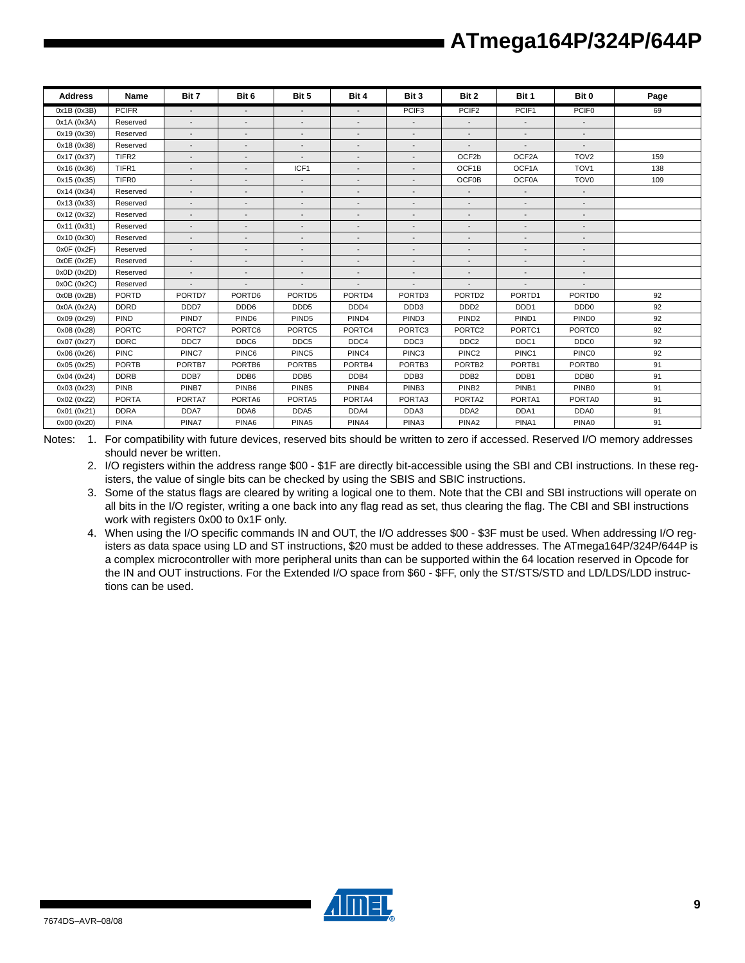| <b>Address</b> | Name              | Bit 7                    | Bit 6                    | Bit 5                    | Bit 4                    | Bit 3                    | Bit 2                    | Bit 1                    | Bit 0                    | Page |
|----------------|-------------------|--------------------------|--------------------------|--------------------------|--------------------------|--------------------------|--------------------------|--------------------------|--------------------------|------|
| 0x1B (0x3B)    | <b>PCIFR</b>      | $\sim$                   | $\sim$                   | $\overline{\phantom{a}}$ | $\overline{\phantom{a}}$ | PCIF <sub>3</sub>        | PCIF <sub>2</sub>        | PCIF1                    | PCIF <sub>0</sub>        | 69   |
| 0x1A (0x3A)    | Reserved          | $\overline{\phantom{a}}$ | $\overline{a}$           | $\overline{\phantom{a}}$ | $\overline{\phantom{a}}$ | $\overline{\phantom{a}}$ | $\overline{\phantom{a}}$ | $\overline{\phantom{a}}$ | $\sim$                   |      |
| 0x19 (0x39)    | Reserved          | $\overline{\phantom{a}}$ | $\overline{\phantom{a}}$ | $\overline{\phantom{a}}$ | $\overline{\phantom{a}}$ | $\overline{\phantom{a}}$ | $\overline{\phantom{a}}$ | $\overline{\phantom{a}}$ | $\overline{\phantom{a}}$ |      |
| 0x18 (0x38)    | Reserved          | $\overline{a}$           | $\overline{\phantom{a}}$ | $\overline{\phantom{a}}$ | $\overline{\phantom{a}}$ | $\overline{\phantom{a}}$ |                          | $\overline{\phantom{a}}$ |                          |      |
| 0x17 (0x37)    | TIFR <sub>2</sub> | $\overline{\phantom{a}}$ | $\overline{\phantom{a}}$ | $\overline{\phantom{a}}$ | $\overline{\phantom{a}}$ | $\overline{\phantom{a}}$ | OCF2b                    | OCF2A                    | TOV <sub>2</sub>         | 159  |
| 0x16 (0x36)    | TIFR1             | $\overline{\phantom{a}}$ | $\overline{a}$           | ICF1                     | $\overline{\phantom{a}}$ | $\overline{\phantom{a}}$ | OCF1B                    | OCF1A                    | TOV <sub>1</sub>         | 138  |
| 0x15 (0x35)    | TIFR <sub>0</sub> | $\overline{\phantom{a}}$ | $\overline{\phantom{a}}$ | $\blacksquare$           |                          | $\overline{\phantom{0}}$ | <b>OCF0B</b>             | OCF0A                    | TOV <sub>0</sub>         | 109  |
| 0x14 (0x34)    | Reserved          |                          |                          | $\overline{\phantom{a}}$ | $\overline{\phantom{a}}$ | $\overline{\phantom{a}}$ | $\overline{\phantom{a}}$ | $\overline{\phantom{a}}$ | $\sim$                   |      |
| 0x13 (0x33)    | Reserved          | $\overline{\phantom{a}}$ |                          | $\overline{\phantom{a}}$ |                          |                          | $\overline{\phantom{a}}$ |                          |                          |      |
| 0x12 (0x32)    | Reserved          | $\overline{\phantom{a}}$ | $\overline{\phantom{a}}$ | $\overline{\phantom{a}}$ | $\overline{\phantom{a}}$ | $\overline{\phantom{a}}$ | $\overline{\phantom{a}}$ | $\overline{\phantom{a}}$ | $\overline{\phantom{a}}$ |      |
| 0x11 (0x31)    | Reserved          | $\overline{\phantom{a}}$ | $\overline{a}$           | $\overline{\phantom{a}}$ | $\overline{\phantom{a}}$ | $\overline{\phantom{a}}$ | $\overline{\phantom{a}}$ | $\blacksquare$           |                          |      |
| 0x10 (0x30)    | Reserved          | $\overline{\phantom{a}}$ | $\overline{\phantom{a}}$ | $\overline{\phantom{a}}$ | $\overline{\phantom{a}}$ | $\overline{\phantom{a}}$ | $\overline{\phantom{a}}$ | $\overline{\phantom{a}}$ | $\overline{\phantom{a}}$ |      |
| 0x0F(0x2F)     | Reserved          | $\overline{\phantom{0}}$ | $\overline{\phantom{a}}$ | $\overline{\phantom{a}}$ | $\overline{\phantom{0}}$ | $\overline{\phantom{a}}$ | $\overline{\phantom{a}}$ | $\overline{a}$           | $\overline{\phantom{a}}$ |      |
| 0x0E (0x2E)    | Reserved          | $\sim$                   | $\overline{\phantom{a}}$ | $\overline{\phantom{a}}$ | $\overline{\phantom{a}}$ | $\overline{\phantom{a}}$ | $\overline{\phantom{a}}$ | $\overline{\phantom{a}}$ | $\overline{\phantom{a}}$ |      |
| 0x0D(0x2D)     | Reserved          | $\overline{a}$           | $\overline{\phantom{a}}$ | $\overline{\phantom{a}}$ | $\overline{\phantom{a}}$ | $\overline{\phantom{a}}$ |                          | $\overline{\phantom{a}}$ | $\overline{\phantom{a}}$ |      |
| 0x0C(0x2C)     | Reserved          | $\overline{a}$           | $\overline{\phantom{a}}$ |                          | $\overline{\phantom{a}}$ | $\overline{\phantom{a}}$ |                          | $\overline{a}$           |                          |      |
| 0x0B(0x2B)     | <b>PORTD</b>      | PORTD7                   | PORTD6                   | PORTD5                   | PORTD4                   | PORTD3                   | PORTD <sub>2</sub>       | PORTD1                   | PORTD0                   | 92   |
| 0x0A (0x2A)    | <b>DDRD</b>       | DDD7                     | DDD6                     | DDD <sub>5</sub>         | DDD4                     | DDD3                     | DDD <sub>2</sub>         | DDD <sub>1</sub>         | DDD <sub>0</sub>         | 92   |
| 0x09 (0x29)    | PIND              | PIND7                    | PIND <sub>6</sub>        | PIND <sub>5</sub>        | PIND4                    | PIND <sub>3</sub>        | PIND <sub>2</sub>        | PIND1                    | PIND <sub>0</sub>        | 92   |
| 0x08 (0x28)    | <b>PORTC</b>      | PORTC7                   | PORTC6                   | PORTC5                   | PORTC4                   | PORTC3                   | PORTC2                   | PORTC1                   | PORTC0                   | 92   |
| 0x07 (0x27)    | <b>DDRC</b>       | DDC7                     | DDC6                     | DDC <sub>5</sub>         | DDC4                     | DDC3                     | DDC <sub>2</sub>         | DDC <sub>1</sub>         | DDC <sub>0</sub>         | 92   |
| 0x06 (0x26)    | <b>PINC</b>       | PINC7                    | PINC6                    | PINC5                    | PINC4                    | PINC3                    | PINC <sub>2</sub>        | PINC1                    | PINC <sub>0</sub>        | 92   |
| 0x05 (0x25)    | <b>PORTB</b>      | PORTB7                   | PORTB6                   | PORTB5                   | PORTB4                   | PORTB3                   | PORTB <sub>2</sub>       | PORTB1                   | PORTB0                   | 91   |
| 0x04 (0x24)    | <b>DDRB</b>       | DDB7                     | DDB6                     | DDB <sub>5</sub>         | DDB4                     | DDB3                     | DDB <sub>2</sub>         | DDB1                     | DDB <sub>0</sub>         | 91   |
| 0x03 (0x23)    | <b>PINB</b>       | PINB7                    | PINB <sub>6</sub>        | PINB <sub>5</sub>        | PINB4                    | PINB <sub>3</sub>        | PINB <sub>2</sub>        | PINB1                    | PINB <sub>0</sub>        | 91   |
| 0x02 (0x22)    | <b>PORTA</b>      | PORTA7                   | PORTA6                   | PORTA5                   | PORTA4                   | PORTA3                   | PORTA2                   | PORTA1                   | PORTA0                   | 91   |
| 0x01 (0x21)    | <b>DDRA</b>       | DDA7                     | DDA6                     | DDA5                     | DDA4                     | DDA3                     | DDA <sub>2</sub>         | DDA1                     | DDA0                     | 91   |
| 0x00 (0x20)    | <b>PINA</b>       | PINA7                    | PINA6                    | PINA <sub>5</sub>        | PINA4                    | PINA3                    | PINA <sub>2</sub>        | PINA1                    | PINA0                    | 91   |

Notes: 1. For compatibility with future devices, reserved bits should be written to zero if accessed. Reserved I/O memory addresses should never be written.

2. I/O registers within the address range \$00 - \$1F are directly bit-accessible using the SBI and CBI instructions. In these registers, the value of single bits can be checked by using the SBIS and SBIC instructions.

- 3. Some of the status flags are cleared by writing a logical one to them. Note that the CBI and SBI instructions will operate on all bits in the I/O register, writing a one back into any flag read as set, thus clearing the flag. The CBI and SBI instructions work with registers 0x00 to 0x1F only.
- 4. When using the I/O specific commands IN and OUT, the I/O addresses \$00 \$3F must be used. When addressing I/O registers as data space using LD and ST instructions, \$20 must be added to these addresses. The ATmega164P/324P/644P is a complex microcontroller with more peripheral units than can be supported within the 64 location reserved in Opcode for the IN and OUT instructions. For the Extended I/O space from \$60 - \$FF, only the ST/STS/STD and LD/LDS/LDD instructions can be used.

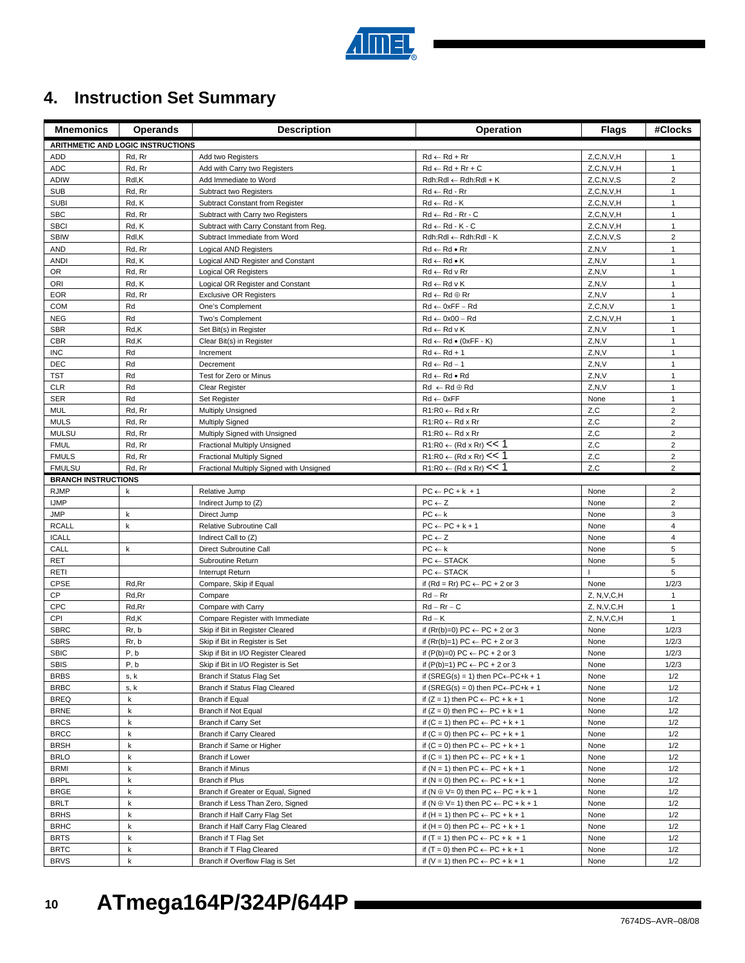

# **4. Instruction Set Summary**

| <b>Mnemonics</b>           | <b>Operands</b>                   | <b>Description</b>                                              | Operation                                                                          | <b>Flags</b>  | #Clocks                 |
|----------------------------|-----------------------------------|-----------------------------------------------------------------|------------------------------------------------------------------------------------|---------------|-------------------------|
|                            | ARITHMETIC AND LOGIC INSTRUCTIONS |                                                                 |                                                                                    |               |                         |
| ADD                        | Rd, Rr                            | Add two Registers                                               | $Rd \leftarrow Rd + Rr$                                                            | Z, C, N, V, H | 1                       |
| <b>ADC</b>                 | Rd, Rr                            | Add with Carry two Registers                                    | $Rd \leftarrow Rd + Rr + C$                                                        | Z, C, N, V, H | $\mathbf{1}$            |
| <b>ADIW</b>                | Rdl,K                             | Add Immediate to Word                                           | Rdh:Rdl ← Rdh:Rdl + K                                                              | Z, C, N, V, S | $\overline{c}$          |
| <b>SUB</b>                 | Rd, Rr                            | Subtract two Registers                                          | Rd ← Rd - Rr                                                                       | Z, C, N, V, H | $\mathbf{1}$            |
| <b>SUBI</b>                | Rd, K                             | Subtract Constant from Register                                 | $Rd \leftarrow Rd - K$                                                             | Z, C, N, V, H | $\mathbf{1}$            |
| <b>SBC</b>                 | Rd, Rr                            | Subtract with Carry two Registers                               | $Rd \leftarrow Rd - Rr - C$                                                        | Z, C, N, V, H | $\mathbf{1}$            |
| <b>SBCI</b>                | Rd, K                             | Subtract with Carry Constant from Reg.                          | $Rd \leftarrow Rd - K - C$                                                         | Z, C, N, V, H | $\mathbf{1}$            |
| <b>SBIW</b>                | Rdl,K                             | Subtract Immediate from Word                                    | Rdh:Rdl ← Rdh:Rdl - K                                                              | Z, C, N, V, S | $\overline{2}$          |
| <b>AND</b>                 | Rd, Rr                            | <b>Logical AND Registers</b>                                    | $Rd \leftarrow Rd \bullet Rr$                                                      | Z, N, V       | $\mathbf{1}$            |
| <b>ANDI</b>                | Rd, K                             | Logical AND Register and Constant                               | $Rd \leftarrow Rd \bullet K$                                                       | Z, N, V       | $\mathbf{1}$            |
| <b>OR</b>                  | Rd, Rr                            | Logical OR Registers                                            | $Rd \leftarrow Rd$ v $Rr$                                                          | Z, N, V       | $\mathbf{1}$            |
| ORI                        | Rd, K                             | Logical OR Register and Constant                                | $Rd \leftarrow Rd \vee K$                                                          | Z, N, V       | $\mathbf{1}$            |
| <b>EOR</b>                 | Rd, Rr                            | <b>Exclusive OR Registers</b>                                   | $Rd \leftarrow Rd \oplus Rr$                                                       | Z, N, V       | $\mathbf{1}$            |
| <b>COM</b>                 | Rd                                | One's Complement                                                | $Rd \leftarrow 0xFF - Rd$                                                          | Z, C, N, V    | $\mathbf{1}$            |
| <b>NEG</b>                 | Rd                                | Two's Complement                                                | $Rd \leftarrow 0x00 - Rd$                                                          | Z, C, N, V, H | $\mathbf{1}$            |
| <b>SBR</b>                 | Rd,K                              | Set Bit(s) in Register                                          | $Rd \leftarrow Rd \vee K$                                                          | Z, N, V       | $\mathbf{1}$            |
| <b>CBR</b>                 | Rd,K                              | Clear Bit(s) in Register                                        | $Rd \leftarrow Rd \bullet (0xFF - K)$                                              | Z, N, V       | $\mathbf{1}$            |
| <b>INC</b>                 | Rd                                | Increment                                                       | $Rd \leftarrow Rd + 1$                                                             | Z, N, V       | $\mathbf{1}$            |
| <b>DEC</b>                 | Rd                                | Decrement                                                       | $Rd \leftarrow Rd - 1$                                                             | Z, N, V       | $\mathbf{1}$            |
| TST                        | Rd                                | Test for Zero or Minus                                          | $Rd \leftarrow Rd \bullet Rd$                                                      | Z, N, V       | $\mathbf{1}$            |
| CLR                        | Rd                                | Clear Register                                                  | $Rd \leftarrow Rd \oplus Rd$                                                       | Z, N, V       | $\mathbf{1}$            |
| <b>SER</b>                 | Rd                                | Set Register                                                    | $Rd \leftarrow 0xFF$                                                               | None          | $\mathbf{1}$            |
| MUL                        | Rd, Rr                            | Multiply Unsigned                                               | $R1:R0 \leftarrow Rd \times Rr$                                                    | Z, C          | $\overline{2}$          |
| <b>MULS</b>                | Rd, Rr                            | <b>Multiply Signed</b>                                          | $R1:R0 \leftarrow Rd \times Rr$                                                    | Z,C           | $\overline{\mathbf{c}}$ |
| <b>MULSU</b>               | Rd, Rr                            | Multiply Signed with Unsigned                                   | $R1:R0 \leftarrow Rd \times Rr$                                                    | Z,C           | $\overline{2}$          |
| <b>FMUL</b>                | Rd, Rr                            | Fractional Multiply Unsigned                                    | $R1:R0 \leftarrow (Rd \times Rr) \leq 1$                                           | Z,C           | $\overline{2}$          |
| <b>FMULS</b>               | Rd, Rr                            | <b>Fractional Multiply Signed</b>                               | $R1:R0 \leftarrow (Rd \times Rr) \leq 1$                                           | Z,C           | $\overline{\mathbf{c}}$ |
| <b>FMULSU</b>              | Rd, Rr                            | Fractional Multiply Signed with Unsigned                        | $R1:R0 \leftarrow (Rd \times Rr) \leq 1$                                           | Z, C          | $\overline{2}$          |
| <b>BRANCH INSTRUCTIONS</b> |                                   |                                                                 |                                                                                    |               |                         |
| <b>RJMP</b>                | k                                 | Relative Jump                                                   | $PC \leftarrow PC + k + 1$                                                         | None          | $\overline{\mathbf{c}}$ |
| <b>IJMP</b>                |                                   | Indirect Jump to (Z)                                            | $PC \leftarrow Z$                                                                  | None          | $\overline{2}$          |
| <b>JMP</b>                 | k                                 | Direct Jump                                                     | $PC \leftarrow k$                                                                  | None          | 3                       |
| <b>RCALL</b>               | $\sf k$                           | Relative Subroutine Call                                        | $PC \leftarrow PC + k + 1$                                                         | None          | $\overline{4}$          |
| <b>ICALL</b>               |                                   | Indirect Call to (Z)                                            | $PC \leftarrow Z$                                                                  | None          | $\overline{4}$          |
| CALL                       | k                                 | Direct Subroutine Call                                          | $PC \leftarrow k$                                                                  | None          | 5                       |
| <b>RET</b>                 |                                   | Subroutine Return                                               | $PC \leftarrow$ STACK                                                              | None          | 5                       |
| <b>RETI</b>                |                                   | Interrupt Return                                                | $PC \leftarrow$ STACK                                                              |               | 5                       |
| <b>CPSE</b>                | Rd,Rr                             | Compare, Skip if Equal                                          | if $(Rd = Rr) PC \leftarrow PC + 2$ or 3                                           | None          | 1/2/3                   |
| CP                         | Rd, Rr                            | Compare                                                         | $Rd - Rr$                                                                          | Z, N, V, C, H | $\mathbf{1}$            |
| <b>CPC</b>                 | Rd, Rr                            | Compare with Carry                                              | $Rd - Rr - C$                                                                      | Z, N, V, C, H | $\mathbf{1}$            |
| CPI                        | Rd,K                              | Compare Register with Immediate                                 | $Rd - K$                                                                           | Z, N, V, C, H | $\mathbf{1}$            |
| <b>SBRC</b><br><b>SBRS</b> | Rr, b                             | Skip if Bit in Register Cleared                                 | if $(Rr(b)=0) PC \leftarrow PC + 2$ or 3                                           | None          | 1/2/3                   |
|                            | Rr, b                             | Skip if Bit in Register is Set                                  | if $(Rr(b)=1) PC \leftarrow PC + 2$ or 3                                           | None          | 1/2/3                   |
| <b>SBIC</b><br><b>SBIS</b> | P, b<br>P, b                      | Skip if Bit in I/O Register Cleared                             | if $(P(b)=0) PC \leftarrow PC + 2$ or 3<br>if $(P(b)=1) PC \leftarrow PC + 2$ or 3 | None<br>None  | 1/2/3<br>1/2/3          |
| <b>BRBS</b>                | s, k                              | Skip if Bit in I/O Register is Set<br>Branch if Status Flag Set | if $(SREG(s) = 1)$ then $PC \leftarrow PC + k + 1$                                 | None          | 1/2                     |
| <b>BRBC</b>                | s, k                              | Branch if Status Flag Cleared                                   | if (SREG(s) = 0) then $PC \leftarrow PC + k + 1$                                   | None          | 1/2                     |
| <b>BREQ</b>                | k                                 | Branch if Equal                                                 | if $(Z = 1)$ then $PC \leftarrow PC + k + 1$                                       | None          | 1/2                     |
| <b>BRNE</b>                | k                                 | Branch if Not Equal                                             | if $(Z = 0)$ then $PC \leftarrow PC + k + 1$                                       | None          | 1/2                     |
| <b>BRCS</b>                | k                                 | Branch if Carry Set                                             | if $(C = 1)$ then $PC \leftarrow PC + k + 1$                                       | None          | 1/2                     |
| <b>BRCC</b>                | k                                 | <b>Branch if Carry Cleared</b>                                  | if $(C = 0)$ then $PC \leftarrow PC + k + 1$                                       | None          | 1/2                     |
| <b>BRSH</b>                | k                                 | Branch if Same or Higher                                        | if $(C = 0)$ then $PC \leftarrow PC + k + 1$                                       | None          | 1/2                     |
| <b>BRLO</b>                | $\sf k$                           | Branch if Lower                                                 | if $(C = 1)$ then $PC \leftarrow PC + k + 1$                                       | None          | 1/2                     |
| <b>BRMI</b>                | k                                 | Branch if Minus                                                 | if $(N = 1)$ then PC $\leftarrow$ PC + k + 1                                       | None          | 1/2                     |
| <b>BRPL</b>                | k                                 | Branch if Plus                                                  | if $(N = 0)$ then $PC \leftarrow PC + k + 1$                                       | None          | 1/2                     |
| <b>BRGE</b>                | k                                 | Branch if Greater or Equal, Signed                              | if $(N \oplus V = 0)$ then PC $\leftarrow$ PC + k + 1                              | None          | 1/2                     |
| <b>BRLT</b>                | k                                 | Branch if Less Than Zero, Signed                                | if $(N \oplus V = 1)$ then $PC \leftarrow PC + k + 1$                              | None          | 1/2                     |
| <b>BRHS</b>                | k                                 | Branch if Half Carry Flag Set                                   | if $(H = 1)$ then PC $\leftarrow$ PC + k + 1                                       | None          | 1/2                     |
| <b>BRHC</b>                | k                                 | Branch if Half Carry Flag Cleared                               | if $(H = 0)$ then PC $\leftarrow$ PC + k + 1                                       | None          | 1/2                     |
| <b>BRTS</b>                | k                                 | Branch if T Flag Set                                            | if $(T = 1)$ then PC $\leftarrow$ PC + k + 1                                       | None          | 1/2                     |
| <b>BRTC</b>                | k                                 | Branch if T Flag Cleared                                        | if $(T = 0)$ then $PC \leftarrow PC + k + 1$                                       | None          | 1/2                     |
| <b>BRVS</b>                | $\sf k$                           | Branch if Overflow Flag is Set                                  | if $(V = 1)$ then $PC \leftarrow PC + k + 1$                                       | None          | 1/2                     |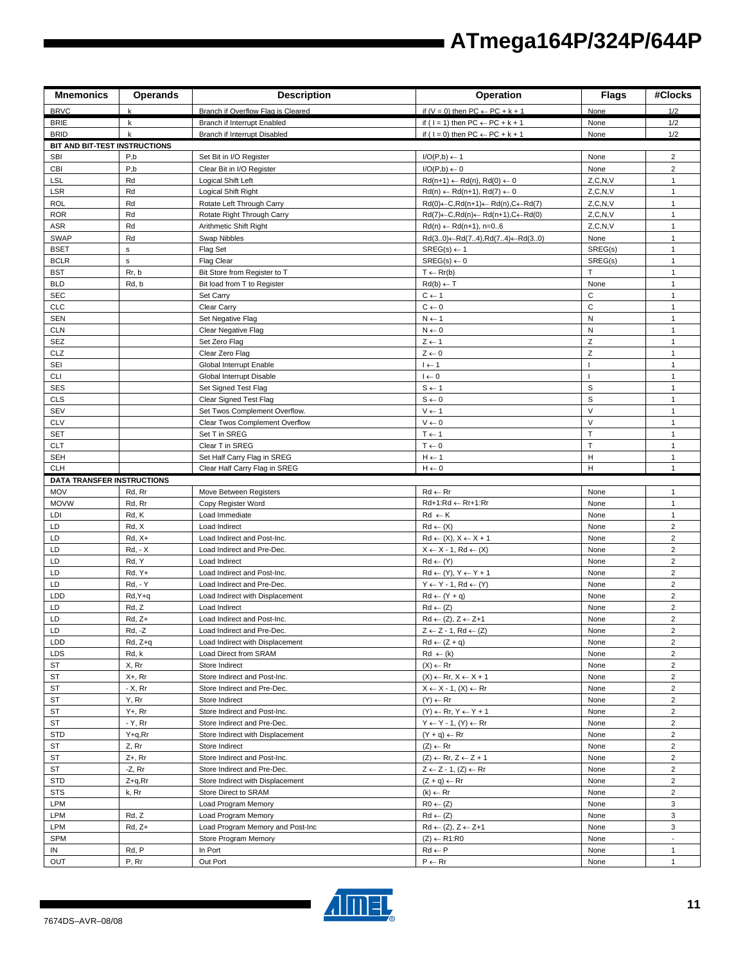| <b>BRVC</b><br>Branch if Overflow Flag is Cleared<br>if $(V = 0)$ then PC $\leftarrow$ PC + k + 1<br>None<br>1/2<br>$\mathbf k$<br><b>BRIE</b><br>Branch if Interrupt Enabled<br>if ( $1 = 1$ ) then PC $\leftarrow$ PC + k + 1<br>1/2<br>k<br>None<br>$\mathbf k$<br>1/2<br><b>BRID</b><br>Branch if Interrupt Disabled<br>if ( $I = 0$ ) then $PC \leftarrow PC + k + 1$<br>None<br>BIT AND BIT-TEST INSTRUCTIONS<br>P,b<br>$\overline{2}$<br><b>SBI</b><br>$I/O(P,b) \leftarrow 1$<br>Set Bit in I/O Register<br>None<br>$\overline{c}$<br>CBI<br>P,b<br>Clear Bit in I/O Register<br>$I/O(P,b) \leftarrow 0$<br>None<br><b>LSL</b><br>Rd<br>Z, C, N, V<br>Logical Shift Left<br>$Rd(n+1) \leftarrow Rd(n), Rd(0) \leftarrow 0$<br>$\mathbf{1}$<br>LSR<br>Rd<br>Z, C, N, V<br>Logical Shift Right<br>$Rd(n) \leftarrow Rd(n+1), Rd(7) \leftarrow 0$<br>$\mathbf{1}$<br>Rd<br><b>ROL</b><br>Rotate Left Through Carry<br>$Rd(0) \leftarrow C, Rd(n+1) \leftarrow Rd(n), C \leftarrow Rd(7)$<br>Z, C, N, V<br>$\mathbf{1}$<br><b>ROR</b><br>Rd<br>Rotate Right Through Carry<br>$Rd(7) \leftarrow C, Rd(n) \leftarrow Rd(n+1), C \leftarrow Rd(0)$<br>Z, C, N, V<br>$\mathbf{1}$<br>ASR<br>Rd<br>Z, C, N, V<br>Arithmetic Shift Right<br>$Rd(n) \leftarrow Rd(n+1), n=06$<br>$\mathbf{1}$<br>Rd<br><b>SWAP</b><br>Swap Nibbles<br>$Rd(30) \leftarrow Rd(74), Rd(74) \leftarrow Rd(30)$<br>None<br>$\mathbf{1}$<br><b>BSET</b><br>$\sf s$<br>Flag Set<br>$SREG(s) \leftarrow 1$<br>SREG(s)<br>$\mathbf{1}$<br><b>BCLR</b><br>$SREG(s) \leftarrow 0$<br>SREG(s)<br>$\mathsf{s}$<br><b>Flag Clear</b><br>1<br>Rr, b<br>T.<br>$\mathbf{1}$<br><b>BST</b><br>Bit Store from Register to T<br>$T \leftarrow Rr(b)$<br><b>BLD</b><br>Rd, b<br>$Rd(b) \leftarrow T$<br>None<br>$\mathbf{1}$<br>Bit load from T to Register<br><b>SEC</b><br>C<br>Set Carry<br>$C \leftarrow 1$<br>$\mathbf{1}$<br>$\mathbf C$<br><b>CLC</b><br>Clear Carry<br>$C \leftarrow 0$<br>$\mathbf{1}$<br>${\sf N}$<br><b>SEN</b><br>Set Negative Flag<br>$N \leftarrow 1$<br>$\mathbf{1}$<br><b>CLN</b><br>${\sf N}$<br>$\mathbf{1}$<br>Clear Negative Flag<br>$N \leftarrow 0$<br>Z<br><b>SEZ</b><br>Set Zero Flag<br>$Z \leftarrow 1$<br>$\mathbf{1}$<br>Z<br>CLZ<br>Clear Zero Flag<br>$Z \leftarrow 0$<br>$\mathbf{1}$<br>SEI<br>$\mathbf{I}$<br>Global Interrupt Enable<br>$I \leftarrow 1$<br>$\mathbf{1}$<br><b>CLI</b><br>Global Interrupt Disable<br>$I \leftarrow 0$<br>$\overline{\phantom{a}}$<br>$\mathbf{1}$<br>$\mathsf S$<br><b>SES</b><br>Set Signed Test Flag<br>$S \leftarrow 1$<br>$\mathbf{1}$<br>$\mathbf S$<br><b>CLS</b><br>Clear Signed Test Flag<br>$S \leftarrow 0$<br>$\mathbf{1}$<br>$\vee$<br>$\mathbf{1}$<br><b>SEV</b><br>Set Twos Complement Overflow.<br>$V \leftarrow 1$<br>$\vee$<br><b>CLV</b><br>Clear Twos Complement Overflow<br>$V \leftarrow 0$<br>$\mathbf{1}$<br>$\bar{1}$<br><b>SET</b><br>$T \leftarrow 1$<br>Set T in SREG<br>$\mathbf{1}$<br>T<br><b>CLT</b><br>Clear T in SREG<br>$T \leftarrow 0$<br>$\mathbf{1}$<br><b>SEH</b><br>н<br>Set Half Carry Flag in SREG<br>$H \leftarrow 1$<br>1<br>H<br>$\mathbf{1}$<br><b>CLH</b><br>$H \leftarrow 0$<br>Clear Half Carry Flag in SREG<br><b>DATA TRANSFER INSTRUCTIONS</b><br><b>MOV</b><br>Rd, Rr<br>Move Between Registers<br>$Rd \leftarrow Rr$<br>None<br>$\mathbf{1}$<br>Rd+1:Rd ← Rr+1:Rr<br><b>MOVW</b><br>Rd, Rr<br>Copy Register Word<br>None<br>$\mathbf{1}$<br>Rd, K<br>LDI<br>Load Immediate<br>$Rd \leftarrow K$<br>None<br>$\mathbf{1}$<br>LD<br>Rd, X<br>$\overline{\mathbf{c}}$<br>Load Indirect<br>$Rd \leftarrow (X)$<br>None<br>$\overline{2}$<br>LD<br>$Rd \leftarrow (X), X \leftarrow X + 1$<br>$Rd, X+$<br>Load Indirect and Post-Inc.<br>None<br>$\overline{2}$<br>LD<br><b>Rd.</b> - X<br>Load Indirect and Pre-Dec.<br>$X \leftarrow X - 1$ , Rd $\leftarrow (X)$<br>None<br>LD<br>Rd, Y<br>$Rd \leftarrow (Y)$<br>$\overline{\mathbf{c}}$<br>Load Indirect<br>None<br>$\overline{c}$<br>LD<br>Rd, Y+<br>Load Indirect and Post-Inc.<br>$Rd \leftarrow (Y), Y \leftarrow Y + 1$<br>None<br><b>Rd, - Y</b><br>$Y \leftarrow Y - 1$ , Rd $\leftarrow (Y)$<br>$\overline{c}$<br>LD<br>Load Indirect and Pre-Dec.<br>None<br>$\overline{c}$<br><b>LDD</b><br>Rd, Y+q<br>$Rd \leftarrow (Y + q)$<br>None<br>Load Indirect with Displacement<br>$\overline{c}$<br>LD<br>Rd, Z<br>$Rd \leftarrow (Z)$<br>Load Indirect<br>None<br>$\overline{2}$<br>LD<br>$Rd \leftarrow (Z), Z \leftarrow Z+1$<br>$Rd, Z+$<br>Load Indirect and Post-Inc.<br>None<br>$\overline{c}$<br>LD<br>Rd, -Z<br>$Z \leftarrow Z - 1$ , Rd $\leftarrow (Z)$<br>Load Indirect and Pre-Dec.<br>None<br>$\overline{\mathbf{c}}$<br>LDD<br>Rd, Z+q<br>Load Indirect with Displacement<br>$Rd \leftarrow (Z + q)$<br>None<br>Rd, k<br>$\overline{2}$<br>LDS<br>Load Direct from SRAM<br>$Rd \leftarrow (k)$<br>None<br>X, Rr<br>ST<br>Store Indirect<br>$(X) \leftarrow Rr$<br>None<br>$\overline{2}$<br>ST<br>X+, Rr<br>Store Indirect and Post-Inc.<br>$(X) \leftarrow \mathsf{Rr}, X \leftarrow X + 1$<br>$\overline{2}$<br>None<br>$\overline{2}$<br>$- X$ , Rr<br>$X \leftarrow X - 1$ , $(X) \leftarrow Rr$<br>ST<br>Store Indirect and Pre-Dec.<br>None<br>ST<br>Y, Rr<br>$\overline{\mathbf{c}}$<br>Store Indirect<br>$(Y) \leftarrow Rr$<br>None<br>$Y + Rr$<br>$\overline{2}$<br>ST<br>Store Indirect and Post-Inc.<br>$(Y) \leftarrow Rr, Y \leftarrow Y + 1$<br>None<br>- Y, Rr<br>$\overline{\mathbf{c}}$<br>ST<br>$Y \leftarrow Y - 1$ , $(Y) \leftarrow Rr$<br>None<br>Store Indirect and Pre-Dec.<br>STD<br>$\overline{c}$<br>Y+q,Rr<br>Store Indirect with Displacement<br>$(Y + q) \leftarrow Rr$<br>None<br>$\overline{2}$<br>ST<br>Z, Rr<br>$(Z) \leftarrow Rr$<br>Store Indirect<br>None<br>$(Z) \leftarrow \mathsf{Rr}, Z \leftarrow Z + 1$<br>ST<br>Z+, Rr<br>Store Indirect and Post-Inc.<br>None<br>2<br>ST<br>-Z, Rr<br>$Z \leftarrow Z - 1$ , $(Z) \leftarrow Rr$<br>$\overline{2}$<br>Store Indirect and Pre-Dec.<br>None<br>STD<br>$\overline{\mathbf{c}}$<br>Z+q,Rr<br>None<br>Store Indirect with Displacement<br>$(Z + q) \leftarrow Rr$<br>$\overline{2}$<br><b>STS</b><br>k, Rr<br>Store Direct to SRAM<br>$(k) \leftarrow Rr$<br>None<br>LPM<br>Load Program Memory<br>$R0 \leftarrow (Z)$<br>3<br>None<br>LPM<br>Rd, Z<br>Load Program Memory<br>$Rd \leftarrow (Z)$<br>3<br>None<br>3<br>LPM<br>$Rd, Z+$<br>$Rd \leftarrow (Z), Z \leftarrow Z+1$<br>Load Program Memory and Post-Inc<br>None<br>SPM<br>$(Z) \leftarrow R1:R0$<br>Store Program Memory<br>None<br>$\blacksquare$<br>$Rd \leftarrow P$<br>Rd, P<br>In Port<br>IN<br>None<br>$\mathbf{1}$ | <b>Mnemonics</b> | <b>Operands</b> | <b>Description</b> | Operation         | <b>Flags</b> | #Clocks      |
|------------------------------------------------------------------------------------------------------------------------------------------------------------------------------------------------------------------------------------------------------------------------------------------------------------------------------------------------------------------------------------------------------------------------------------------------------------------------------------------------------------------------------------------------------------------------------------------------------------------------------------------------------------------------------------------------------------------------------------------------------------------------------------------------------------------------------------------------------------------------------------------------------------------------------------------------------------------------------------------------------------------------------------------------------------------------------------------------------------------------------------------------------------------------------------------------------------------------------------------------------------------------------------------------------------------------------------------------------------------------------------------------------------------------------------------------------------------------------------------------------------------------------------------------------------------------------------------------------------------------------------------------------------------------------------------------------------------------------------------------------------------------------------------------------------------------------------------------------------------------------------------------------------------------------------------------------------------------------------------------------------------------------------------------------------------------------------------------------------------------------------------------------------------------------------------------------------------------------------------------------------------------------------------------------------------------------------------------------------------------------------------------------------------------------------------------------------------------------------------------------------------------------------------------------------------------------------------------------------------------------------------------------------------------------------------------------------------------------------------------------------------------------------------------------------------------------------------------------------------------------------------------------------------------------------------------------------------------------------------------------------------------------------------------------------------------------------------------------------------------------------------------------------------------------------------------------------------------------------------------------------------------------------------------------------------------------------------------------------------------------------------------------------------------------------------------------------------------------------------------------------------------------------------------------------------------------------------------------------------------------------------------------------------------------------------------------------------------------------------------------------------------------------------------------------------------------------------------------------------------------------------------------------------------------------------------------------------------------------------------------------------------------------------------------------------------------------------------------------------------------------------------------------------------------------------------------------------------------------------------------------------------------------------------------------------------------------------------------------------------------------------------------------------------------------------------------------------------------------------------------------------------------------------------------------------------------------------------------------------------------------------------------------------------------------------------------------------------------------------------------------------------------------------------------------------------------------------------------------------------------------------------------------------------------------------------------------------------------------------------------------------------------------------------------------------------------------------------------------------------------------------------------------------------------------------------------------------------------------------------------------------------------------------------------------------------------------------------------------------------------------------------------------------------------------------------------------------------------------------------------------------------------------------------------------------------------------------------------------------------------------------------------------------------------------------------------------------------------------------------------------------------------------------------------------------------------------------------------------------------------------------------------------------------------------------------------------------------------------------------------------------------------------------------------------------------------------------------------------------------------------------------------------------------------------------------------------------------------------------------------------------------------------------------------------------------------------------------------------------------------------------------------------------------------------------------------------------------------------------------------------------------------------------------------------------------------------------------------------------------------------------------------|------------------|-----------------|--------------------|-------------------|--------------|--------------|
|                                                                                                                                                                                                                                                                                                                                                                                                                                                                                                                                                                                                                                                                                                                                                                                                                                                                                                                                                                                                                                                                                                                                                                                                                                                                                                                                                                                                                                                                                                                                                                                                                                                                                                                                                                                                                                                                                                                                                                                                                                                                                                                                                                                                                                                                                                                                                                                                                                                                                                                                                                                                                                                                                                                                                                                                                                                                                                                                                                                                                                                                                                                                                                                                                                                                                                                                                                                                                                                                                                                                                                                                                                                                                                                                                                                                                                                                                                                                                                                                                                                                                                                                                                                                                                                                                                                                                                                                                                                                                                                                                                                                                                                                                                                                                                                                                                                                                                                                                                                                                                                                                                                                                                                                                                                                                                                                                                                                                                                                                                                                                                                                                                                                                                                                                                                                                                                                                                                                                                                                                                                                                                                                                                                                                                                                                                                                                                                                                                                                                                                                                                                                                                                      |                  |                 |                    |                   |              |              |
|                                                                                                                                                                                                                                                                                                                                                                                                                                                                                                                                                                                                                                                                                                                                                                                                                                                                                                                                                                                                                                                                                                                                                                                                                                                                                                                                                                                                                                                                                                                                                                                                                                                                                                                                                                                                                                                                                                                                                                                                                                                                                                                                                                                                                                                                                                                                                                                                                                                                                                                                                                                                                                                                                                                                                                                                                                                                                                                                                                                                                                                                                                                                                                                                                                                                                                                                                                                                                                                                                                                                                                                                                                                                                                                                                                                                                                                                                                                                                                                                                                                                                                                                                                                                                                                                                                                                                                                                                                                                                                                                                                                                                                                                                                                                                                                                                                                                                                                                                                                                                                                                                                                                                                                                                                                                                                                                                                                                                                                                                                                                                                                                                                                                                                                                                                                                                                                                                                                                                                                                                                                                                                                                                                                                                                                                                                                                                                                                                                                                                                                                                                                                                                                      |                  |                 |                    |                   |              |              |
|                                                                                                                                                                                                                                                                                                                                                                                                                                                                                                                                                                                                                                                                                                                                                                                                                                                                                                                                                                                                                                                                                                                                                                                                                                                                                                                                                                                                                                                                                                                                                                                                                                                                                                                                                                                                                                                                                                                                                                                                                                                                                                                                                                                                                                                                                                                                                                                                                                                                                                                                                                                                                                                                                                                                                                                                                                                                                                                                                                                                                                                                                                                                                                                                                                                                                                                                                                                                                                                                                                                                                                                                                                                                                                                                                                                                                                                                                                                                                                                                                                                                                                                                                                                                                                                                                                                                                                                                                                                                                                                                                                                                                                                                                                                                                                                                                                                                                                                                                                                                                                                                                                                                                                                                                                                                                                                                                                                                                                                                                                                                                                                                                                                                                                                                                                                                                                                                                                                                                                                                                                                                                                                                                                                                                                                                                                                                                                                                                                                                                                                                                                                                                                                      |                  |                 |                    |                   |              |              |
|                                                                                                                                                                                                                                                                                                                                                                                                                                                                                                                                                                                                                                                                                                                                                                                                                                                                                                                                                                                                                                                                                                                                                                                                                                                                                                                                                                                                                                                                                                                                                                                                                                                                                                                                                                                                                                                                                                                                                                                                                                                                                                                                                                                                                                                                                                                                                                                                                                                                                                                                                                                                                                                                                                                                                                                                                                                                                                                                                                                                                                                                                                                                                                                                                                                                                                                                                                                                                                                                                                                                                                                                                                                                                                                                                                                                                                                                                                                                                                                                                                                                                                                                                                                                                                                                                                                                                                                                                                                                                                                                                                                                                                                                                                                                                                                                                                                                                                                                                                                                                                                                                                                                                                                                                                                                                                                                                                                                                                                                                                                                                                                                                                                                                                                                                                                                                                                                                                                                                                                                                                                                                                                                                                                                                                                                                                                                                                                                                                                                                                                                                                                                                                                      |                  |                 |                    |                   |              |              |
|                                                                                                                                                                                                                                                                                                                                                                                                                                                                                                                                                                                                                                                                                                                                                                                                                                                                                                                                                                                                                                                                                                                                                                                                                                                                                                                                                                                                                                                                                                                                                                                                                                                                                                                                                                                                                                                                                                                                                                                                                                                                                                                                                                                                                                                                                                                                                                                                                                                                                                                                                                                                                                                                                                                                                                                                                                                                                                                                                                                                                                                                                                                                                                                                                                                                                                                                                                                                                                                                                                                                                                                                                                                                                                                                                                                                                                                                                                                                                                                                                                                                                                                                                                                                                                                                                                                                                                                                                                                                                                                                                                                                                                                                                                                                                                                                                                                                                                                                                                                                                                                                                                                                                                                                                                                                                                                                                                                                                                                                                                                                                                                                                                                                                                                                                                                                                                                                                                                                                                                                                                                                                                                                                                                                                                                                                                                                                                                                                                                                                                                                                                                                                                                      |                  |                 |                    |                   |              |              |
|                                                                                                                                                                                                                                                                                                                                                                                                                                                                                                                                                                                                                                                                                                                                                                                                                                                                                                                                                                                                                                                                                                                                                                                                                                                                                                                                                                                                                                                                                                                                                                                                                                                                                                                                                                                                                                                                                                                                                                                                                                                                                                                                                                                                                                                                                                                                                                                                                                                                                                                                                                                                                                                                                                                                                                                                                                                                                                                                                                                                                                                                                                                                                                                                                                                                                                                                                                                                                                                                                                                                                                                                                                                                                                                                                                                                                                                                                                                                                                                                                                                                                                                                                                                                                                                                                                                                                                                                                                                                                                                                                                                                                                                                                                                                                                                                                                                                                                                                                                                                                                                                                                                                                                                                                                                                                                                                                                                                                                                                                                                                                                                                                                                                                                                                                                                                                                                                                                                                                                                                                                                                                                                                                                                                                                                                                                                                                                                                                                                                                                                                                                                                                                                      |                  |                 |                    |                   |              |              |
|                                                                                                                                                                                                                                                                                                                                                                                                                                                                                                                                                                                                                                                                                                                                                                                                                                                                                                                                                                                                                                                                                                                                                                                                                                                                                                                                                                                                                                                                                                                                                                                                                                                                                                                                                                                                                                                                                                                                                                                                                                                                                                                                                                                                                                                                                                                                                                                                                                                                                                                                                                                                                                                                                                                                                                                                                                                                                                                                                                                                                                                                                                                                                                                                                                                                                                                                                                                                                                                                                                                                                                                                                                                                                                                                                                                                                                                                                                                                                                                                                                                                                                                                                                                                                                                                                                                                                                                                                                                                                                                                                                                                                                                                                                                                                                                                                                                                                                                                                                                                                                                                                                                                                                                                                                                                                                                                                                                                                                                                                                                                                                                                                                                                                                                                                                                                                                                                                                                                                                                                                                                                                                                                                                                                                                                                                                                                                                                                                                                                                                                                                                                                                                                      |                  |                 |                    |                   |              |              |
|                                                                                                                                                                                                                                                                                                                                                                                                                                                                                                                                                                                                                                                                                                                                                                                                                                                                                                                                                                                                                                                                                                                                                                                                                                                                                                                                                                                                                                                                                                                                                                                                                                                                                                                                                                                                                                                                                                                                                                                                                                                                                                                                                                                                                                                                                                                                                                                                                                                                                                                                                                                                                                                                                                                                                                                                                                                                                                                                                                                                                                                                                                                                                                                                                                                                                                                                                                                                                                                                                                                                                                                                                                                                                                                                                                                                                                                                                                                                                                                                                                                                                                                                                                                                                                                                                                                                                                                                                                                                                                                                                                                                                                                                                                                                                                                                                                                                                                                                                                                                                                                                                                                                                                                                                                                                                                                                                                                                                                                                                                                                                                                                                                                                                                                                                                                                                                                                                                                                                                                                                                                                                                                                                                                                                                                                                                                                                                                                                                                                                                                                                                                                                                                      |                  |                 |                    |                   |              |              |
|                                                                                                                                                                                                                                                                                                                                                                                                                                                                                                                                                                                                                                                                                                                                                                                                                                                                                                                                                                                                                                                                                                                                                                                                                                                                                                                                                                                                                                                                                                                                                                                                                                                                                                                                                                                                                                                                                                                                                                                                                                                                                                                                                                                                                                                                                                                                                                                                                                                                                                                                                                                                                                                                                                                                                                                                                                                                                                                                                                                                                                                                                                                                                                                                                                                                                                                                                                                                                                                                                                                                                                                                                                                                                                                                                                                                                                                                                                                                                                                                                                                                                                                                                                                                                                                                                                                                                                                                                                                                                                                                                                                                                                                                                                                                                                                                                                                                                                                                                                                                                                                                                                                                                                                                                                                                                                                                                                                                                                                                                                                                                                                                                                                                                                                                                                                                                                                                                                                                                                                                                                                                                                                                                                                                                                                                                                                                                                                                                                                                                                                                                                                                                                                      |                  |                 |                    |                   |              |              |
|                                                                                                                                                                                                                                                                                                                                                                                                                                                                                                                                                                                                                                                                                                                                                                                                                                                                                                                                                                                                                                                                                                                                                                                                                                                                                                                                                                                                                                                                                                                                                                                                                                                                                                                                                                                                                                                                                                                                                                                                                                                                                                                                                                                                                                                                                                                                                                                                                                                                                                                                                                                                                                                                                                                                                                                                                                                                                                                                                                                                                                                                                                                                                                                                                                                                                                                                                                                                                                                                                                                                                                                                                                                                                                                                                                                                                                                                                                                                                                                                                                                                                                                                                                                                                                                                                                                                                                                                                                                                                                                                                                                                                                                                                                                                                                                                                                                                                                                                                                                                                                                                                                                                                                                                                                                                                                                                                                                                                                                                                                                                                                                                                                                                                                                                                                                                                                                                                                                                                                                                                                                                                                                                                                                                                                                                                                                                                                                                                                                                                                                                                                                                                                                      |                  |                 |                    |                   |              |              |
|                                                                                                                                                                                                                                                                                                                                                                                                                                                                                                                                                                                                                                                                                                                                                                                                                                                                                                                                                                                                                                                                                                                                                                                                                                                                                                                                                                                                                                                                                                                                                                                                                                                                                                                                                                                                                                                                                                                                                                                                                                                                                                                                                                                                                                                                                                                                                                                                                                                                                                                                                                                                                                                                                                                                                                                                                                                                                                                                                                                                                                                                                                                                                                                                                                                                                                                                                                                                                                                                                                                                                                                                                                                                                                                                                                                                                                                                                                                                                                                                                                                                                                                                                                                                                                                                                                                                                                                                                                                                                                                                                                                                                                                                                                                                                                                                                                                                                                                                                                                                                                                                                                                                                                                                                                                                                                                                                                                                                                                                                                                                                                                                                                                                                                                                                                                                                                                                                                                                                                                                                                                                                                                                                                                                                                                                                                                                                                                                                                                                                                                                                                                                                                                      |                  |                 |                    |                   |              |              |
|                                                                                                                                                                                                                                                                                                                                                                                                                                                                                                                                                                                                                                                                                                                                                                                                                                                                                                                                                                                                                                                                                                                                                                                                                                                                                                                                                                                                                                                                                                                                                                                                                                                                                                                                                                                                                                                                                                                                                                                                                                                                                                                                                                                                                                                                                                                                                                                                                                                                                                                                                                                                                                                                                                                                                                                                                                                                                                                                                                                                                                                                                                                                                                                                                                                                                                                                                                                                                                                                                                                                                                                                                                                                                                                                                                                                                                                                                                                                                                                                                                                                                                                                                                                                                                                                                                                                                                                                                                                                                                                                                                                                                                                                                                                                                                                                                                                                                                                                                                                                                                                                                                                                                                                                                                                                                                                                                                                                                                                                                                                                                                                                                                                                                                                                                                                                                                                                                                                                                                                                                                                                                                                                                                                                                                                                                                                                                                                                                                                                                                                                                                                                                                                      |                  |                 |                    |                   |              |              |
|                                                                                                                                                                                                                                                                                                                                                                                                                                                                                                                                                                                                                                                                                                                                                                                                                                                                                                                                                                                                                                                                                                                                                                                                                                                                                                                                                                                                                                                                                                                                                                                                                                                                                                                                                                                                                                                                                                                                                                                                                                                                                                                                                                                                                                                                                                                                                                                                                                                                                                                                                                                                                                                                                                                                                                                                                                                                                                                                                                                                                                                                                                                                                                                                                                                                                                                                                                                                                                                                                                                                                                                                                                                                                                                                                                                                                                                                                                                                                                                                                                                                                                                                                                                                                                                                                                                                                                                                                                                                                                                                                                                                                                                                                                                                                                                                                                                                                                                                                                                                                                                                                                                                                                                                                                                                                                                                                                                                                                                                                                                                                                                                                                                                                                                                                                                                                                                                                                                                                                                                                                                                                                                                                                                                                                                                                                                                                                                                                                                                                                                                                                                                                                                      |                  |                 |                    |                   |              |              |
|                                                                                                                                                                                                                                                                                                                                                                                                                                                                                                                                                                                                                                                                                                                                                                                                                                                                                                                                                                                                                                                                                                                                                                                                                                                                                                                                                                                                                                                                                                                                                                                                                                                                                                                                                                                                                                                                                                                                                                                                                                                                                                                                                                                                                                                                                                                                                                                                                                                                                                                                                                                                                                                                                                                                                                                                                                                                                                                                                                                                                                                                                                                                                                                                                                                                                                                                                                                                                                                                                                                                                                                                                                                                                                                                                                                                                                                                                                                                                                                                                                                                                                                                                                                                                                                                                                                                                                                                                                                                                                                                                                                                                                                                                                                                                                                                                                                                                                                                                                                                                                                                                                                                                                                                                                                                                                                                                                                                                                                                                                                                                                                                                                                                                                                                                                                                                                                                                                                                                                                                                                                                                                                                                                                                                                                                                                                                                                                                                                                                                                                                                                                                                                                      |                  |                 |                    |                   |              |              |
|                                                                                                                                                                                                                                                                                                                                                                                                                                                                                                                                                                                                                                                                                                                                                                                                                                                                                                                                                                                                                                                                                                                                                                                                                                                                                                                                                                                                                                                                                                                                                                                                                                                                                                                                                                                                                                                                                                                                                                                                                                                                                                                                                                                                                                                                                                                                                                                                                                                                                                                                                                                                                                                                                                                                                                                                                                                                                                                                                                                                                                                                                                                                                                                                                                                                                                                                                                                                                                                                                                                                                                                                                                                                                                                                                                                                                                                                                                                                                                                                                                                                                                                                                                                                                                                                                                                                                                                                                                                                                                                                                                                                                                                                                                                                                                                                                                                                                                                                                                                                                                                                                                                                                                                                                                                                                                                                                                                                                                                                                                                                                                                                                                                                                                                                                                                                                                                                                                                                                                                                                                                                                                                                                                                                                                                                                                                                                                                                                                                                                                                                                                                                                                                      |                  |                 |                    |                   |              |              |
|                                                                                                                                                                                                                                                                                                                                                                                                                                                                                                                                                                                                                                                                                                                                                                                                                                                                                                                                                                                                                                                                                                                                                                                                                                                                                                                                                                                                                                                                                                                                                                                                                                                                                                                                                                                                                                                                                                                                                                                                                                                                                                                                                                                                                                                                                                                                                                                                                                                                                                                                                                                                                                                                                                                                                                                                                                                                                                                                                                                                                                                                                                                                                                                                                                                                                                                                                                                                                                                                                                                                                                                                                                                                                                                                                                                                                                                                                                                                                                                                                                                                                                                                                                                                                                                                                                                                                                                                                                                                                                                                                                                                                                                                                                                                                                                                                                                                                                                                                                                                                                                                                                                                                                                                                                                                                                                                                                                                                                                                                                                                                                                                                                                                                                                                                                                                                                                                                                                                                                                                                                                                                                                                                                                                                                                                                                                                                                                                                                                                                                                                                                                                                                                      |                  |                 |                    |                   |              |              |
|                                                                                                                                                                                                                                                                                                                                                                                                                                                                                                                                                                                                                                                                                                                                                                                                                                                                                                                                                                                                                                                                                                                                                                                                                                                                                                                                                                                                                                                                                                                                                                                                                                                                                                                                                                                                                                                                                                                                                                                                                                                                                                                                                                                                                                                                                                                                                                                                                                                                                                                                                                                                                                                                                                                                                                                                                                                                                                                                                                                                                                                                                                                                                                                                                                                                                                                                                                                                                                                                                                                                                                                                                                                                                                                                                                                                                                                                                                                                                                                                                                                                                                                                                                                                                                                                                                                                                                                                                                                                                                                                                                                                                                                                                                                                                                                                                                                                                                                                                                                                                                                                                                                                                                                                                                                                                                                                                                                                                                                                                                                                                                                                                                                                                                                                                                                                                                                                                                                                                                                                                                                                                                                                                                                                                                                                                                                                                                                                                                                                                                                                                                                                                                                      |                  |                 |                    |                   |              |              |
|                                                                                                                                                                                                                                                                                                                                                                                                                                                                                                                                                                                                                                                                                                                                                                                                                                                                                                                                                                                                                                                                                                                                                                                                                                                                                                                                                                                                                                                                                                                                                                                                                                                                                                                                                                                                                                                                                                                                                                                                                                                                                                                                                                                                                                                                                                                                                                                                                                                                                                                                                                                                                                                                                                                                                                                                                                                                                                                                                                                                                                                                                                                                                                                                                                                                                                                                                                                                                                                                                                                                                                                                                                                                                                                                                                                                                                                                                                                                                                                                                                                                                                                                                                                                                                                                                                                                                                                                                                                                                                                                                                                                                                                                                                                                                                                                                                                                                                                                                                                                                                                                                                                                                                                                                                                                                                                                                                                                                                                                                                                                                                                                                                                                                                                                                                                                                                                                                                                                                                                                                                                                                                                                                                                                                                                                                                                                                                                                                                                                                                                                                                                                                                                      |                  |                 |                    |                   |              |              |
|                                                                                                                                                                                                                                                                                                                                                                                                                                                                                                                                                                                                                                                                                                                                                                                                                                                                                                                                                                                                                                                                                                                                                                                                                                                                                                                                                                                                                                                                                                                                                                                                                                                                                                                                                                                                                                                                                                                                                                                                                                                                                                                                                                                                                                                                                                                                                                                                                                                                                                                                                                                                                                                                                                                                                                                                                                                                                                                                                                                                                                                                                                                                                                                                                                                                                                                                                                                                                                                                                                                                                                                                                                                                                                                                                                                                                                                                                                                                                                                                                                                                                                                                                                                                                                                                                                                                                                                                                                                                                                                                                                                                                                                                                                                                                                                                                                                                                                                                                                                                                                                                                                                                                                                                                                                                                                                                                                                                                                                                                                                                                                                                                                                                                                                                                                                                                                                                                                                                                                                                                                                                                                                                                                                                                                                                                                                                                                                                                                                                                                                                                                                                                                                      |                  |                 |                    |                   |              |              |
|                                                                                                                                                                                                                                                                                                                                                                                                                                                                                                                                                                                                                                                                                                                                                                                                                                                                                                                                                                                                                                                                                                                                                                                                                                                                                                                                                                                                                                                                                                                                                                                                                                                                                                                                                                                                                                                                                                                                                                                                                                                                                                                                                                                                                                                                                                                                                                                                                                                                                                                                                                                                                                                                                                                                                                                                                                                                                                                                                                                                                                                                                                                                                                                                                                                                                                                                                                                                                                                                                                                                                                                                                                                                                                                                                                                                                                                                                                                                                                                                                                                                                                                                                                                                                                                                                                                                                                                                                                                                                                                                                                                                                                                                                                                                                                                                                                                                                                                                                                                                                                                                                                                                                                                                                                                                                                                                                                                                                                                                                                                                                                                                                                                                                                                                                                                                                                                                                                                                                                                                                                                                                                                                                                                                                                                                                                                                                                                                                                                                                                                                                                                                                                                      |                  |                 |                    |                   |              |              |
|                                                                                                                                                                                                                                                                                                                                                                                                                                                                                                                                                                                                                                                                                                                                                                                                                                                                                                                                                                                                                                                                                                                                                                                                                                                                                                                                                                                                                                                                                                                                                                                                                                                                                                                                                                                                                                                                                                                                                                                                                                                                                                                                                                                                                                                                                                                                                                                                                                                                                                                                                                                                                                                                                                                                                                                                                                                                                                                                                                                                                                                                                                                                                                                                                                                                                                                                                                                                                                                                                                                                                                                                                                                                                                                                                                                                                                                                                                                                                                                                                                                                                                                                                                                                                                                                                                                                                                                                                                                                                                                                                                                                                                                                                                                                                                                                                                                                                                                                                                                                                                                                                                                                                                                                                                                                                                                                                                                                                                                                                                                                                                                                                                                                                                                                                                                                                                                                                                                                                                                                                                                                                                                                                                                                                                                                                                                                                                                                                                                                                                                                                                                                                                                      |                  |                 |                    |                   |              |              |
|                                                                                                                                                                                                                                                                                                                                                                                                                                                                                                                                                                                                                                                                                                                                                                                                                                                                                                                                                                                                                                                                                                                                                                                                                                                                                                                                                                                                                                                                                                                                                                                                                                                                                                                                                                                                                                                                                                                                                                                                                                                                                                                                                                                                                                                                                                                                                                                                                                                                                                                                                                                                                                                                                                                                                                                                                                                                                                                                                                                                                                                                                                                                                                                                                                                                                                                                                                                                                                                                                                                                                                                                                                                                                                                                                                                                                                                                                                                                                                                                                                                                                                                                                                                                                                                                                                                                                                                                                                                                                                                                                                                                                                                                                                                                                                                                                                                                                                                                                                                                                                                                                                                                                                                                                                                                                                                                                                                                                                                                                                                                                                                                                                                                                                                                                                                                                                                                                                                                                                                                                                                                                                                                                                                                                                                                                                                                                                                                                                                                                                                                                                                                                                                      |                  |                 |                    |                   |              |              |
|                                                                                                                                                                                                                                                                                                                                                                                                                                                                                                                                                                                                                                                                                                                                                                                                                                                                                                                                                                                                                                                                                                                                                                                                                                                                                                                                                                                                                                                                                                                                                                                                                                                                                                                                                                                                                                                                                                                                                                                                                                                                                                                                                                                                                                                                                                                                                                                                                                                                                                                                                                                                                                                                                                                                                                                                                                                                                                                                                                                                                                                                                                                                                                                                                                                                                                                                                                                                                                                                                                                                                                                                                                                                                                                                                                                                                                                                                                                                                                                                                                                                                                                                                                                                                                                                                                                                                                                                                                                                                                                                                                                                                                                                                                                                                                                                                                                                                                                                                                                                                                                                                                                                                                                                                                                                                                                                                                                                                                                                                                                                                                                                                                                                                                                                                                                                                                                                                                                                                                                                                                                                                                                                                                                                                                                                                                                                                                                                                                                                                                                                                                                                                                                      |                  |                 |                    |                   |              |              |
|                                                                                                                                                                                                                                                                                                                                                                                                                                                                                                                                                                                                                                                                                                                                                                                                                                                                                                                                                                                                                                                                                                                                                                                                                                                                                                                                                                                                                                                                                                                                                                                                                                                                                                                                                                                                                                                                                                                                                                                                                                                                                                                                                                                                                                                                                                                                                                                                                                                                                                                                                                                                                                                                                                                                                                                                                                                                                                                                                                                                                                                                                                                                                                                                                                                                                                                                                                                                                                                                                                                                                                                                                                                                                                                                                                                                                                                                                                                                                                                                                                                                                                                                                                                                                                                                                                                                                                                                                                                                                                                                                                                                                                                                                                                                                                                                                                                                                                                                                                                                                                                                                                                                                                                                                                                                                                                                                                                                                                                                                                                                                                                                                                                                                                                                                                                                                                                                                                                                                                                                                                                                                                                                                                                                                                                                                                                                                                                                                                                                                                                                                                                                                                                      |                  |                 |                    |                   |              |              |
|                                                                                                                                                                                                                                                                                                                                                                                                                                                                                                                                                                                                                                                                                                                                                                                                                                                                                                                                                                                                                                                                                                                                                                                                                                                                                                                                                                                                                                                                                                                                                                                                                                                                                                                                                                                                                                                                                                                                                                                                                                                                                                                                                                                                                                                                                                                                                                                                                                                                                                                                                                                                                                                                                                                                                                                                                                                                                                                                                                                                                                                                                                                                                                                                                                                                                                                                                                                                                                                                                                                                                                                                                                                                                                                                                                                                                                                                                                                                                                                                                                                                                                                                                                                                                                                                                                                                                                                                                                                                                                                                                                                                                                                                                                                                                                                                                                                                                                                                                                                                                                                                                                                                                                                                                                                                                                                                                                                                                                                                                                                                                                                                                                                                                                                                                                                                                                                                                                                                                                                                                                                                                                                                                                                                                                                                                                                                                                                                                                                                                                                                                                                                                                                      |                  |                 |                    |                   |              |              |
|                                                                                                                                                                                                                                                                                                                                                                                                                                                                                                                                                                                                                                                                                                                                                                                                                                                                                                                                                                                                                                                                                                                                                                                                                                                                                                                                                                                                                                                                                                                                                                                                                                                                                                                                                                                                                                                                                                                                                                                                                                                                                                                                                                                                                                                                                                                                                                                                                                                                                                                                                                                                                                                                                                                                                                                                                                                                                                                                                                                                                                                                                                                                                                                                                                                                                                                                                                                                                                                                                                                                                                                                                                                                                                                                                                                                                                                                                                                                                                                                                                                                                                                                                                                                                                                                                                                                                                                                                                                                                                                                                                                                                                                                                                                                                                                                                                                                                                                                                                                                                                                                                                                                                                                                                                                                                                                                                                                                                                                                                                                                                                                                                                                                                                                                                                                                                                                                                                                                                                                                                                                                                                                                                                                                                                                                                                                                                                                                                                                                                                                                                                                                                                                      |                  |                 |                    |                   |              |              |
|                                                                                                                                                                                                                                                                                                                                                                                                                                                                                                                                                                                                                                                                                                                                                                                                                                                                                                                                                                                                                                                                                                                                                                                                                                                                                                                                                                                                                                                                                                                                                                                                                                                                                                                                                                                                                                                                                                                                                                                                                                                                                                                                                                                                                                                                                                                                                                                                                                                                                                                                                                                                                                                                                                                                                                                                                                                                                                                                                                                                                                                                                                                                                                                                                                                                                                                                                                                                                                                                                                                                                                                                                                                                                                                                                                                                                                                                                                                                                                                                                                                                                                                                                                                                                                                                                                                                                                                                                                                                                                                                                                                                                                                                                                                                                                                                                                                                                                                                                                                                                                                                                                                                                                                                                                                                                                                                                                                                                                                                                                                                                                                                                                                                                                                                                                                                                                                                                                                                                                                                                                                                                                                                                                                                                                                                                                                                                                                                                                                                                                                                                                                                                                                      |                  |                 |                    |                   |              |              |
|                                                                                                                                                                                                                                                                                                                                                                                                                                                                                                                                                                                                                                                                                                                                                                                                                                                                                                                                                                                                                                                                                                                                                                                                                                                                                                                                                                                                                                                                                                                                                                                                                                                                                                                                                                                                                                                                                                                                                                                                                                                                                                                                                                                                                                                                                                                                                                                                                                                                                                                                                                                                                                                                                                                                                                                                                                                                                                                                                                                                                                                                                                                                                                                                                                                                                                                                                                                                                                                                                                                                                                                                                                                                                                                                                                                                                                                                                                                                                                                                                                                                                                                                                                                                                                                                                                                                                                                                                                                                                                                                                                                                                                                                                                                                                                                                                                                                                                                                                                                                                                                                                                                                                                                                                                                                                                                                                                                                                                                                                                                                                                                                                                                                                                                                                                                                                                                                                                                                                                                                                                                                                                                                                                                                                                                                                                                                                                                                                                                                                                                                                                                                                                                      |                  |                 |                    |                   |              |              |
|                                                                                                                                                                                                                                                                                                                                                                                                                                                                                                                                                                                                                                                                                                                                                                                                                                                                                                                                                                                                                                                                                                                                                                                                                                                                                                                                                                                                                                                                                                                                                                                                                                                                                                                                                                                                                                                                                                                                                                                                                                                                                                                                                                                                                                                                                                                                                                                                                                                                                                                                                                                                                                                                                                                                                                                                                                                                                                                                                                                                                                                                                                                                                                                                                                                                                                                                                                                                                                                                                                                                                                                                                                                                                                                                                                                                                                                                                                                                                                                                                                                                                                                                                                                                                                                                                                                                                                                                                                                                                                                                                                                                                                                                                                                                                                                                                                                                                                                                                                                                                                                                                                                                                                                                                                                                                                                                                                                                                                                                                                                                                                                                                                                                                                                                                                                                                                                                                                                                                                                                                                                                                                                                                                                                                                                                                                                                                                                                                                                                                                                                                                                                                                                      |                  |                 |                    |                   |              |              |
|                                                                                                                                                                                                                                                                                                                                                                                                                                                                                                                                                                                                                                                                                                                                                                                                                                                                                                                                                                                                                                                                                                                                                                                                                                                                                                                                                                                                                                                                                                                                                                                                                                                                                                                                                                                                                                                                                                                                                                                                                                                                                                                                                                                                                                                                                                                                                                                                                                                                                                                                                                                                                                                                                                                                                                                                                                                                                                                                                                                                                                                                                                                                                                                                                                                                                                                                                                                                                                                                                                                                                                                                                                                                                                                                                                                                                                                                                                                                                                                                                                                                                                                                                                                                                                                                                                                                                                                                                                                                                                                                                                                                                                                                                                                                                                                                                                                                                                                                                                                                                                                                                                                                                                                                                                                                                                                                                                                                                                                                                                                                                                                                                                                                                                                                                                                                                                                                                                                                                                                                                                                                                                                                                                                                                                                                                                                                                                                                                                                                                                                                                                                                                                                      |                  |                 |                    |                   |              |              |
|                                                                                                                                                                                                                                                                                                                                                                                                                                                                                                                                                                                                                                                                                                                                                                                                                                                                                                                                                                                                                                                                                                                                                                                                                                                                                                                                                                                                                                                                                                                                                                                                                                                                                                                                                                                                                                                                                                                                                                                                                                                                                                                                                                                                                                                                                                                                                                                                                                                                                                                                                                                                                                                                                                                                                                                                                                                                                                                                                                                                                                                                                                                                                                                                                                                                                                                                                                                                                                                                                                                                                                                                                                                                                                                                                                                                                                                                                                                                                                                                                                                                                                                                                                                                                                                                                                                                                                                                                                                                                                                                                                                                                                                                                                                                                                                                                                                                                                                                                                                                                                                                                                                                                                                                                                                                                                                                                                                                                                                                                                                                                                                                                                                                                                                                                                                                                                                                                                                                                                                                                                                                                                                                                                                                                                                                                                                                                                                                                                                                                                                                                                                                                                                      |                  |                 |                    |                   |              |              |
|                                                                                                                                                                                                                                                                                                                                                                                                                                                                                                                                                                                                                                                                                                                                                                                                                                                                                                                                                                                                                                                                                                                                                                                                                                                                                                                                                                                                                                                                                                                                                                                                                                                                                                                                                                                                                                                                                                                                                                                                                                                                                                                                                                                                                                                                                                                                                                                                                                                                                                                                                                                                                                                                                                                                                                                                                                                                                                                                                                                                                                                                                                                                                                                                                                                                                                                                                                                                                                                                                                                                                                                                                                                                                                                                                                                                                                                                                                                                                                                                                                                                                                                                                                                                                                                                                                                                                                                                                                                                                                                                                                                                                                                                                                                                                                                                                                                                                                                                                                                                                                                                                                                                                                                                                                                                                                                                                                                                                                                                                                                                                                                                                                                                                                                                                                                                                                                                                                                                                                                                                                                                                                                                                                                                                                                                                                                                                                                                                                                                                                                                                                                                                                                      |                  |                 |                    |                   |              |              |
|                                                                                                                                                                                                                                                                                                                                                                                                                                                                                                                                                                                                                                                                                                                                                                                                                                                                                                                                                                                                                                                                                                                                                                                                                                                                                                                                                                                                                                                                                                                                                                                                                                                                                                                                                                                                                                                                                                                                                                                                                                                                                                                                                                                                                                                                                                                                                                                                                                                                                                                                                                                                                                                                                                                                                                                                                                                                                                                                                                                                                                                                                                                                                                                                                                                                                                                                                                                                                                                                                                                                                                                                                                                                                                                                                                                                                                                                                                                                                                                                                                                                                                                                                                                                                                                                                                                                                                                                                                                                                                                                                                                                                                                                                                                                                                                                                                                                                                                                                                                                                                                                                                                                                                                                                                                                                                                                                                                                                                                                                                                                                                                                                                                                                                                                                                                                                                                                                                                                                                                                                                                                                                                                                                                                                                                                                                                                                                                                                                                                                                                                                                                                                                                      |                  |                 |                    |                   |              |              |
|                                                                                                                                                                                                                                                                                                                                                                                                                                                                                                                                                                                                                                                                                                                                                                                                                                                                                                                                                                                                                                                                                                                                                                                                                                                                                                                                                                                                                                                                                                                                                                                                                                                                                                                                                                                                                                                                                                                                                                                                                                                                                                                                                                                                                                                                                                                                                                                                                                                                                                                                                                                                                                                                                                                                                                                                                                                                                                                                                                                                                                                                                                                                                                                                                                                                                                                                                                                                                                                                                                                                                                                                                                                                                                                                                                                                                                                                                                                                                                                                                                                                                                                                                                                                                                                                                                                                                                                                                                                                                                                                                                                                                                                                                                                                                                                                                                                                                                                                                                                                                                                                                                                                                                                                                                                                                                                                                                                                                                                                                                                                                                                                                                                                                                                                                                                                                                                                                                                                                                                                                                                                                                                                                                                                                                                                                                                                                                                                                                                                                                                                                                                                                                                      |                  |                 |                    |                   |              |              |
|                                                                                                                                                                                                                                                                                                                                                                                                                                                                                                                                                                                                                                                                                                                                                                                                                                                                                                                                                                                                                                                                                                                                                                                                                                                                                                                                                                                                                                                                                                                                                                                                                                                                                                                                                                                                                                                                                                                                                                                                                                                                                                                                                                                                                                                                                                                                                                                                                                                                                                                                                                                                                                                                                                                                                                                                                                                                                                                                                                                                                                                                                                                                                                                                                                                                                                                                                                                                                                                                                                                                                                                                                                                                                                                                                                                                                                                                                                                                                                                                                                                                                                                                                                                                                                                                                                                                                                                                                                                                                                                                                                                                                                                                                                                                                                                                                                                                                                                                                                                                                                                                                                                                                                                                                                                                                                                                                                                                                                                                                                                                                                                                                                                                                                                                                                                                                                                                                                                                                                                                                                                                                                                                                                                                                                                                                                                                                                                                                                                                                                                                                                                                                                                      |                  |                 |                    |                   |              |              |
|                                                                                                                                                                                                                                                                                                                                                                                                                                                                                                                                                                                                                                                                                                                                                                                                                                                                                                                                                                                                                                                                                                                                                                                                                                                                                                                                                                                                                                                                                                                                                                                                                                                                                                                                                                                                                                                                                                                                                                                                                                                                                                                                                                                                                                                                                                                                                                                                                                                                                                                                                                                                                                                                                                                                                                                                                                                                                                                                                                                                                                                                                                                                                                                                                                                                                                                                                                                                                                                                                                                                                                                                                                                                                                                                                                                                                                                                                                                                                                                                                                                                                                                                                                                                                                                                                                                                                                                                                                                                                                                                                                                                                                                                                                                                                                                                                                                                                                                                                                                                                                                                                                                                                                                                                                                                                                                                                                                                                                                                                                                                                                                                                                                                                                                                                                                                                                                                                                                                                                                                                                                                                                                                                                                                                                                                                                                                                                                                                                                                                                                                                                                                                                                      |                  |                 |                    |                   |              |              |
|                                                                                                                                                                                                                                                                                                                                                                                                                                                                                                                                                                                                                                                                                                                                                                                                                                                                                                                                                                                                                                                                                                                                                                                                                                                                                                                                                                                                                                                                                                                                                                                                                                                                                                                                                                                                                                                                                                                                                                                                                                                                                                                                                                                                                                                                                                                                                                                                                                                                                                                                                                                                                                                                                                                                                                                                                                                                                                                                                                                                                                                                                                                                                                                                                                                                                                                                                                                                                                                                                                                                                                                                                                                                                                                                                                                                                                                                                                                                                                                                                                                                                                                                                                                                                                                                                                                                                                                                                                                                                                                                                                                                                                                                                                                                                                                                                                                                                                                                                                                                                                                                                                                                                                                                                                                                                                                                                                                                                                                                                                                                                                                                                                                                                                                                                                                                                                                                                                                                                                                                                                                                                                                                                                                                                                                                                                                                                                                                                                                                                                                                                                                                                                                      |                  |                 |                    |                   |              |              |
|                                                                                                                                                                                                                                                                                                                                                                                                                                                                                                                                                                                                                                                                                                                                                                                                                                                                                                                                                                                                                                                                                                                                                                                                                                                                                                                                                                                                                                                                                                                                                                                                                                                                                                                                                                                                                                                                                                                                                                                                                                                                                                                                                                                                                                                                                                                                                                                                                                                                                                                                                                                                                                                                                                                                                                                                                                                                                                                                                                                                                                                                                                                                                                                                                                                                                                                                                                                                                                                                                                                                                                                                                                                                                                                                                                                                                                                                                                                                                                                                                                                                                                                                                                                                                                                                                                                                                                                                                                                                                                                                                                                                                                                                                                                                                                                                                                                                                                                                                                                                                                                                                                                                                                                                                                                                                                                                                                                                                                                                                                                                                                                                                                                                                                                                                                                                                                                                                                                                                                                                                                                                                                                                                                                                                                                                                                                                                                                                                                                                                                                                                                                                                                                      |                  |                 |                    |                   |              |              |
|                                                                                                                                                                                                                                                                                                                                                                                                                                                                                                                                                                                                                                                                                                                                                                                                                                                                                                                                                                                                                                                                                                                                                                                                                                                                                                                                                                                                                                                                                                                                                                                                                                                                                                                                                                                                                                                                                                                                                                                                                                                                                                                                                                                                                                                                                                                                                                                                                                                                                                                                                                                                                                                                                                                                                                                                                                                                                                                                                                                                                                                                                                                                                                                                                                                                                                                                                                                                                                                                                                                                                                                                                                                                                                                                                                                                                                                                                                                                                                                                                                                                                                                                                                                                                                                                                                                                                                                                                                                                                                                                                                                                                                                                                                                                                                                                                                                                                                                                                                                                                                                                                                                                                                                                                                                                                                                                                                                                                                                                                                                                                                                                                                                                                                                                                                                                                                                                                                                                                                                                                                                                                                                                                                                                                                                                                                                                                                                                                                                                                                                                                                                                                                                      |                  |                 |                    |                   |              |              |
|                                                                                                                                                                                                                                                                                                                                                                                                                                                                                                                                                                                                                                                                                                                                                                                                                                                                                                                                                                                                                                                                                                                                                                                                                                                                                                                                                                                                                                                                                                                                                                                                                                                                                                                                                                                                                                                                                                                                                                                                                                                                                                                                                                                                                                                                                                                                                                                                                                                                                                                                                                                                                                                                                                                                                                                                                                                                                                                                                                                                                                                                                                                                                                                                                                                                                                                                                                                                                                                                                                                                                                                                                                                                                                                                                                                                                                                                                                                                                                                                                                                                                                                                                                                                                                                                                                                                                                                                                                                                                                                                                                                                                                                                                                                                                                                                                                                                                                                                                                                                                                                                                                                                                                                                                                                                                                                                                                                                                                                                                                                                                                                                                                                                                                                                                                                                                                                                                                                                                                                                                                                                                                                                                                                                                                                                                                                                                                                                                                                                                                                                                                                                                                                      |                  |                 |                    |                   |              |              |
|                                                                                                                                                                                                                                                                                                                                                                                                                                                                                                                                                                                                                                                                                                                                                                                                                                                                                                                                                                                                                                                                                                                                                                                                                                                                                                                                                                                                                                                                                                                                                                                                                                                                                                                                                                                                                                                                                                                                                                                                                                                                                                                                                                                                                                                                                                                                                                                                                                                                                                                                                                                                                                                                                                                                                                                                                                                                                                                                                                                                                                                                                                                                                                                                                                                                                                                                                                                                                                                                                                                                                                                                                                                                                                                                                                                                                                                                                                                                                                                                                                                                                                                                                                                                                                                                                                                                                                                                                                                                                                                                                                                                                                                                                                                                                                                                                                                                                                                                                                                                                                                                                                                                                                                                                                                                                                                                                                                                                                                                                                                                                                                                                                                                                                                                                                                                                                                                                                                                                                                                                                                                                                                                                                                                                                                                                                                                                                                                                                                                                                                                                                                                                                                      |                  |                 |                    |                   |              |              |
|                                                                                                                                                                                                                                                                                                                                                                                                                                                                                                                                                                                                                                                                                                                                                                                                                                                                                                                                                                                                                                                                                                                                                                                                                                                                                                                                                                                                                                                                                                                                                                                                                                                                                                                                                                                                                                                                                                                                                                                                                                                                                                                                                                                                                                                                                                                                                                                                                                                                                                                                                                                                                                                                                                                                                                                                                                                                                                                                                                                                                                                                                                                                                                                                                                                                                                                                                                                                                                                                                                                                                                                                                                                                                                                                                                                                                                                                                                                                                                                                                                                                                                                                                                                                                                                                                                                                                                                                                                                                                                                                                                                                                                                                                                                                                                                                                                                                                                                                                                                                                                                                                                                                                                                                                                                                                                                                                                                                                                                                                                                                                                                                                                                                                                                                                                                                                                                                                                                                                                                                                                                                                                                                                                                                                                                                                                                                                                                                                                                                                                                                                                                                                                                      |                  |                 |                    |                   |              |              |
|                                                                                                                                                                                                                                                                                                                                                                                                                                                                                                                                                                                                                                                                                                                                                                                                                                                                                                                                                                                                                                                                                                                                                                                                                                                                                                                                                                                                                                                                                                                                                                                                                                                                                                                                                                                                                                                                                                                                                                                                                                                                                                                                                                                                                                                                                                                                                                                                                                                                                                                                                                                                                                                                                                                                                                                                                                                                                                                                                                                                                                                                                                                                                                                                                                                                                                                                                                                                                                                                                                                                                                                                                                                                                                                                                                                                                                                                                                                                                                                                                                                                                                                                                                                                                                                                                                                                                                                                                                                                                                                                                                                                                                                                                                                                                                                                                                                                                                                                                                                                                                                                                                                                                                                                                                                                                                                                                                                                                                                                                                                                                                                                                                                                                                                                                                                                                                                                                                                                                                                                                                                                                                                                                                                                                                                                                                                                                                                                                                                                                                                                                                                                                                                      |                  |                 |                    |                   |              |              |
|                                                                                                                                                                                                                                                                                                                                                                                                                                                                                                                                                                                                                                                                                                                                                                                                                                                                                                                                                                                                                                                                                                                                                                                                                                                                                                                                                                                                                                                                                                                                                                                                                                                                                                                                                                                                                                                                                                                                                                                                                                                                                                                                                                                                                                                                                                                                                                                                                                                                                                                                                                                                                                                                                                                                                                                                                                                                                                                                                                                                                                                                                                                                                                                                                                                                                                                                                                                                                                                                                                                                                                                                                                                                                                                                                                                                                                                                                                                                                                                                                                                                                                                                                                                                                                                                                                                                                                                                                                                                                                                                                                                                                                                                                                                                                                                                                                                                                                                                                                                                                                                                                                                                                                                                                                                                                                                                                                                                                                                                                                                                                                                                                                                                                                                                                                                                                                                                                                                                                                                                                                                                                                                                                                                                                                                                                                                                                                                                                                                                                                                                                                                                                                                      |                  |                 |                    |                   |              |              |
|                                                                                                                                                                                                                                                                                                                                                                                                                                                                                                                                                                                                                                                                                                                                                                                                                                                                                                                                                                                                                                                                                                                                                                                                                                                                                                                                                                                                                                                                                                                                                                                                                                                                                                                                                                                                                                                                                                                                                                                                                                                                                                                                                                                                                                                                                                                                                                                                                                                                                                                                                                                                                                                                                                                                                                                                                                                                                                                                                                                                                                                                                                                                                                                                                                                                                                                                                                                                                                                                                                                                                                                                                                                                                                                                                                                                                                                                                                                                                                                                                                                                                                                                                                                                                                                                                                                                                                                                                                                                                                                                                                                                                                                                                                                                                                                                                                                                                                                                                                                                                                                                                                                                                                                                                                                                                                                                                                                                                                                                                                                                                                                                                                                                                                                                                                                                                                                                                                                                                                                                                                                                                                                                                                                                                                                                                                                                                                                                                                                                                                                                                                                                                                                      |                  |                 |                    |                   |              |              |
|                                                                                                                                                                                                                                                                                                                                                                                                                                                                                                                                                                                                                                                                                                                                                                                                                                                                                                                                                                                                                                                                                                                                                                                                                                                                                                                                                                                                                                                                                                                                                                                                                                                                                                                                                                                                                                                                                                                                                                                                                                                                                                                                                                                                                                                                                                                                                                                                                                                                                                                                                                                                                                                                                                                                                                                                                                                                                                                                                                                                                                                                                                                                                                                                                                                                                                                                                                                                                                                                                                                                                                                                                                                                                                                                                                                                                                                                                                                                                                                                                                                                                                                                                                                                                                                                                                                                                                                                                                                                                                                                                                                                                                                                                                                                                                                                                                                                                                                                                                                                                                                                                                                                                                                                                                                                                                                                                                                                                                                                                                                                                                                                                                                                                                                                                                                                                                                                                                                                                                                                                                                                                                                                                                                                                                                                                                                                                                                                                                                                                                                                                                                                                                                      |                  |                 |                    |                   |              |              |
|                                                                                                                                                                                                                                                                                                                                                                                                                                                                                                                                                                                                                                                                                                                                                                                                                                                                                                                                                                                                                                                                                                                                                                                                                                                                                                                                                                                                                                                                                                                                                                                                                                                                                                                                                                                                                                                                                                                                                                                                                                                                                                                                                                                                                                                                                                                                                                                                                                                                                                                                                                                                                                                                                                                                                                                                                                                                                                                                                                                                                                                                                                                                                                                                                                                                                                                                                                                                                                                                                                                                                                                                                                                                                                                                                                                                                                                                                                                                                                                                                                                                                                                                                                                                                                                                                                                                                                                                                                                                                                                                                                                                                                                                                                                                                                                                                                                                                                                                                                                                                                                                                                                                                                                                                                                                                                                                                                                                                                                                                                                                                                                                                                                                                                                                                                                                                                                                                                                                                                                                                                                                                                                                                                                                                                                                                                                                                                                                                                                                                                                                                                                                                                                      |                  |                 |                    |                   |              |              |
|                                                                                                                                                                                                                                                                                                                                                                                                                                                                                                                                                                                                                                                                                                                                                                                                                                                                                                                                                                                                                                                                                                                                                                                                                                                                                                                                                                                                                                                                                                                                                                                                                                                                                                                                                                                                                                                                                                                                                                                                                                                                                                                                                                                                                                                                                                                                                                                                                                                                                                                                                                                                                                                                                                                                                                                                                                                                                                                                                                                                                                                                                                                                                                                                                                                                                                                                                                                                                                                                                                                                                                                                                                                                                                                                                                                                                                                                                                                                                                                                                                                                                                                                                                                                                                                                                                                                                                                                                                                                                                                                                                                                                                                                                                                                                                                                                                                                                                                                                                                                                                                                                                                                                                                                                                                                                                                                                                                                                                                                                                                                                                                                                                                                                                                                                                                                                                                                                                                                                                                                                                                                                                                                                                                                                                                                                                                                                                                                                                                                                                                                                                                                                                                      |                  |                 |                    |                   |              |              |
|                                                                                                                                                                                                                                                                                                                                                                                                                                                                                                                                                                                                                                                                                                                                                                                                                                                                                                                                                                                                                                                                                                                                                                                                                                                                                                                                                                                                                                                                                                                                                                                                                                                                                                                                                                                                                                                                                                                                                                                                                                                                                                                                                                                                                                                                                                                                                                                                                                                                                                                                                                                                                                                                                                                                                                                                                                                                                                                                                                                                                                                                                                                                                                                                                                                                                                                                                                                                                                                                                                                                                                                                                                                                                                                                                                                                                                                                                                                                                                                                                                                                                                                                                                                                                                                                                                                                                                                                                                                                                                                                                                                                                                                                                                                                                                                                                                                                                                                                                                                                                                                                                                                                                                                                                                                                                                                                                                                                                                                                                                                                                                                                                                                                                                                                                                                                                                                                                                                                                                                                                                                                                                                                                                                                                                                                                                                                                                                                                                                                                                                                                                                                                                                      |                  |                 |                    |                   |              |              |
|                                                                                                                                                                                                                                                                                                                                                                                                                                                                                                                                                                                                                                                                                                                                                                                                                                                                                                                                                                                                                                                                                                                                                                                                                                                                                                                                                                                                                                                                                                                                                                                                                                                                                                                                                                                                                                                                                                                                                                                                                                                                                                                                                                                                                                                                                                                                                                                                                                                                                                                                                                                                                                                                                                                                                                                                                                                                                                                                                                                                                                                                                                                                                                                                                                                                                                                                                                                                                                                                                                                                                                                                                                                                                                                                                                                                                                                                                                                                                                                                                                                                                                                                                                                                                                                                                                                                                                                                                                                                                                                                                                                                                                                                                                                                                                                                                                                                                                                                                                                                                                                                                                                                                                                                                                                                                                                                                                                                                                                                                                                                                                                                                                                                                                                                                                                                                                                                                                                                                                                                                                                                                                                                                                                                                                                                                                                                                                                                                                                                                                                                                                                                                                                      |                  |                 |                    |                   |              |              |
|                                                                                                                                                                                                                                                                                                                                                                                                                                                                                                                                                                                                                                                                                                                                                                                                                                                                                                                                                                                                                                                                                                                                                                                                                                                                                                                                                                                                                                                                                                                                                                                                                                                                                                                                                                                                                                                                                                                                                                                                                                                                                                                                                                                                                                                                                                                                                                                                                                                                                                                                                                                                                                                                                                                                                                                                                                                                                                                                                                                                                                                                                                                                                                                                                                                                                                                                                                                                                                                                                                                                                                                                                                                                                                                                                                                                                                                                                                                                                                                                                                                                                                                                                                                                                                                                                                                                                                                                                                                                                                                                                                                                                                                                                                                                                                                                                                                                                                                                                                                                                                                                                                                                                                                                                                                                                                                                                                                                                                                                                                                                                                                                                                                                                                                                                                                                                                                                                                                                                                                                                                                                                                                                                                                                                                                                                                                                                                                                                                                                                                                                                                                                                                                      |                  |                 |                    |                   |              |              |
|                                                                                                                                                                                                                                                                                                                                                                                                                                                                                                                                                                                                                                                                                                                                                                                                                                                                                                                                                                                                                                                                                                                                                                                                                                                                                                                                                                                                                                                                                                                                                                                                                                                                                                                                                                                                                                                                                                                                                                                                                                                                                                                                                                                                                                                                                                                                                                                                                                                                                                                                                                                                                                                                                                                                                                                                                                                                                                                                                                                                                                                                                                                                                                                                                                                                                                                                                                                                                                                                                                                                                                                                                                                                                                                                                                                                                                                                                                                                                                                                                                                                                                                                                                                                                                                                                                                                                                                                                                                                                                                                                                                                                                                                                                                                                                                                                                                                                                                                                                                                                                                                                                                                                                                                                                                                                                                                                                                                                                                                                                                                                                                                                                                                                                                                                                                                                                                                                                                                                                                                                                                                                                                                                                                                                                                                                                                                                                                                                                                                                                                                                                                                                                                      |                  |                 |                    |                   |              |              |
|                                                                                                                                                                                                                                                                                                                                                                                                                                                                                                                                                                                                                                                                                                                                                                                                                                                                                                                                                                                                                                                                                                                                                                                                                                                                                                                                                                                                                                                                                                                                                                                                                                                                                                                                                                                                                                                                                                                                                                                                                                                                                                                                                                                                                                                                                                                                                                                                                                                                                                                                                                                                                                                                                                                                                                                                                                                                                                                                                                                                                                                                                                                                                                                                                                                                                                                                                                                                                                                                                                                                                                                                                                                                                                                                                                                                                                                                                                                                                                                                                                                                                                                                                                                                                                                                                                                                                                                                                                                                                                                                                                                                                                                                                                                                                                                                                                                                                                                                                                                                                                                                                                                                                                                                                                                                                                                                                                                                                                                                                                                                                                                                                                                                                                                                                                                                                                                                                                                                                                                                                                                                                                                                                                                                                                                                                                                                                                                                                                                                                                                                                                                                                                                      |                  |                 |                    |                   |              |              |
|                                                                                                                                                                                                                                                                                                                                                                                                                                                                                                                                                                                                                                                                                                                                                                                                                                                                                                                                                                                                                                                                                                                                                                                                                                                                                                                                                                                                                                                                                                                                                                                                                                                                                                                                                                                                                                                                                                                                                                                                                                                                                                                                                                                                                                                                                                                                                                                                                                                                                                                                                                                                                                                                                                                                                                                                                                                                                                                                                                                                                                                                                                                                                                                                                                                                                                                                                                                                                                                                                                                                                                                                                                                                                                                                                                                                                                                                                                                                                                                                                                                                                                                                                                                                                                                                                                                                                                                                                                                                                                                                                                                                                                                                                                                                                                                                                                                                                                                                                                                                                                                                                                                                                                                                                                                                                                                                                                                                                                                                                                                                                                                                                                                                                                                                                                                                                                                                                                                                                                                                                                                                                                                                                                                                                                                                                                                                                                                                                                                                                                                                                                                                                                                      |                  |                 |                    |                   |              |              |
|                                                                                                                                                                                                                                                                                                                                                                                                                                                                                                                                                                                                                                                                                                                                                                                                                                                                                                                                                                                                                                                                                                                                                                                                                                                                                                                                                                                                                                                                                                                                                                                                                                                                                                                                                                                                                                                                                                                                                                                                                                                                                                                                                                                                                                                                                                                                                                                                                                                                                                                                                                                                                                                                                                                                                                                                                                                                                                                                                                                                                                                                                                                                                                                                                                                                                                                                                                                                                                                                                                                                                                                                                                                                                                                                                                                                                                                                                                                                                                                                                                                                                                                                                                                                                                                                                                                                                                                                                                                                                                                                                                                                                                                                                                                                                                                                                                                                                                                                                                                                                                                                                                                                                                                                                                                                                                                                                                                                                                                                                                                                                                                                                                                                                                                                                                                                                                                                                                                                                                                                                                                                                                                                                                                                                                                                                                                                                                                                                                                                                                                                                                                                                                                      |                  |                 |                    |                   |              |              |
|                                                                                                                                                                                                                                                                                                                                                                                                                                                                                                                                                                                                                                                                                                                                                                                                                                                                                                                                                                                                                                                                                                                                                                                                                                                                                                                                                                                                                                                                                                                                                                                                                                                                                                                                                                                                                                                                                                                                                                                                                                                                                                                                                                                                                                                                                                                                                                                                                                                                                                                                                                                                                                                                                                                                                                                                                                                                                                                                                                                                                                                                                                                                                                                                                                                                                                                                                                                                                                                                                                                                                                                                                                                                                                                                                                                                                                                                                                                                                                                                                                                                                                                                                                                                                                                                                                                                                                                                                                                                                                                                                                                                                                                                                                                                                                                                                                                                                                                                                                                                                                                                                                                                                                                                                                                                                                                                                                                                                                                                                                                                                                                                                                                                                                                                                                                                                                                                                                                                                                                                                                                                                                                                                                                                                                                                                                                                                                                                                                                                                                                                                                                                                                                      |                  |                 |                    |                   |              |              |
|                                                                                                                                                                                                                                                                                                                                                                                                                                                                                                                                                                                                                                                                                                                                                                                                                                                                                                                                                                                                                                                                                                                                                                                                                                                                                                                                                                                                                                                                                                                                                                                                                                                                                                                                                                                                                                                                                                                                                                                                                                                                                                                                                                                                                                                                                                                                                                                                                                                                                                                                                                                                                                                                                                                                                                                                                                                                                                                                                                                                                                                                                                                                                                                                                                                                                                                                                                                                                                                                                                                                                                                                                                                                                                                                                                                                                                                                                                                                                                                                                                                                                                                                                                                                                                                                                                                                                                                                                                                                                                                                                                                                                                                                                                                                                                                                                                                                                                                                                                                                                                                                                                                                                                                                                                                                                                                                                                                                                                                                                                                                                                                                                                                                                                                                                                                                                                                                                                                                                                                                                                                                                                                                                                                                                                                                                                                                                                                                                                                                                                                                                                                                                                                      |                  |                 |                    |                   |              |              |
|                                                                                                                                                                                                                                                                                                                                                                                                                                                                                                                                                                                                                                                                                                                                                                                                                                                                                                                                                                                                                                                                                                                                                                                                                                                                                                                                                                                                                                                                                                                                                                                                                                                                                                                                                                                                                                                                                                                                                                                                                                                                                                                                                                                                                                                                                                                                                                                                                                                                                                                                                                                                                                                                                                                                                                                                                                                                                                                                                                                                                                                                                                                                                                                                                                                                                                                                                                                                                                                                                                                                                                                                                                                                                                                                                                                                                                                                                                                                                                                                                                                                                                                                                                                                                                                                                                                                                                                                                                                                                                                                                                                                                                                                                                                                                                                                                                                                                                                                                                                                                                                                                                                                                                                                                                                                                                                                                                                                                                                                                                                                                                                                                                                                                                                                                                                                                                                                                                                                                                                                                                                                                                                                                                                                                                                                                                                                                                                                                                                                                                                                                                                                                                                      |                  |                 |                    |                   |              |              |
|                                                                                                                                                                                                                                                                                                                                                                                                                                                                                                                                                                                                                                                                                                                                                                                                                                                                                                                                                                                                                                                                                                                                                                                                                                                                                                                                                                                                                                                                                                                                                                                                                                                                                                                                                                                                                                                                                                                                                                                                                                                                                                                                                                                                                                                                                                                                                                                                                                                                                                                                                                                                                                                                                                                                                                                                                                                                                                                                                                                                                                                                                                                                                                                                                                                                                                                                                                                                                                                                                                                                                                                                                                                                                                                                                                                                                                                                                                                                                                                                                                                                                                                                                                                                                                                                                                                                                                                                                                                                                                                                                                                                                                                                                                                                                                                                                                                                                                                                                                                                                                                                                                                                                                                                                                                                                                                                                                                                                                                                                                                                                                                                                                                                                                                                                                                                                                                                                                                                                                                                                                                                                                                                                                                                                                                                                                                                                                                                                                                                                                                                                                                                                                                      |                  |                 |                    |                   |              |              |
|                                                                                                                                                                                                                                                                                                                                                                                                                                                                                                                                                                                                                                                                                                                                                                                                                                                                                                                                                                                                                                                                                                                                                                                                                                                                                                                                                                                                                                                                                                                                                                                                                                                                                                                                                                                                                                                                                                                                                                                                                                                                                                                                                                                                                                                                                                                                                                                                                                                                                                                                                                                                                                                                                                                                                                                                                                                                                                                                                                                                                                                                                                                                                                                                                                                                                                                                                                                                                                                                                                                                                                                                                                                                                                                                                                                                                                                                                                                                                                                                                                                                                                                                                                                                                                                                                                                                                                                                                                                                                                                                                                                                                                                                                                                                                                                                                                                                                                                                                                                                                                                                                                                                                                                                                                                                                                                                                                                                                                                                                                                                                                                                                                                                                                                                                                                                                                                                                                                                                                                                                                                                                                                                                                                                                                                                                                                                                                                                                                                                                                                                                                                                                                                      |                  |                 |                    |                   |              |              |
|                                                                                                                                                                                                                                                                                                                                                                                                                                                                                                                                                                                                                                                                                                                                                                                                                                                                                                                                                                                                                                                                                                                                                                                                                                                                                                                                                                                                                                                                                                                                                                                                                                                                                                                                                                                                                                                                                                                                                                                                                                                                                                                                                                                                                                                                                                                                                                                                                                                                                                                                                                                                                                                                                                                                                                                                                                                                                                                                                                                                                                                                                                                                                                                                                                                                                                                                                                                                                                                                                                                                                                                                                                                                                                                                                                                                                                                                                                                                                                                                                                                                                                                                                                                                                                                                                                                                                                                                                                                                                                                                                                                                                                                                                                                                                                                                                                                                                                                                                                                                                                                                                                                                                                                                                                                                                                                                                                                                                                                                                                                                                                                                                                                                                                                                                                                                                                                                                                                                                                                                                                                                                                                                                                                                                                                                                                                                                                                                                                                                                                                                                                                                                                                      |                  |                 |                    |                   |              |              |
|                                                                                                                                                                                                                                                                                                                                                                                                                                                                                                                                                                                                                                                                                                                                                                                                                                                                                                                                                                                                                                                                                                                                                                                                                                                                                                                                                                                                                                                                                                                                                                                                                                                                                                                                                                                                                                                                                                                                                                                                                                                                                                                                                                                                                                                                                                                                                                                                                                                                                                                                                                                                                                                                                                                                                                                                                                                                                                                                                                                                                                                                                                                                                                                                                                                                                                                                                                                                                                                                                                                                                                                                                                                                                                                                                                                                                                                                                                                                                                                                                                                                                                                                                                                                                                                                                                                                                                                                                                                                                                                                                                                                                                                                                                                                                                                                                                                                                                                                                                                                                                                                                                                                                                                                                                                                                                                                                                                                                                                                                                                                                                                                                                                                                                                                                                                                                                                                                                                                                                                                                                                                                                                                                                                                                                                                                                                                                                                                                                                                                                                                                                                                                                                      | OUT              | P, Rr           | Out Port           | $P \leftarrow Rr$ | None         | $\mathbf{1}$ |

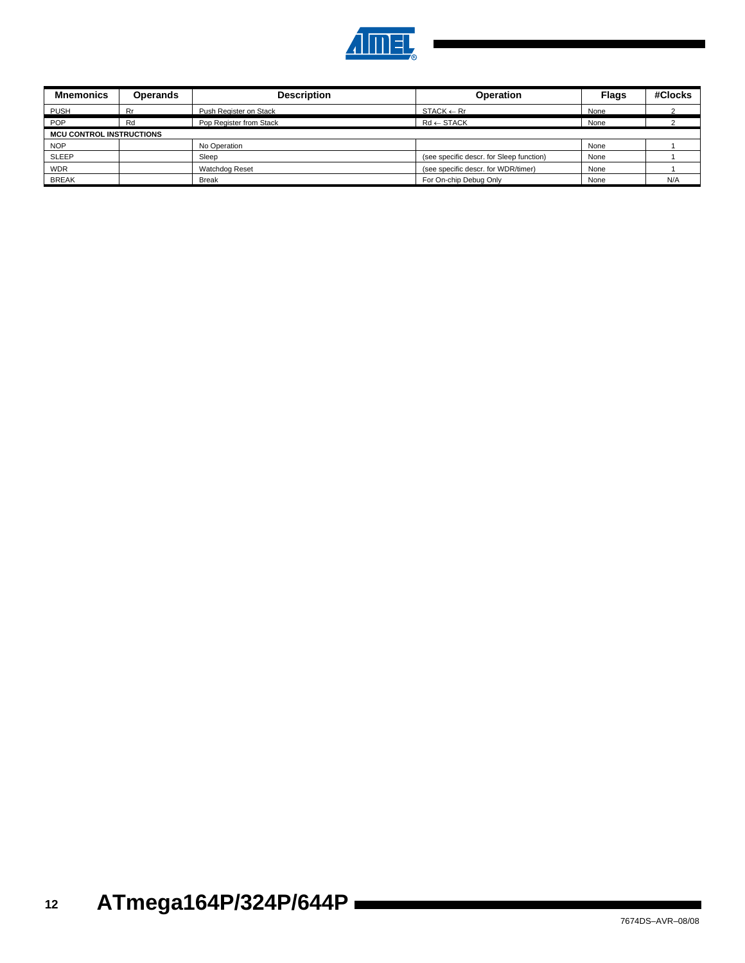

| <b>Mnemonics</b>                | <b>Operands</b> | <b>Description</b>      | <b>Operation</b>                         | <b>Flags</b> | #Clocks |  |  |  |
|---------------------------------|-----------------|-------------------------|------------------------------------------|--------------|---------|--|--|--|
| <b>PUSH</b>                     | Rr              | Push Register on Stack  | $STACK \leftarrow Rr$                    | None         |         |  |  |  |
| <b>POP</b>                      | Rd              | Pop Register from Stack | $Rd \leftarrow$ STACK                    | None         |         |  |  |  |
| <b>MCU CONTROL INSTRUCTIONS</b> |                 |                         |                                          |              |         |  |  |  |
| <b>NOP</b>                      |                 | No Operation            |                                          | None         |         |  |  |  |
| <b>SLEEP</b>                    |                 | Sleep                   | (see specific descr. for Sleep function) | None         |         |  |  |  |
| <b>WDR</b>                      |                 | Watchdog Reset          | (see specific descr. for WDR/timer)      | None         |         |  |  |  |
| <b>BREAK</b>                    |                 | <b>Break</b>            | For On-chip Debug Only                   | None         | N/A     |  |  |  |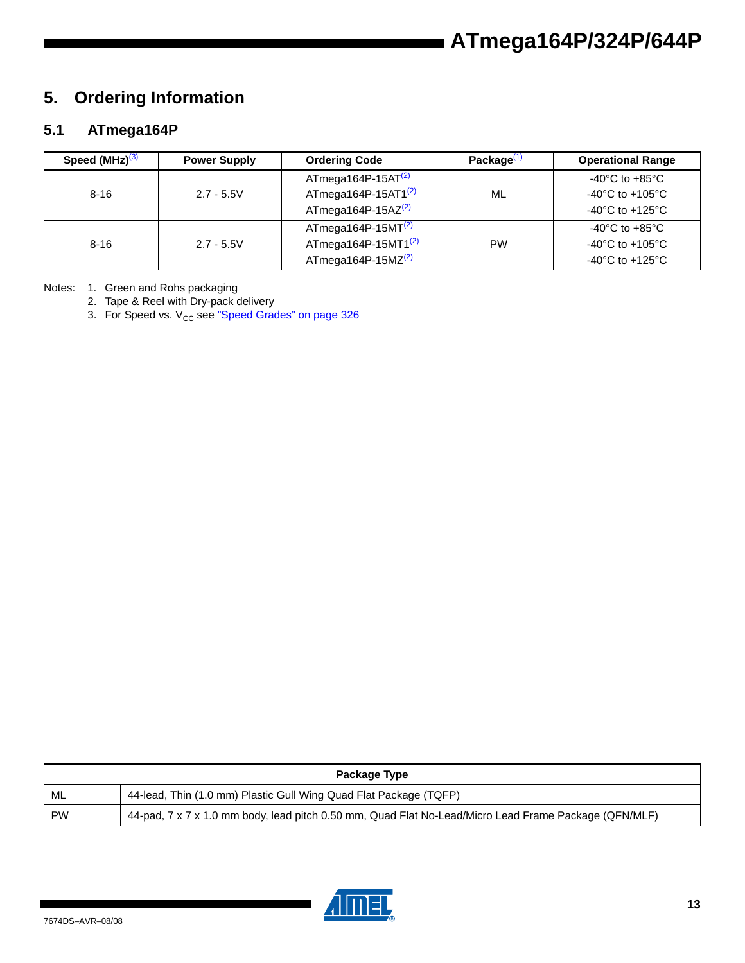# **5. Ordering Information**

# **5.1 ATmega164P**

| Speed $(MHz)^{(3)}$ | <b>Power Supply</b> | <b>Ordering Code</b>   | Package $(1)$ | <b>Operational Range</b>             |
|---------------------|---------------------|------------------------|---------------|--------------------------------------|
|                     |                     | ATmega164P-15AT $(2)$  |               | -40°C to +85°C                       |
| $8 - 16$            | $2.7 - 5.5V$        | ATmega164P-15AT1 $(2)$ | ML            | $-40^{\circ}$ C to $+105^{\circ}$ C  |
|                     |                     | ATmega164P-15AZ $(2)$  |               | $-40^{\circ}$ C to $+125^{\circ}$ C  |
|                     |                     | $ATmega164P-15MT(2)$   |               | -40 $^{\circ}$ C to +85 $^{\circ}$ C |
| $8 - 16$            | $2.7 - 5.5V$        | ATmega164P-15MT1 $(2)$ | <b>PW</b>     | $-40^{\circ}$ C to $+105^{\circ}$ C  |
|                     |                     | ATmega164P-15MZ $(2)$  |               | $-40^{\circ}$ C to $+125^{\circ}$ C  |

Notes: 1. Green and Rohs packaging

2. Tape & Reel with Dry-pack delivery

3. For Speed vs.  $V_{CC}$  see "Speed Grades" on page 326

|           | Package Type                                                                                          |  |  |  |  |  |
|-----------|-------------------------------------------------------------------------------------------------------|--|--|--|--|--|
| ML        | 44-lead, Thin (1.0 mm) Plastic Gull Wing Quad Flat Package (TQFP)                                     |  |  |  |  |  |
| <b>PW</b> | 44-pad, 7 x 7 x 1.0 mm body, lead pitch 0.50 mm, Quad Flat No-Lead/Micro Lead Frame Package (QFN/MLF) |  |  |  |  |  |

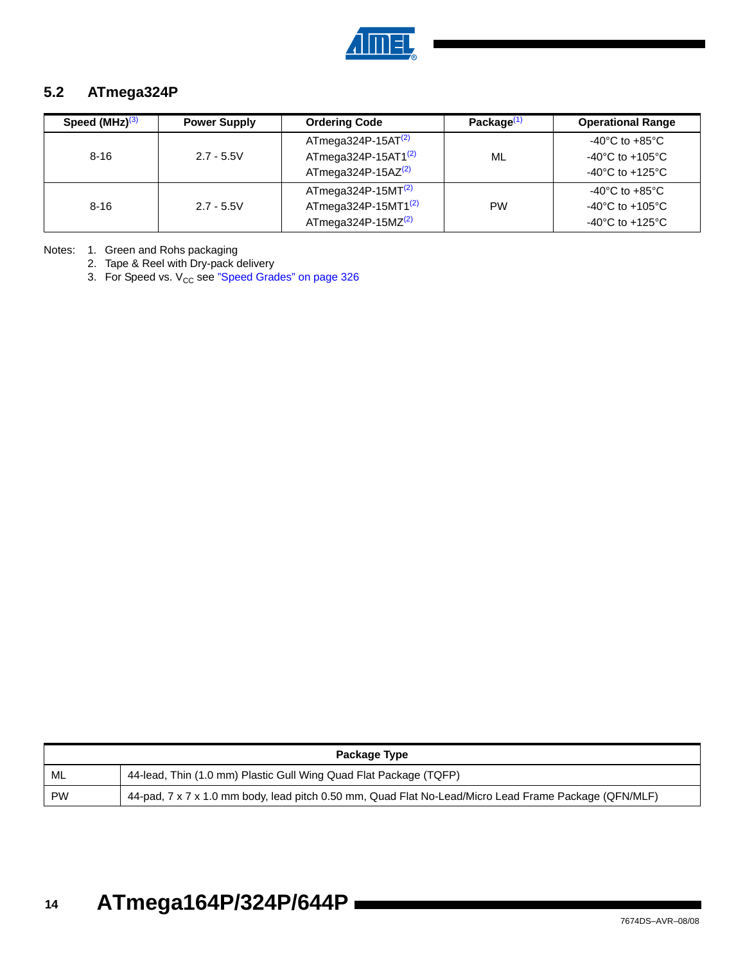

### **5.2 ATmega324P**

| Speed (MHz) <sup>(3)</sup> | <b>Power Supply</b> | <b>Ordering Code</b>            | Package <sup>(1</sup> | <b>Operational Range</b>              |
|----------------------------|---------------------|---------------------------------|-----------------------|---------------------------------------|
|                            |                     | ATmega324P-15AT $(2)$           |                       | -40°C to +85°C                        |
| $8 - 16$                   | $2.7 - 5.5V$        | ATmega324P-15AT1 <sup>(2)</sup> | ML                    | -40 $^{\circ}$ C to +105 $^{\circ}$ C |
|                            |                     | ATmega324P-15AZ $(2)$           |                       | $-40^{\circ}$ C to $+125^{\circ}$ C   |
|                            |                     | $ATmega324P-15MT(2)$            |                       | -40°C to +85°C                        |
| $8 - 16$                   | $2.7 - 5.5V$        | ATmega324P-15MT1 $(2)$          | <b>PW</b>             | $-40^{\circ}$ C to $+105^{\circ}$ C   |
|                            |                     | ATmega324P-15MZ $(2)$           |                       | -40 $^{\circ}$ C to +125 $^{\circ}$ C |

Notes: 1. Green and Rohs packaging

2. Tape & Reel with Dry-pack delivery

3. For Speed vs.  $V_{CC}$  see "Speed Grades" on page 326

| Package Type |                                                                                                       |  |  |  |
|--------------|-------------------------------------------------------------------------------------------------------|--|--|--|
| ML           | 44-lead, Thin (1.0 mm) Plastic Gull Wing Quad Flat Package (TQFP)                                     |  |  |  |
| <b>PW</b>    | 44-pad, 7 x 7 x 1.0 mm body, lead pitch 0.50 mm, Quad Flat No-Lead/Micro Lead Frame Package (QFN/MLF) |  |  |  |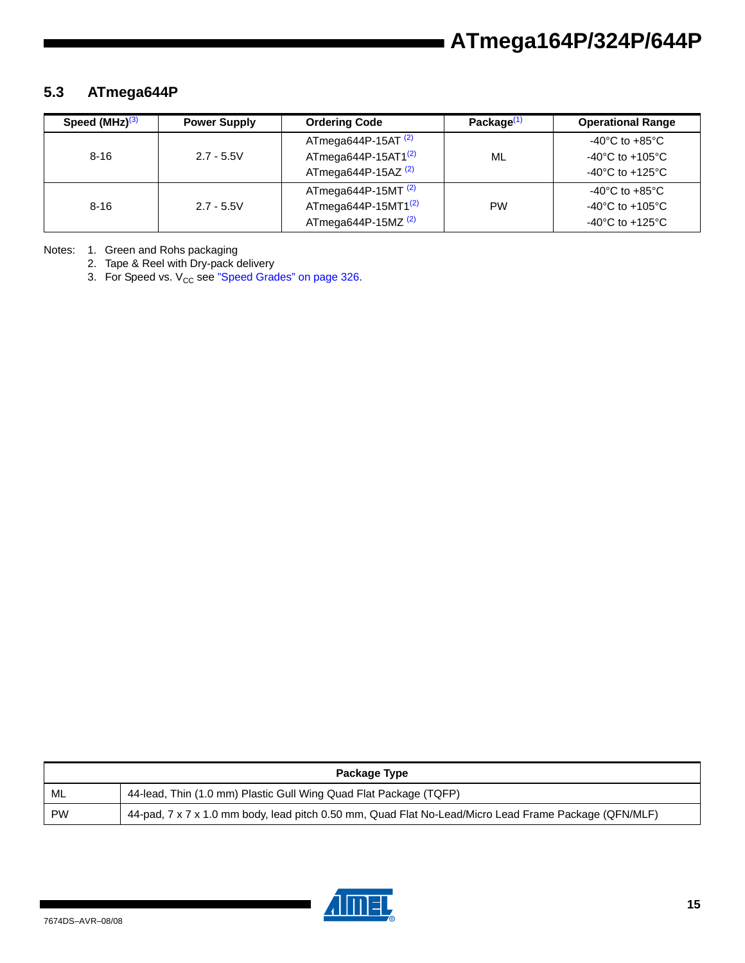### **5.3 ATmega644P**

| Speed $(MHz)^{(3)}$ | <b>Power Supply</b> | <b>Ordering Code</b>           | Package <sup>(1)</sup> | <b>Operational Range</b>              |
|---------------------|---------------------|--------------------------------|------------------------|---------------------------------------|
|                     |                     | ATmega644P-15AT <sup>(2)</sup> |                        | $-40^{\circ}$ C to $+85^{\circ}$ C    |
| $8 - 16$            | $2.7 - 5.5V$        | ATmega644P-15AT1 $(2)$         | ML                     | -40°C to +105°C                       |
|                     |                     | ATmega644P-15AZ <sup>(2)</sup> |                        | $-40^{\circ}$ C to $+125^{\circ}$ C   |
|                     |                     | ATmega644P-15MT $(2)$          |                        | -40°C to +85°C                        |
| $8 - 16$            | $2.7 - 5.5V$        | ATmega644P-15MT1 $(2)$         | <b>PW</b>              | -40 $^{\circ}$ C to +105 $^{\circ}$ C |
|                     |                     | ATmega644P-15MZ $(2)$          |                        | -40°C to +125°C                       |

Notes: 1. Green and Rohs packaging

2. Tape & Reel with Dry-pack delivery

3. For Speed vs.  $V_{CC}$  see "Speed Grades" on page 326.

| Package Type |                                                                                                       |  |  |
|--------------|-------------------------------------------------------------------------------------------------------|--|--|
| ML           | 44-lead, Thin (1.0 mm) Plastic Gull Wing Quad Flat Package (TQFP)                                     |  |  |
| <b>PW</b>    | 44-pad, 7 x 7 x 1.0 mm body, lead pitch 0.50 mm, Quad Flat No-Lead/Micro Lead Frame Package (QFN/MLF) |  |  |

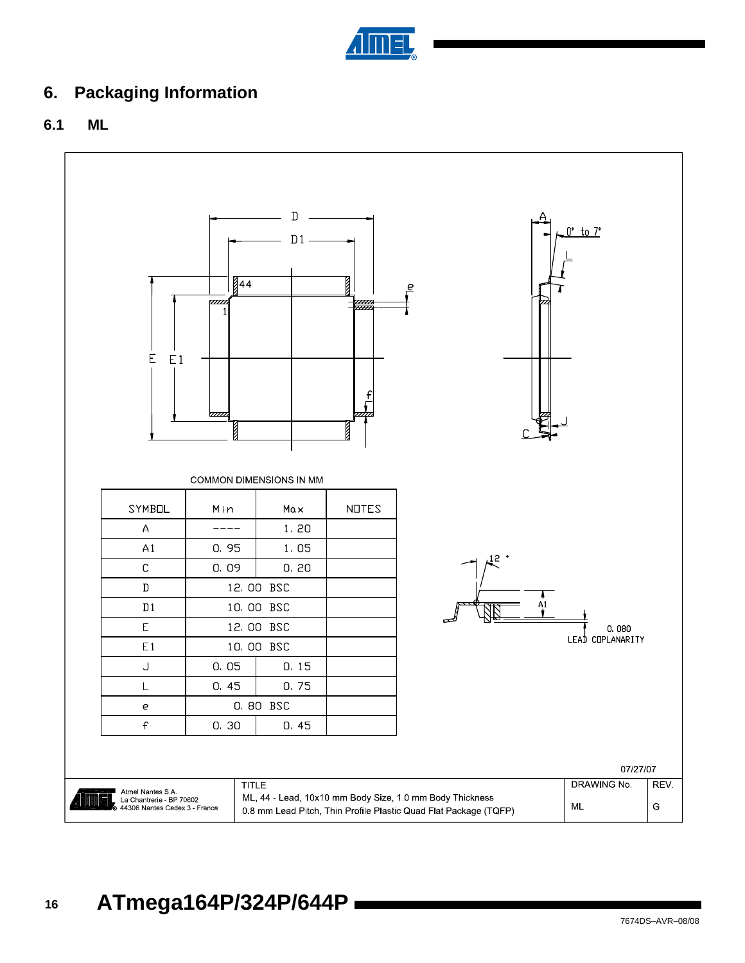

# **6. Packaging Information**

### **6.1 ML**

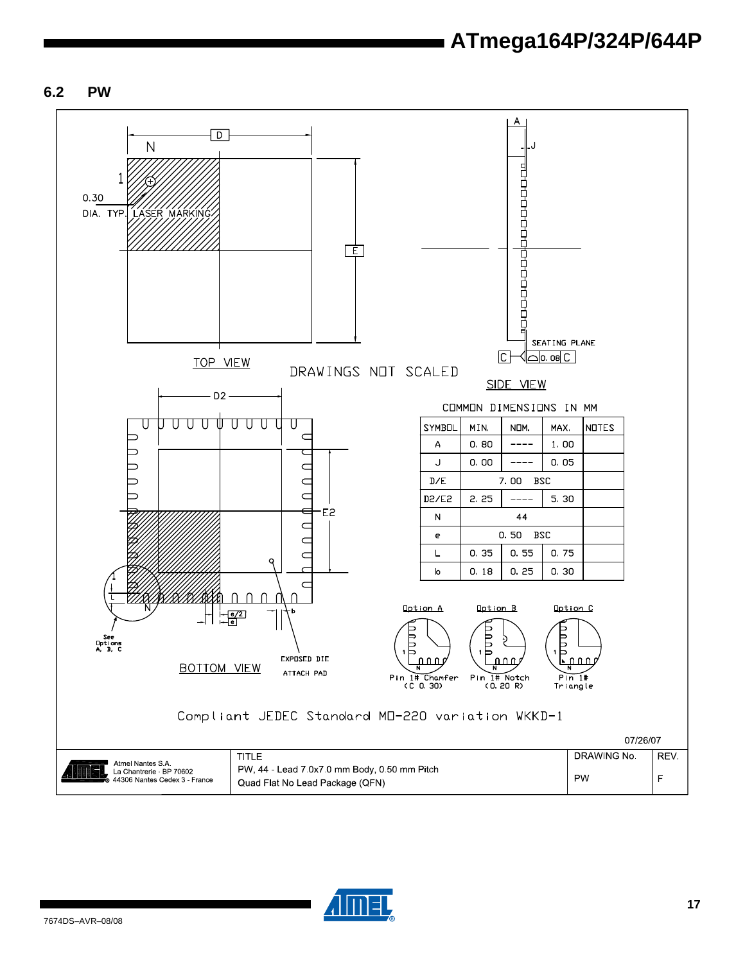#### **6.2 PW**



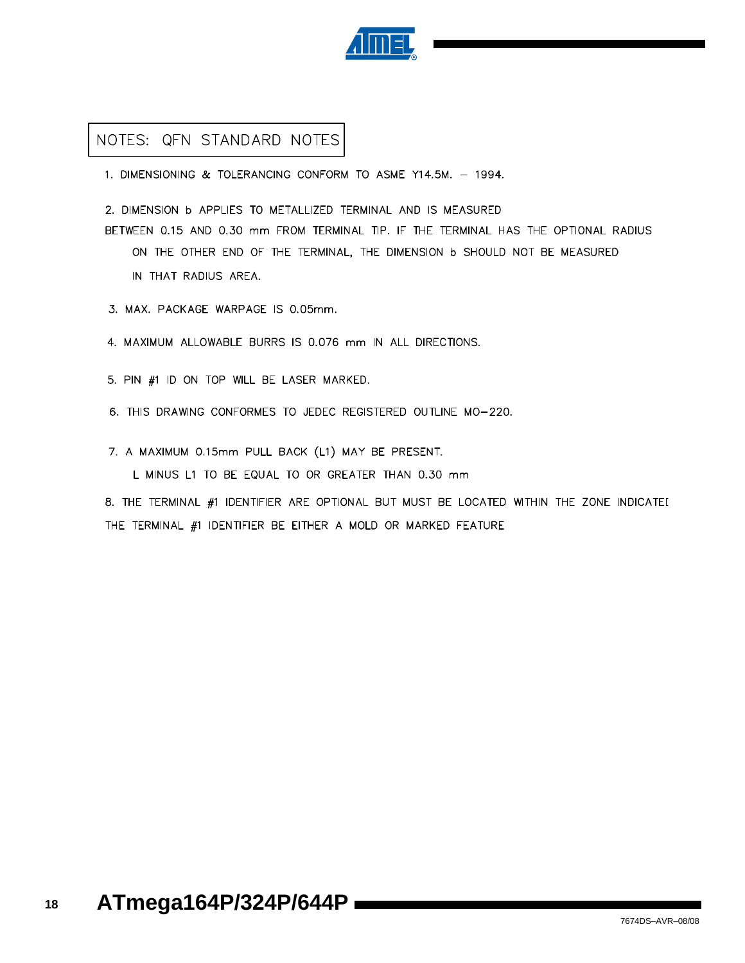

### NOTES: QFN STANDARD NOTES

1. DIMENSIONING & TOLERANCING CONFORM TO ASME Y14.5M. - 1994.

2. DIMENSION b APPLIES TO METALLIZED TERMINAL AND IS MEASURED

BETWEEN 0.15 AND 0.30 mm FROM TERMINAL TIP. IF THE TERMINAL HAS THE OPTIONAL RADIUS ON THE OTHER END OF THE TERMINAL, THE DIMENSION **b** SHOULD NOT BE MEASURED IN THAT RADIUS AREA.

3. MAX. PACKAGE WARPAGE IS 0.05mm.

4. MAXIMUM ALLOWABLE BURRS IS 0.076 mm IN ALL DIRECTIONS.

5. PIN #1 ID ON TOP WILL BE LASER MARKED.

6. THIS DRAWING CONFORMES TO JEDEC REGISTERED OUTLINE MO-220.

7. A MAXIMUM 0.15mm PULL BACK (L1) MAY BE PRESENT.

L MINUS L1 TO BE EQUAL TO OR GREATER THAN 0.30 mm

8. THE TERMINAL #1 IDENTIFIER ARE OPTIONAL BUT MUST BE LOCATED WITHIN THE ZONE INDICATEI THE TERMINAL #1 IDENTIFIER BE EITHER A MOLD OR MARKED FEATURE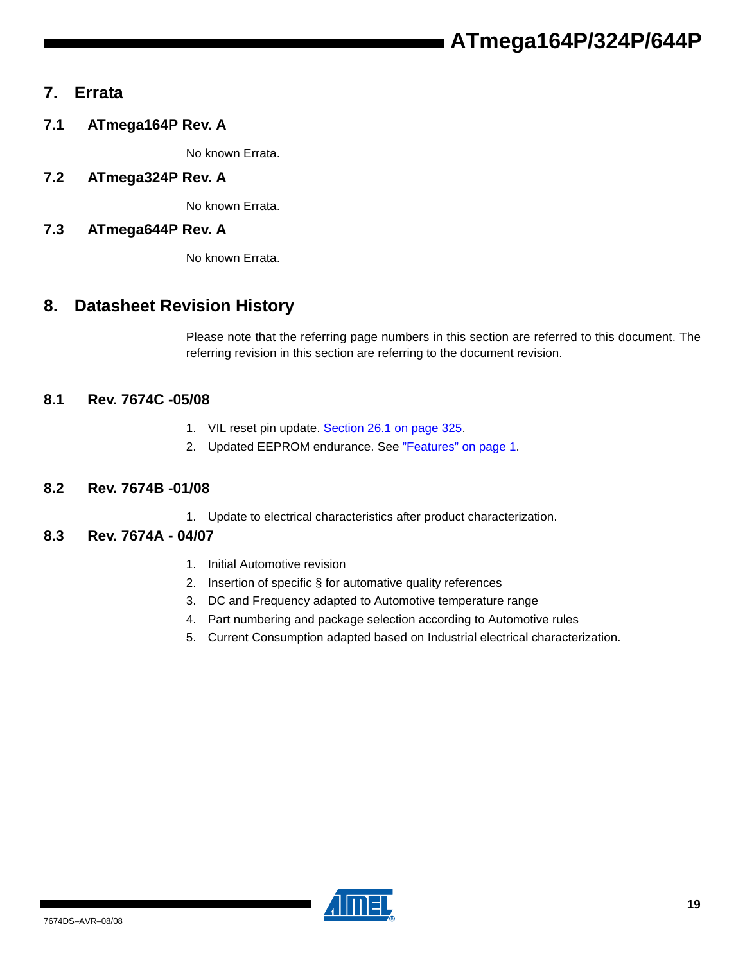## **7. Errata**

**7.1 ATmega164P Rev. A**

No known Errata.

**7.2 ATmega324P Rev. A**

No known Errata.

### **7.3 ATmega644P Rev. A**

No known Errata.

# **8. Datasheet Revision History**

Please note that the referring page numbers in this section are referred to this document. The referring revision in this section are referring to the document revision.

### **8.1 Rev. 7674C -05/08**

- 1. VIL reset pin update. Section 26.1 on page 325.
- 2. Updated EEPROM endurance. See "Features" on page 1.

#### **8.2 Rev. 7674B -01/08**

1. Update to electrical characteristics after product characterization.

#### **8.3 Rev. 7674A - 04/07**

- 1. Initial Automotive revision
- 2. Insertion of specific § for automative quality references
- 3. DC and Frequency adapted to Automotive temperature range
- 4. Part numbering and package selection according to Automotive rules
- 5. Current Consumption adapted based on Industrial electrical characterization.

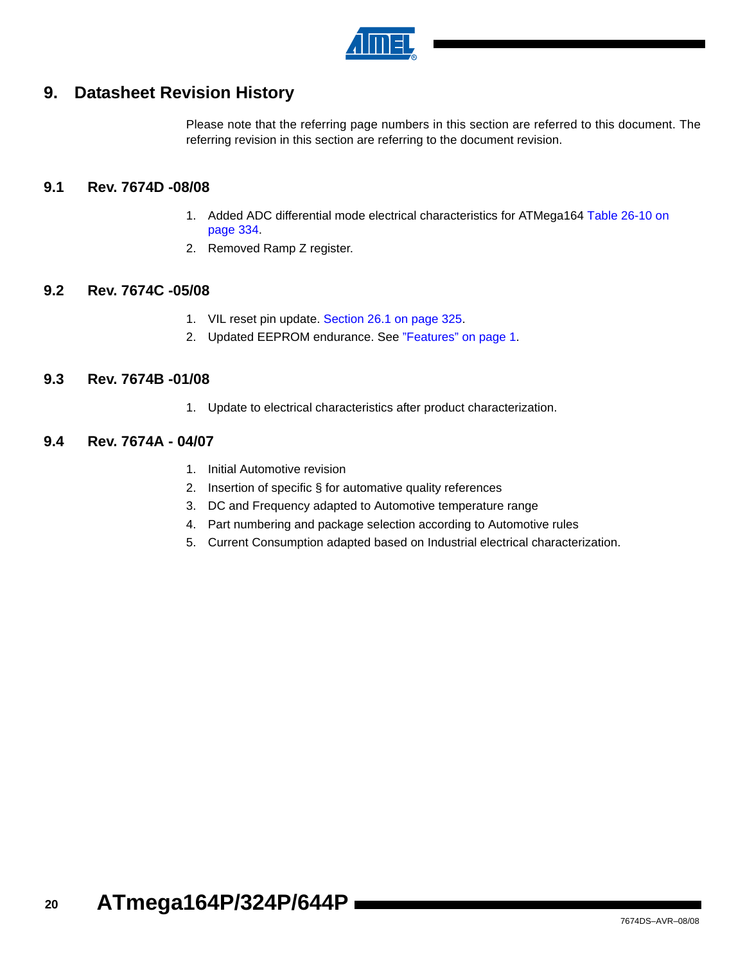

# **9. Datasheet Revision History**

Please note that the referring page numbers in this section are referred to this document. The referring revision in this section are referring to the document revision.

#### **9.1 Rev. 7674D -08/08**

- 1. Added ADC differential mode electrical characteristics for ATMega164 Table 26-10 on page 334.
- 2. Removed Ramp Z register.

#### **9.2 Rev. 7674C -05/08**

- 1. VIL reset pin update. Section 26.1 on page 325.
- 2. Updated EEPROM endurance. See "Features" on page 1.

#### **9.3 Rev. 7674B -01/08**

1. Update to electrical characteristics after product characterization.

#### **9.4 Rev. 7674A - 04/07**

- 1. Initial Automotive revision
- 2. Insertion of specific § for automative quality references
- 3. DC and Frequency adapted to Automotive temperature range
- 4. Part numbering and package selection according to Automotive rules
- 5. Current Consumption adapted based on Industrial electrical characterization.